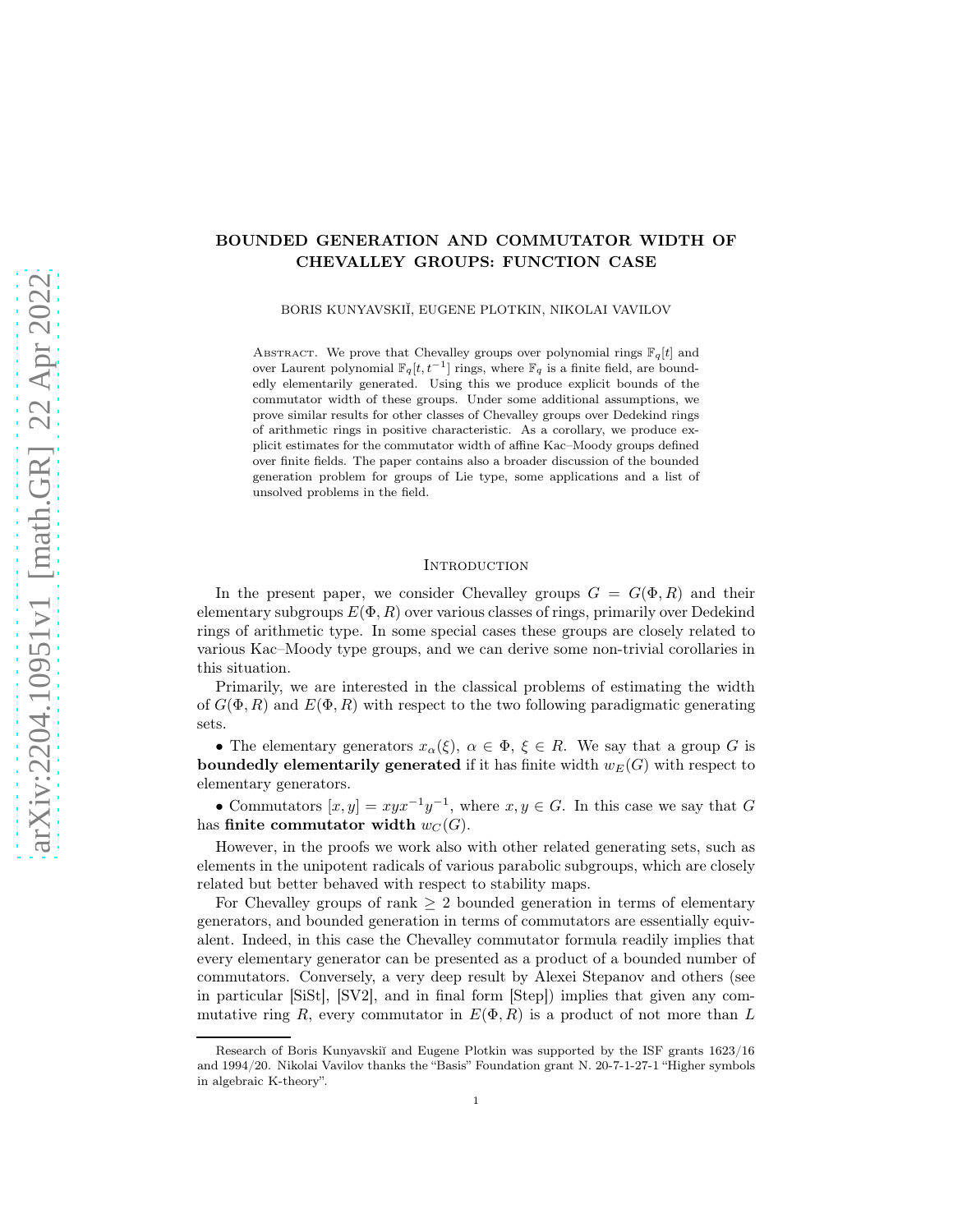# BOUNDED GENERATION AND COMMUTATOR WIDTH OF CHEVALLEY GROUPS: FUNCTION CASE

BORIS KUNYAVSKIĬ, EUGENE PLOTKIN, NIKOLAI VAVILOV

ABSTRACT. We prove that Chevalley groups over polynomial rings  $\mathbb{F}_q[t]$  and over Laurent polynomial  $\mathbb{F}_q[t, t^{-1}]$  rings, where  $\mathbb{F}_q$  is a finite field, are boundedly elementarily generated. Using this we produce explicit bounds of the commutator width of these groups. Under some additional assumptions, we prove similar results for other classes of Chevalley groups over Dedekind rings of arithmetic rings in positive characteristic. As a corollary, we produce explicit estimates for the commutator width of affine Kac–Moody groups defined over finite fields. The paper contains also a broader discussion of the bounded generation problem for groups of Lie type, some applications and a list of unsolved problems in the field.

#### **INTRODUCTION**

In the present paper, we consider Chevalley groups  $G = G(\Phi, R)$  and their elementary subgroups  $E(\Phi, R)$  over various classes of rings, primarily over Dedekind rings of arithmetic type. In some special cases these groups are closely related to various Kac–Moody type groups, and we can derive some non-trivial corollaries in this situation.

Primarily, we are interested in the classical problems of estimating the width of  $G(\Phi, R)$  and  $E(\Phi, R)$  with respect to the two following paradigmatic generating sets.

• The elementary generators  $x_\alpha(\xi)$ ,  $\alpha \in \Phi$ ,  $\xi \in R$ . We say that a group G is **boundedly elementarily generated** if it has finite width  $w_E(G)$  with respect to elementary generators.

• Commutators  $[x, y] = xyx^{-1}y^{-1}$ , where  $x, y \in G$ . In this case we say that G has finite commutator width  $w_C(G)$ .

However, in the proofs we work also with other related generating sets, such as elements in the unipotent radicals of various parabolic subgroups, which are closely related but better behaved with respect to stability maps.

For Chevalley groups of rank  $\geq 2$  bounded generation in terms of elementary generators, and bounded generation in terms of commutators are essentially equivalent. Indeed, in this case the Chevalley commutator formula readily implies that every elementary generator can be presented as a product of a bounded number of commutators. Conversely, a very deep result by Alexei Stepanov and others (see in particular [SiSt], [SV2], and in final form [Step]) implies that given any commutative ring R, every commutator in  $E(\Phi, R)$  is a product of not more than L

Research of Boris Kunyavskiĭ and Eugene Plotkin was supported by the ISF grants 1623/16 and 1994/20. Nikolai Vavilov thanks the "Basis" Foundation grant N. 20-7-1-27-1 "Higher symbols in algebraic K-theory".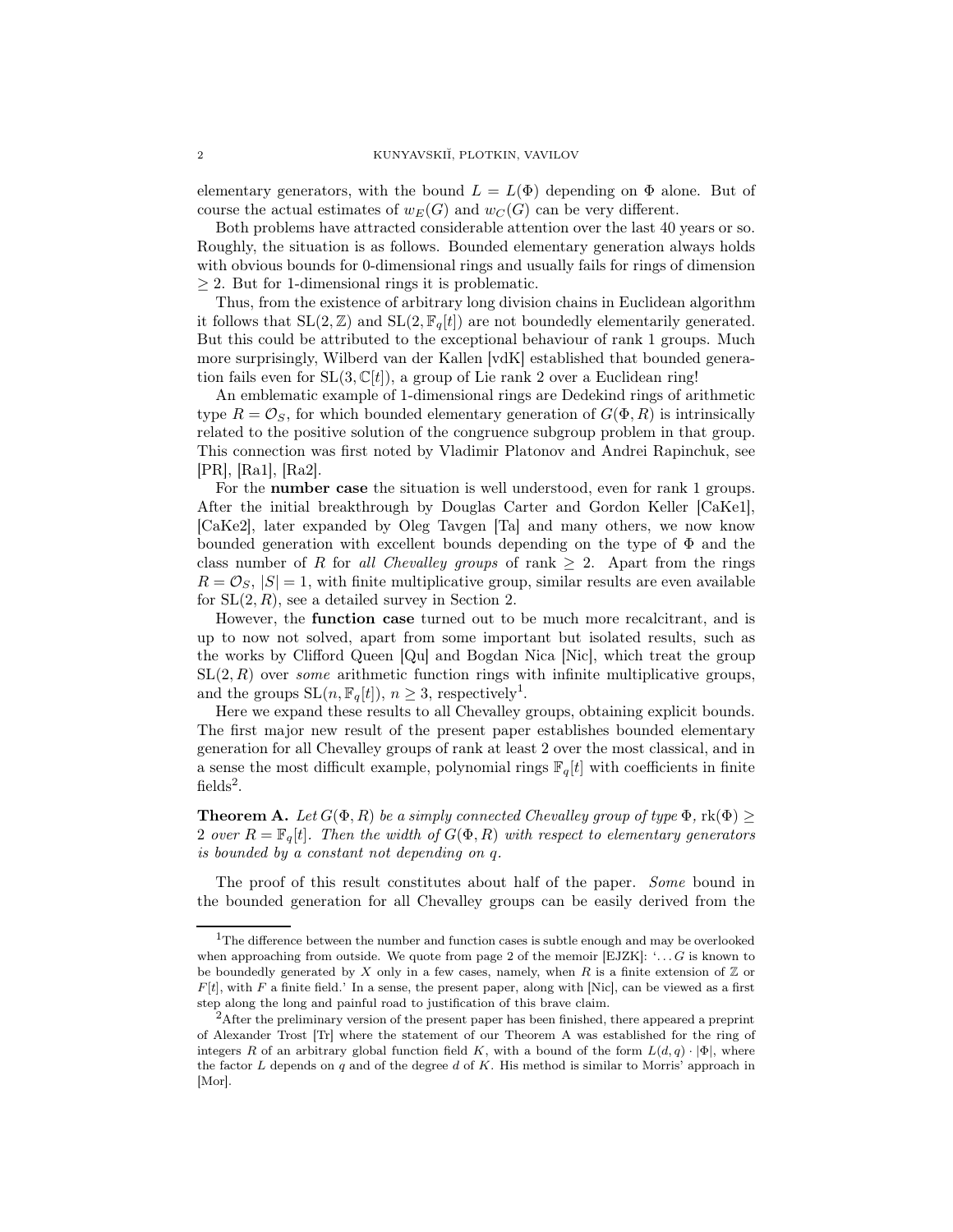elementary generators, with the bound  $L = L(\Phi)$  depending on  $\Phi$  alone. But of course the actual estimates of  $w_E(G)$  and  $w_C(G)$  can be very different.

Both problems have attracted considerable attention over the last 40 years or so. Roughly, the situation is as follows. Bounded elementary generation always holds with obvious bounds for 0-dimensional rings and usually fails for rings of dimension  $\geq$  2. But for 1-dimensional rings it is problematic.

Thus, from the existence of arbitrary long division chains in Euclidean algorithm it follows that  $SL(2, \mathbb{Z})$  and  $SL(2, \mathbb{F}_q[t])$  are not boundedly elementarily generated. But this could be attributed to the exceptional behaviour of rank 1 groups. Much more surprisingly, Wilberd van der Kallen [vdK] established that bounded generation fails even for  $SL(3,\mathbb{C}[t])$ , a group of Lie rank 2 over a Euclidean ring!

An emblematic example of 1-dimensional rings are Dedekind rings of arithmetic type  $R = \mathcal{O}_S$ , for which bounded elementary generation of  $G(\Phi, R)$  is intrinsically related to the positive solution of the congruence subgroup problem in that group. This connection was first noted by Vladimir Platonov and Andrei Rapinchuk, see [PR], [Ra1], [Ra2].

For the number case the situation is well understood, even for rank 1 groups. After the initial breakthrough by Douglas Carter and Gordon Keller [CaKe1], [CaKe2], later expanded by Oleg Tavgen [Ta] and many others, we now know bounded generation with excellent bounds depending on the type of  $\Phi$  and the class number of R for all Chevalley groups of rank  $\geq 2$ . Apart from the rings  $R = \mathcal{O}_S$ ,  $|S| = 1$ , with finite multiplicative group, similar results are even available for  $SL(2, R)$ , see a detailed survey in Section 2.

However, the function case turned out to be much more recalcitrant, and is up to now not solved, apart from some important but isolated results, such as the works by Clifford Queen [Qu] and Bogdan Nica [Nic], which treat the group  $SL(2, R)$  over *some* arithmetic function rings with infinite multiplicative groups, and the groups  $SL(n, \mathbb{F}_q[t])$ ,  $n \geq 3$ , respectively<sup>1</sup>.

Here we expand these results to all Chevalley groups, obtaining explicit bounds. The first major new result of the present paper establishes bounded elementary generation for all Chevalley groups of rank at least 2 over the most classical, and in a sense the most difficult example, polynomial rings  $\mathbb{F}_q[t]$  with coefficients in finite fields<sup>2</sup>.

**Theorem A.** Let  $G(\Phi, R)$  be a simply connected Chevalley group of type  $\Phi$ ,  $\text{rk}(\Phi) \geq$ 2 over  $R = \mathbb{F}_q[t]$ . Then the width of  $G(\Phi, R)$  with respect to elementary generators is bounded by a constant not depending on q.

The proof of this result constitutes about half of the paper. Some bound in the bounded generation for all Chevalley groups can be easily derived from the

 $\rm ^1The$  difference between the number and function cases is subtle enough and may be overlooked when approaching from outside. We quote from page 2 of the memoir  $[EJZK]$ : '... G is known to be boundedly generated by X only in a few cases, namely, when R is a finite extension of  $\mathbb Z$  or  $F[t]$ , with F a finite field.' In a sense, the present paper, along with [Nic], can be viewed as a first step along the long and painful road to justification of this brave claim.

<sup>&</sup>lt;sup>2</sup>After the preliminary version of the present paper has been finished, there appeared a preprint of Alexander Trost [Tr] where the statement of our Theorem A was established for the ring of integers R of an arbitrary global function field K, with a bound of the form  $L(d, q) \cdot |\Phi|$ , where the factor  $L$  depends on  $q$  and of the degree  $d$  of  $K$ . His method is similar to Morris' approach in [Mor].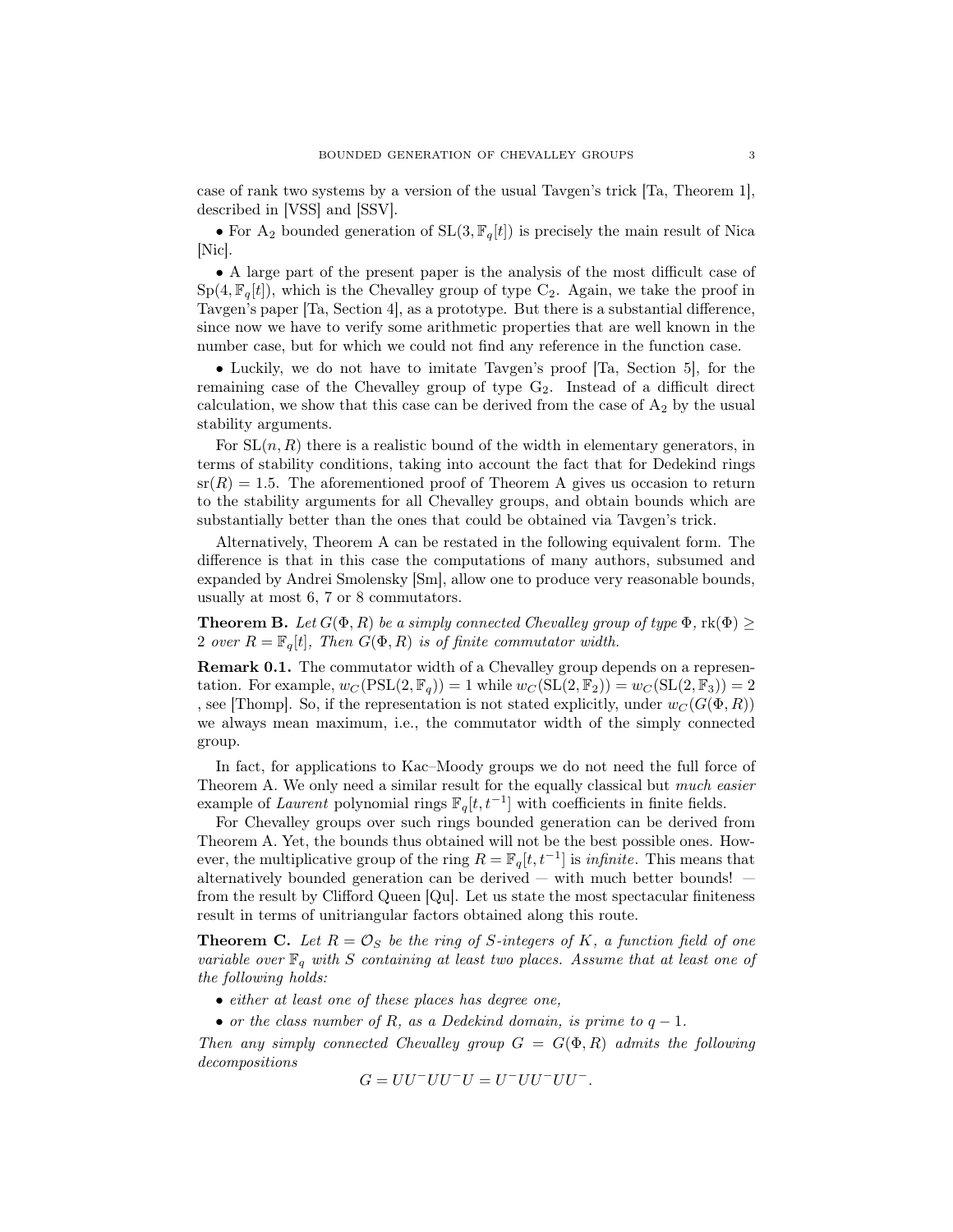case of rank two systems by a version of the usual Tavgen's trick [Ta, Theorem 1], described in [VSS] and [SSV].

• For A<sub>2</sub> bounded generation of  $SL(3, \mathbb{F}_q[t])$  is precisely the main result of Nica [Nic].

• A large part of the present paper is the analysis of the most difficult case of  $Sp(4, \mathbb{F}_q[t])$ , which is the Chevalley group of type C<sub>2</sub>. Again, we take the proof in Tavgen's paper [Ta, Section 4], as a prototype. But there is a substantial difference, since now we have to verify some arithmetic properties that are well known in the number case, but for which we could not find any reference in the function case.

• Luckily, we do not have to imitate Tavgen's proof [Ta, Section 5], for the remaining case of the Chevalley group of type  $G_2$ . Instead of a difficult direct calculation, we show that this case can be derived from the case of  $A_2$  by the usual stability arguments.

For  $SL(n, R)$  there is a realistic bound of the width in elementary generators, in terms of stability conditions, taking into account the fact that for Dedekind rings  $sr(R) = 1.5$ . The aforementioned proof of Theorem A gives us occasion to return to the stability arguments for all Chevalley groups, and obtain bounds which are substantially better than the ones that could be obtained via Tavgen's trick.

Alternatively, Theorem A can be restated in the following equivalent form. The difference is that in this case the computations of many authors, subsumed and expanded by Andrei Smolensky [Sm], allow one to produce very reasonable bounds, usually at most 6, 7 or 8 commutators.

**Theorem B.** Let  $G(\Phi, R)$  be a simply connected Chevalley group of type  $\Phi$ , rk $(\Phi)$  > 2 over  $R = \mathbb{F}_q[t]$ , Then  $G(\Phi, R)$  is of finite commutator width.

Remark 0.1. The commutator width of a Chevalley group depends on a representation. For example,  $w_C(PSL(2, \mathbb{F}_q)) = 1$  while  $w_C(SL(2, \mathbb{F}_2)) = w_C(SL(2, \mathbb{F}_3)) = 2$ , see [Thomp]. So, if the representation is not stated explicitly, under  $w_C(G(\Phi, R))$ we always mean maximum, i.e., the commutator width of the simply connected group.

In fact, for applications to Kac–Moody groups we do not need the full force of Theorem A. We only need a similar result for the equally classical but much easier example of Laurent polynomial rings  $\mathbb{F}_q[t, t^{-1}]$  with coefficients in finite fields.

For Chevalley groups over such rings bounded generation can be derived from Theorem A. Yet, the bounds thus obtained will not be the best possible ones. However, the multiplicative group of the ring  $R = \mathbb{F}_q[t, t^{-1}]$  is *infinite*. This means that alternatively bounded generation can be derived  $-$  with much better bounds!  $$ from the result by Clifford Queen [Qu]. Let us state the most spectacular finiteness result in terms of unitriangular factors obtained along this route.

**Theorem C.** Let  $R = \mathcal{O}_S$  be the ring of S-integers of K, a function field of one variable over  $\mathbb{F}_q$  with S containing at least two places. Assume that at least one of the following holds:

- either at least one of these places has degree one,
- or the class number of R, as a Dedekind domain, is prime to  $q-1$ .

Then any simply connected Chevalley group  $G = G(\Phi, R)$  admits the following decompositions

$$
G=UU^-UU^-U=U^-UU^-UU^-.
$$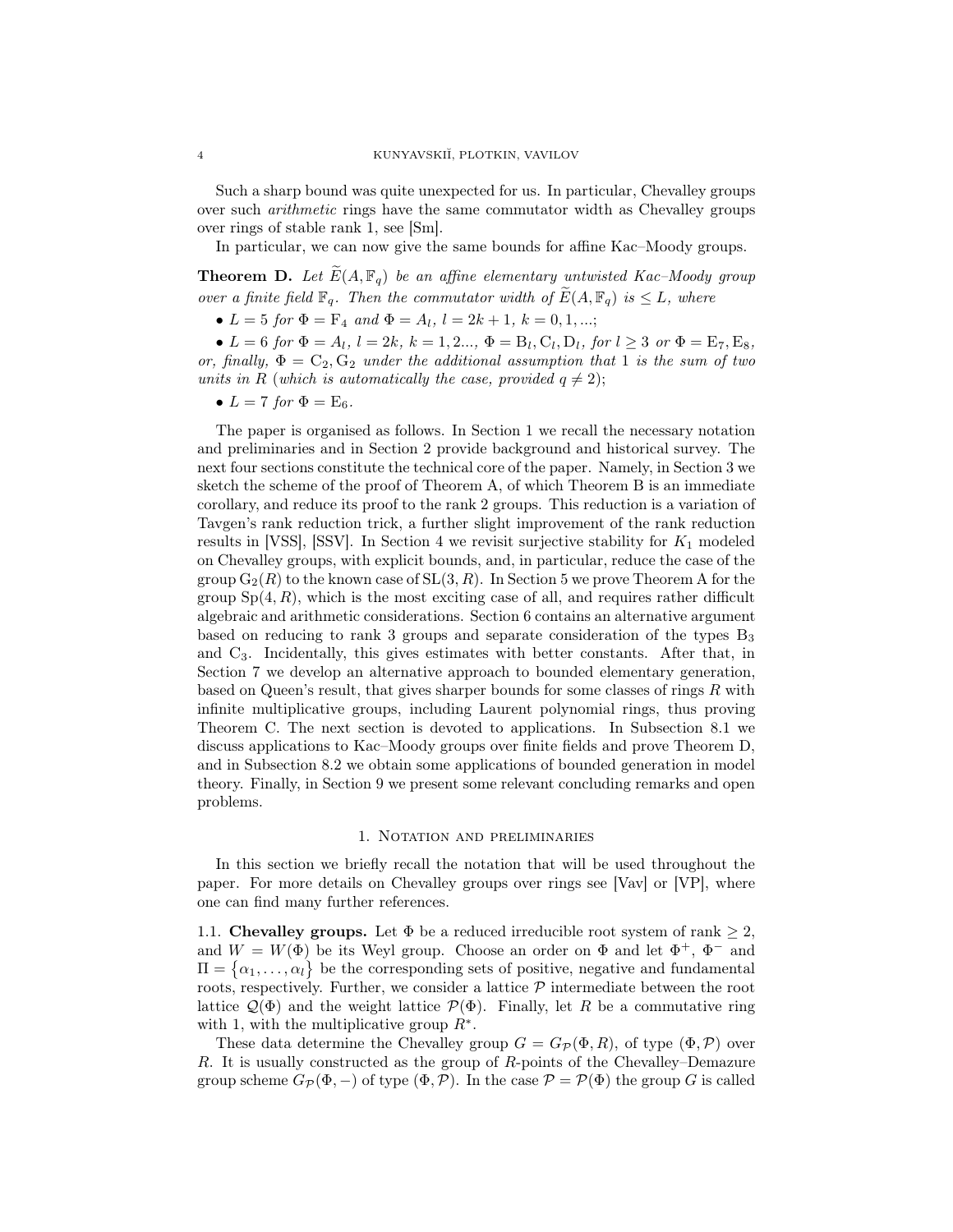Such a sharp bound was quite unexpected for us. In particular, Chevalley groups over such arithmetic rings have the same commutator width as Chevalley groups over rings of stable rank 1, see [Sm].

In particular, we can now give the same bounds for affine Kac–Moody groups.

**Theorem D.** Let  $\widetilde{E}(A, \mathbb{F}_q)$  be an affine elementary untwisted Kac–Moody group over a finite field  $\mathbb{F}_q$ . Then the commutator width of  $\widetilde{E}(A, \mathbb{F}_q)$  is  $\leq L$ , where

•  $L = 5$  for  $\Phi = F_4$  and  $\Phi = A_l$ ,  $l = 2k + 1$ ,  $k = 0, 1, ...;$ 

•  $L = 6$  for  $\Phi = A_l$ ,  $l = 2k$ ,  $k = 1, 2..., \Phi = B_l, C_l, D_l$ , for  $l \geq 3$  or  $\Phi = E_7, E_8$ , or, finally,  $\Phi = C_2, G_2$  under the additional assumption that 1 is the sum of two units in R (which is automatically the case, provided  $q \neq 2$ );

•  $L = 7$  for  $\Phi = \mathrm{E}_6$ .

The paper is organised as follows. In Section 1 we recall the necessary notation and preliminaries and in Section 2 provide background and historical survey. The next four sections constitute the technical core of the paper. Namely, in Section 3 we sketch the scheme of the proof of Theorem A, of which Theorem B is an immediate corollary, and reduce its proof to the rank 2 groups. This reduction is a variation of Tavgen's rank reduction trick, a further slight improvement of the rank reduction results in [VSS], [SSV]. In Section 4 we revisit surjective stability for  $K_1$  modeled on Chevalley groups, with explicit bounds, and, in particular, reduce the case of the group  $G_2(R)$  to the known case of  $SL(3, R)$ . In Section 5 we prove Theorem A for the group  $Sp(4, R)$ , which is the most exciting case of all, and requires rather difficult algebraic and arithmetic considerations. Section 6 contains an alternative argument based on reducing to rank 3 groups and separate consideration of the types  $B_3$ and C3. Incidentally, this gives estimates with better constants. After that, in Section 7 we develop an alternative approach to bounded elementary generation, based on Queen's result, that gives sharper bounds for some classes of rings  $R$  with infinite multiplicative groups, including Laurent polynomial rings, thus proving Theorem C. The next section is devoted to applications. In Subsection 8.1 we discuss applications to Kac–Moody groups over finite fields and prove Theorem D, and in Subsection 8.2 we obtain some applications of bounded generation in model theory. Finally, in Section 9 we present some relevant concluding remarks and open problems.

#### 1. Notation and preliminaries

In this section we briefly recall the notation that will be used throughout the paper. For more details on Chevalley groups over rings see [Vav] or [VP], where one can find many further references.

1.1. Chevalley groups. Let  $\Phi$  be a reduced irreducible root system of rank  $\geq 2$ , and  $W = W(\Phi)$  be its Weyl group. Choose an order on  $\Phi$  and let  $\Phi^+$ ,  $\Phi^-$  and  $\Pi = \{\alpha_1, \ldots, \alpha_l\}$  be the corresponding sets of positive, negative and fundamental roots, respectively. Further, we consider a lattice  $P$  intermediate between the root lattice  $\mathcal{Q}(\Phi)$  and the weight lattice  $\mathcal{P}(\Phi)$ . Finally, let R be a commutative ring with 1, with the multiplicative group  $R^*$ .

These data determine the Chevalley group  $G = G_{\mathcal{P}}(\Phi, R)$ , of type  $(\Phi, \mathcal{P})$  over R. It is usually constructed as the group of R-points of the Chevalley–Demazure group scheme  $G_{\mathcal{P}}(\Phi, -)$  of type  $(\Phi, \mathcal{P})$ . In the case  $\mathcal{P} = \mathcal{P}(\Phi)$  the group G is called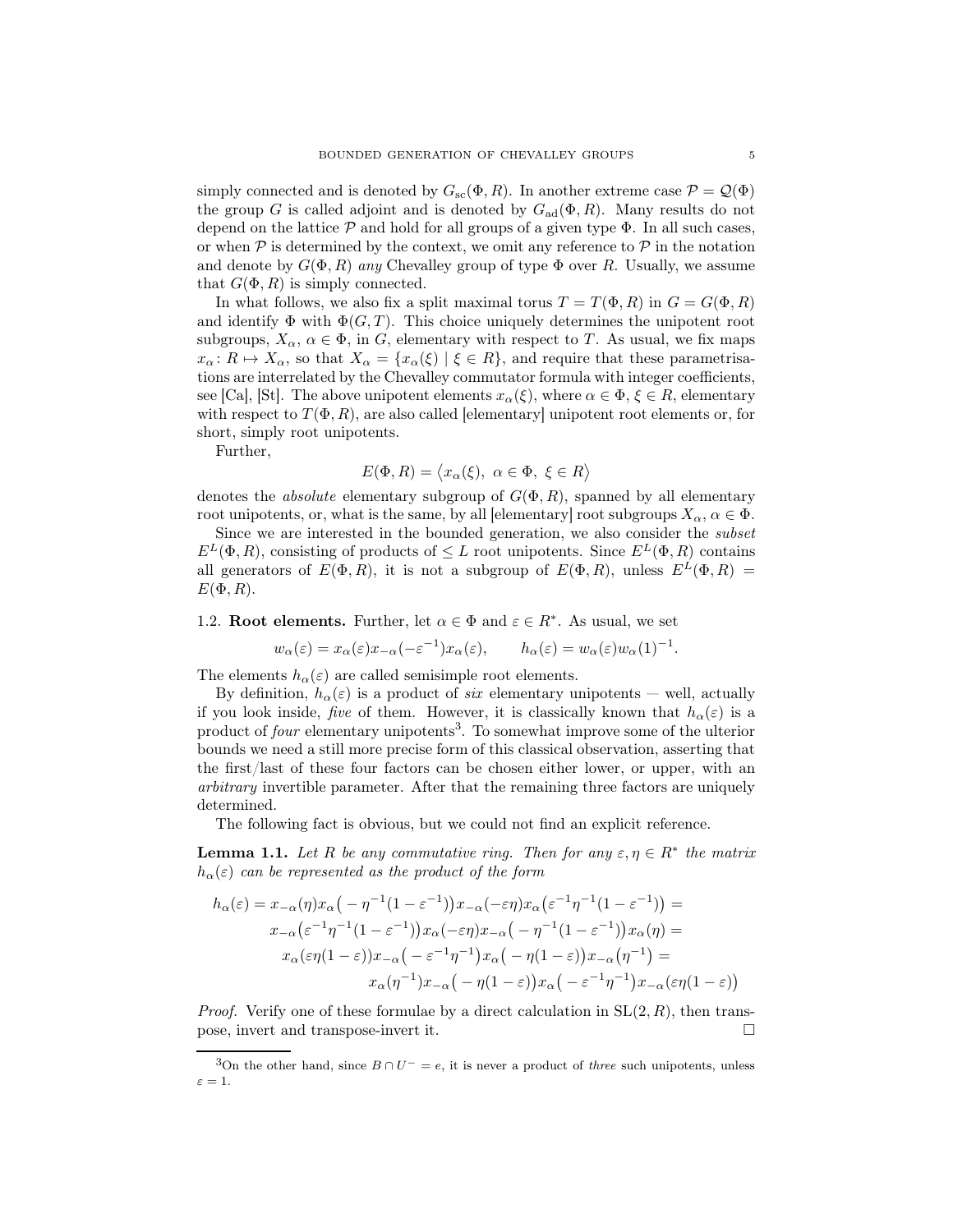simply connected and is denoted by  $G_{\rm sc}(\Phi, R)$ . In another extreme case  $\mathcal{P} = \mathcal{Q}(\Phi)$ the group G is called adjoint and is denoted by  $G_{\text{ad}}(\Phi, R)$ . Many results do not depend on the lattice  $P$  and hold for all groups of a given type  $\Phi$ . In all such cases, or when  $P$  is determined by the context, we omit any reference to  $P$  in the notation and denote by  $G(\Phi, R)$  any Chevalley group of type  $\Phi$  over R. Usually, we assume that  $G(\Phi, R)$  is simply connected.

In what follows, we also fix a split maximal torus  $T = T(\Phi, R)$  in  $G = G(\Phi, R)$ and identify  $\Phi$  with  $\Phi(G, T)$ . This choice uniquely determines the unipotent root subgroups,  $X_{\alpha}$ ,  $\alpha \in \Phi$ , in G, elementary with respect to T. As usual, we fix maps  $x_\alpha: R \mapsto X_\alpha$ , so that  $X_\alpha = \{x_\alpha(\xi) \mid \xi \in R\}$ , and require that these parametrisations are interrelated by the Chevalley commutator formula with integer coefficients, see [Ca], [St]. The above unipotent elements  $x_{\alpha}(\xi)$ , where  $\alpha \in \Phi$ ,  $\xi \in R$ , elementary with respect to  $T(\Phi, R)$ , are also called [elementary] unipotent root elements or, for short, simply root unipotents.

Further,

$$
E(\Phi, R) = \langle x_{\alpha}(\xi), \ \alpha \in \Phi, \ \xi \in R \rangle
$$

denotes the *absolute* elementary subgroup of  $G(\Phi, R)$ , spanned by all elementary root unipotents, or, what is the same, by all [elementary] root subgroups  $X_{\alpha}$ ,  $\alpha \in \Phi$ .

Since we are interested in the bounded generation, we also consider the subset  $E^L(\Phi, R)$ , consisting of products of  $\leq L$  root unipotents. Since  $E^L(\Phi, R)$  contains all generators of  $E(\Phi, R)$ , it is not a subgroup of  $E(\Phi, R)$ , unless  $E^L(\Phi, R)$  =  $E(\Phi, R)$ .

1.2. **Root elements.** Further, let  $\alpha \in \Phi$  and  $\varepsilon \in R^*$ . As usual, we set

$$
w_{\alpha}(\varepsilon) = x_{\alpha}(\varepsilon)x_{-\alpha}(-\varepsilon^{-1})x_{\alpha}(\varepsilon), \qquad h_{\alpha}(\varepsilon) = w_{\alpha}(\varepsilon)w_{\alpha}(1)^{-1}.
$$

The elements  $h_{\alpha}(\varepsilon)$  are called semisimple root elements.

By definition,  $h_{\alpha}(\varepsilon)$  is a product of *six* elementary unipotents — well, actually if you look inside, five of them. However, it is classically known that  $h_{\alpha}(\varepsilon)$  is a product of *four* elementary unipotents<sup>3</sup>. To somewhat improve some of the ulterior bounds we need a still more precise form of this classical observation, asserting that the first/last of these four factors can be chosen either lower, or upper, with an arbitrary invertible parameter. After that the remaining three factors are uniquely determined.

The following fact is obvious, but we could not find an explicit reference.

**Lemma 1.1.** Let R be any commutative ring. Then for any  $\varepsilon, \eta \in \mathbb{R}^*$  the matrix  $h_{\alpha}(\varepsilon)$  can be represented as the product of the form

$$
h_{\alpha}(\varepsilon) = x_{-\alpha}(\eta)x_{\alpha}\left(-\eta^{-1}(1-\varepsilon^{-1})\right)x_{-\alpha}(-\varepsilon\eta)x_{\alpha}\left(\varepsilon^{-1}\eta^{-1}(1-\varepsilon^{-1})\right) =
$$
  
\n
$$
x_{-\alpha}\left(\varepsilon^{-1}\eta^{-1}(1-\varepsilon^{-1})\right)x_{\alpha}(-\varepsilon\eta)x_{-\alpha}\left(-\eta^{-1}(1-\varepsilon^{-1})\right)x_{\alpha}(\eta) =
$$
  
\n
$$
x_{\alpha}(\varepsilon\eta(1-\varepsilon))x_{-\alpha}\left(-\varepsilon^{-1}\eta^{-1}\right)x_{\alpha}\left(-\eta(1-\varepsilon)\right)x_{-\alpha}\left(\eta^{-1}\right) =
$$
  
\n
$$
x_{\alpha}(\eta^{-1})x_{-\alpha}\left(-\eta(1-\varepsilon)\right)x_{\alpha}\left(-\varepsilon^{-1}\eta^{-1}\right)x_{-\alpha}(\varepsilon\eta(1-\varepsilon))
$$

*Proof.* Verify one of these formulae by a direct calculation in  $SL(2, R)$ , then transpose, invert and transpose-invert it.

<sup>&</sup>lt;sup>3</sup>On the other hand, since  $B \cap U^- = e$ , it is never a product of *three* such unipotents, unless  $\varepsilon=1.$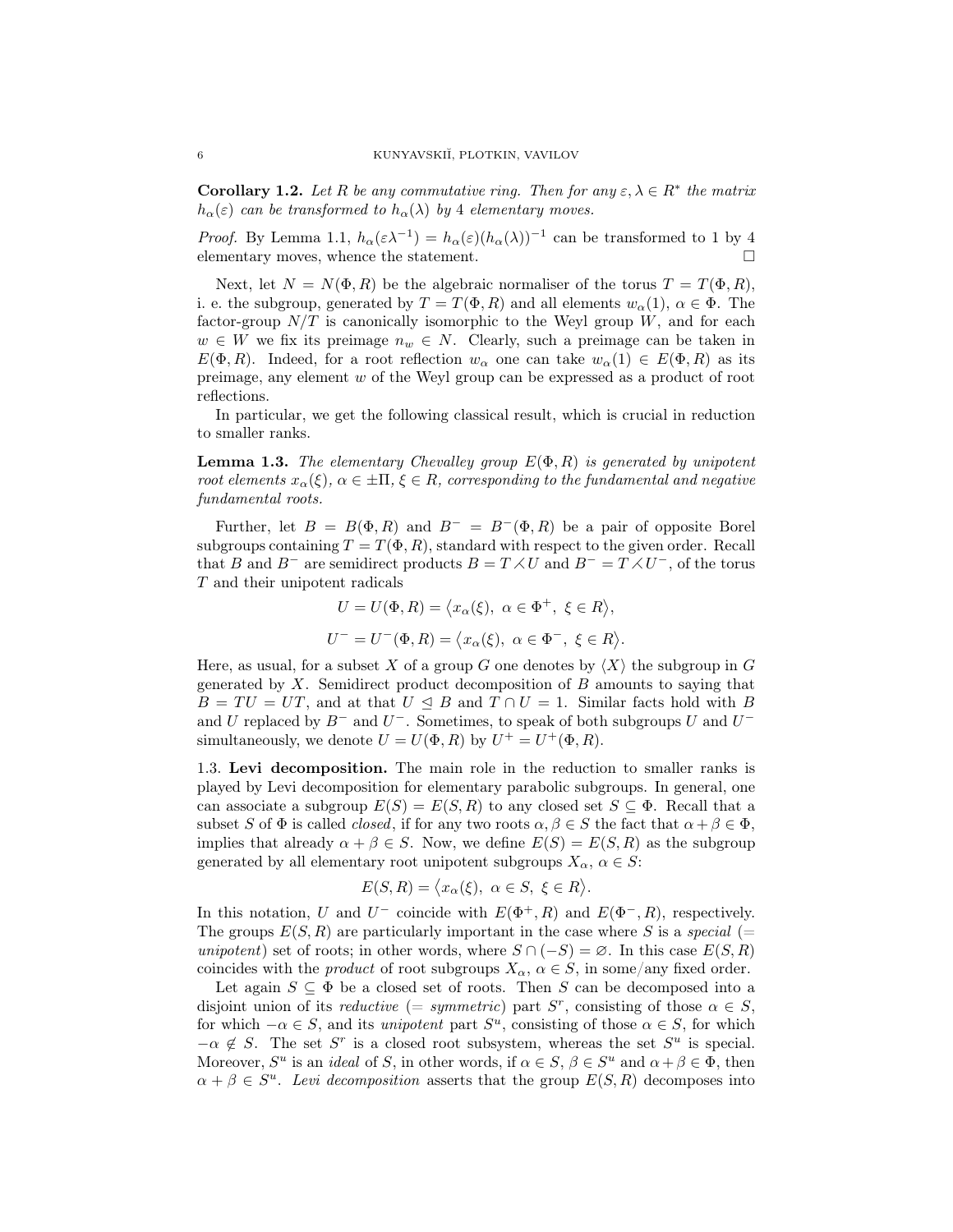**Corollary 1.2.** Let R be any commutative ring. Then for any  $\varepsilon, \lambda \in \mathbb{R}^*$  the matrix  $h_{\alpha}(\varepsilon)$  can be transformed to  $h_{\alpha}(\lambda)$  by 4 elementary moves.

*Proof.* By Lemma 1.1,  $h_{\alpha}(\epsilon \lambda^{-1}) = h_{\alpha}(\epsilon)(h_{\alpha}(\lambda))^{-1}$  can be transformed to 1 by 4 elementary moves, whence the statement.  $\qquad \qquad \Box$ 

Next, let  $N = N(\Phi, R)$  be the algebraic normaliser of the torus  $T = T(\Phi, R)$ , i. e. the subgroup, generated by  $T = T(\Phi, R)$  and all elements  $w_\alpha(1), \alpha \in \Phi$ . The factor-group  $N/T$  is canonically isomorphic to the Weyl group W, and for each  $w \in W$  we fix its preimage  $n_w \in N$ . Clearly, such a preimage can be taken in  $E(\Phi, R)$ . Indeed, for a root reflection  $w_\alpha$  one can take  $w_\alpha(1) \in E(\Phi, R)$  as its preimage, any element w of the Weyl group can be expressed as a product of root reflections.

In particular, we get the following classical result, which is crucial in reduction to smaller ranks.

**Lemma 1.3.** The elementary Chevalley group  $E(\Phi, R)$  is generated by unipotent root elements  $x_\alpha(\xi)$ ,  $\alpha \in \pm \Pi$ ,  $\xi \in R$ , corresponding to the fundamental and negative fundamental roots.

Further, let  $B = B(\Phi, R)$  and  $B^- = B^-(\Phi, R)$  be a pair of opposite Borel subgroups containing  $T = T(\Phi, R)$ , standard with respect to the given order. Recall that B and B<sup>-</sup> are semidirect products  $B = T \times U$  and  $B^- = T \times U^-$ , of the torus T and their unipotent radicals

> $U = U(\Phi, R) = \langle x_\alpha(\xi), \alpha \in \Phi^+, \xi \in R \rangle,$  $U^- = U^-(\Phi, R) = \langle x_\alpha(\xi), \alpha \in \Phi^-, \xi \in R \rangle.$

Here, as usual, for a subset X of a group G one denotes by  $\langle X \rangle$  the subgroup in G generated by  $X$ . Semidirect product decomposition of  $B$  amounts to saying that  $B = TU = UT$ , and at that  $U \subseteq B$  and  $T \cap U = 1$ . Similar facts hold with B and U replaced by  $B^-$  and  $U^-$ . Sometimes, to speak of both subgroups U and  $U^$ simultaneously, we denote  $U = U(\Phi, R)$  by  $U^+ = U^+(\Phi, R)$ .

1.3. Levi decomposition. The main role in the reduction to smaller ranks is played by Levi decomposition for elementary parabolic subgroups. In general, one can associate a subgroup  $E(S) = E(S, R)$  to any closed set  $S \subseteq \Phi$ . Recall that a subset S of  $\Phi$  is called *closed*, if for any two roots  $\alpha, \beta \in S$  the fact that  $\alpha + \beta \in \Phi$ , implies that already  $\alpha + \beta \in S$ . Now, we define  $E(S) = E(S, R)$  as the subgroup generated by all elementary root unipotent subgroups  $X_{\alpha}$ ,  $\alpha \in S$ :

$$
E(S,R) = \langle x_{\alpha}(\xi), \ \alpha \in S, \ \xi \in R \rangle.
$$

In this notation, U and U<sup>-</sup> coincide with  $E(\Phi^+, R)$  and  $E(\Phi^-, R)$ , respectively. The groups  $E(S, R)$  are particularly important in the case where S is a special (= unipotent) set of roots; in other words, where  $S \cap (-S) = \emptyset$ . In this case  $E(S, R)$ coincides with the *product* of root subgroups  $X_{\alpha}$ ,  $\alpha \in S$ , in some/any fixed order.

Let again  $S \subseteq \Phi$  be a closed set of roots. Then S can be decomposed into a disjoint union of its *reductive* (= symmetric) part  $S<sup>r</sup>$ , consisting of those  $\alpha \in S$ , for which  $-\alpha \in S$ , and its *unipotent* part  $S^u$ , consisting of those  $\alpha \in S$ , for which  $-\alpha \notin S$ . The set S<sup>r</sup> is a closed root subsystem, whereas the set S<sup>u</sup> is special. Moreover,  $S^u$  is an *ideal* of S, in other words, if  $\alpha \in S$ ,  $\beta \in S^u$  and  $\alpha + \beta \in \Phi$ , then  $\alpha + \beta \in S^u$ . Levi decomposition asserts that the group  $E(S, R)$  decomposes into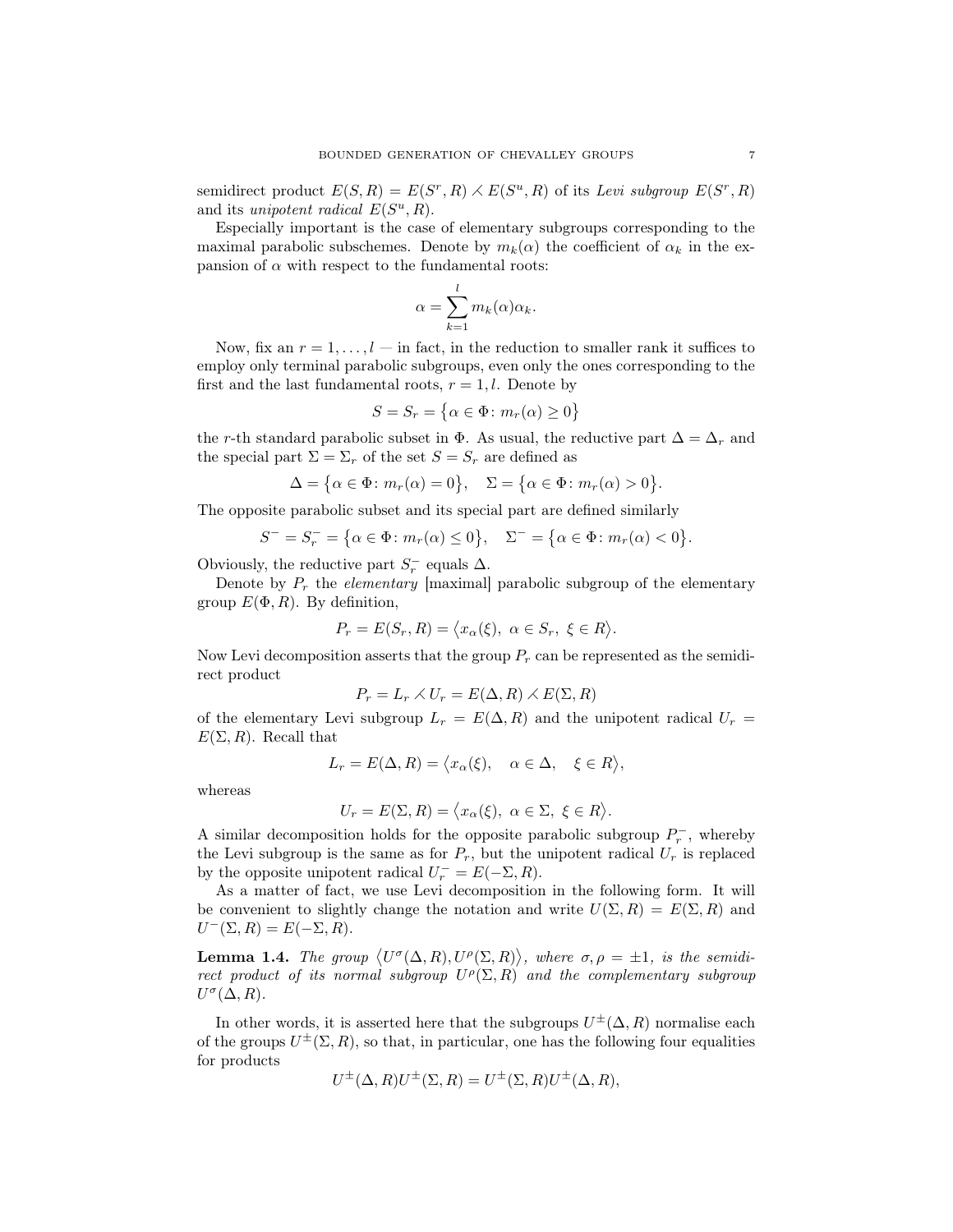semidirect product  $E(S, R) = E(S^r, R) \times E(S^u, R)$  of its Levi subgroup  $E(S^r, R)$ and its unipotent radical  $E(S^u, R)$ .

Especially important is the case of elementary subgroups corresponding to the maximal parabolic subschemes. Denote by  $m_k(\alpha)$  the coefficient of  $\alpha_k$  in the expansion of  $\alpha$  with respect to the fundamental roots:

$$
\alpha = \sum_{k=1}^{l} m_k(\alpha) \alpha_k.
$$

Now, fix an  $r = 1, \ldots, l$  — in fact, in the reduction to smaller rank it suffices to employ only terminal parabolic subgroups, even only the ones corresponding to the first and the last fundamental roots,  $r = 1, l$ . Denote by

$$
S = S_r = \{ \alpha \in \Phi \colon m_r(\alpha) \ge 0 \}
$$

the r-th standard parabolic subset in  $\Phi$ . As usual, the reductive part  $\Delta = \Delta_r$  and the special part  $\Sigma = \Sigma_r$  of the set  $S = S_r$  are defined as

$$
\Delta = \{ \alpha \in \Phi \colon m_r(\alpha) = 0 \}, \quad \Sigma = \{ \alpha \in \Phi \colon m_r(\alpha) > 0 \}.
$$

The opposite parabolic subset and its special part are defined similarly

$$
S^- = S_r^- = \{ \alpha \in \Phi \colon m_r(\alpha) \le 0 \}, \quad \Sigma^- = \{ \alpha \in \Phi \colon m_r(\alpha) < 0 \}.
$$

Obviously, the reductive part  $S_r^-$  equals  $\Delta$ .

Denote by  $P_r$  the *elementary* [maximal] parabolic subgroup of the elementary group  $E(\Phi, R)$ . By definition,

$$
P_r = E(S_r, R) = \langle x_\alpha(\xi), \ \alpha \in S_r, \ \xi \in R \rangle.
$$

Now Levi decomposition asserts that the group  $P_r$  can be represented as the semidirect product

$$
P_r = L_r \times U_r = E(\Delta, R) \times E(\Sigma, R)
$$

of the elementary Levi subgroup  $L_r = E(\Delta, R)$  and the unipotent radical  $U_r =$  $E(\Sigma, R)$ . Recall that

$$
L_r = E(\Delta, R) = \langle x_\alpha(\xi), \quad \alpha \in \Delta, \quad \xi \in R \rangle,
$$

whereas

$$
U_r = E(\Sigma, R) = \langle x_\alpha(\xi), \ \alpha \in \Sigma, \ \xi \in R \rangle.
$$

A similar decomposition holds for the opposite parabolic subgroup  $P_r^-$ , whereby the Levi subgroup is the same as for  $P_r$ , but the unipotent radical  $U_r$  is replaced by the opposite unipotent radical  $U_r^- = E(-\Sigma, R)$ .

As a matter of fact, we use Levi decomposition in the following form. It will be convenient to slightly change the notation and write  $U(\Sigma, R) = E(\Sigma, R)$  and  $U^-(\Sigma,R) = E(-\Sigma,R).$ 

**Lemma 1.4.** The group  $\langle U^{\sigma}(\Delta, R), U^{\rho}(\Sigma, R) \rangle$ , where  $\sigma, \rho = \pm 1$ , is the semidirect product of its normal subgroup  $U^{\rho}(\Sigma, R)$  and the complementary subgroup  $U^{\sigma}(\Delta, R)$ .

In other words, it is asserted here that the subgroups  $U^{\pm}(\Delta, R)$  normalise each of the groups  $U^{\pm}(\Sigma, R)$ , so that, in particular, one has the following four equalities for products

$$
U^{\pm}(\Delta, R)U^{\pm}(\Sigma, R) = U^{\pm}(\Sigma, R)U^{\pm}(\Delta, R),
$$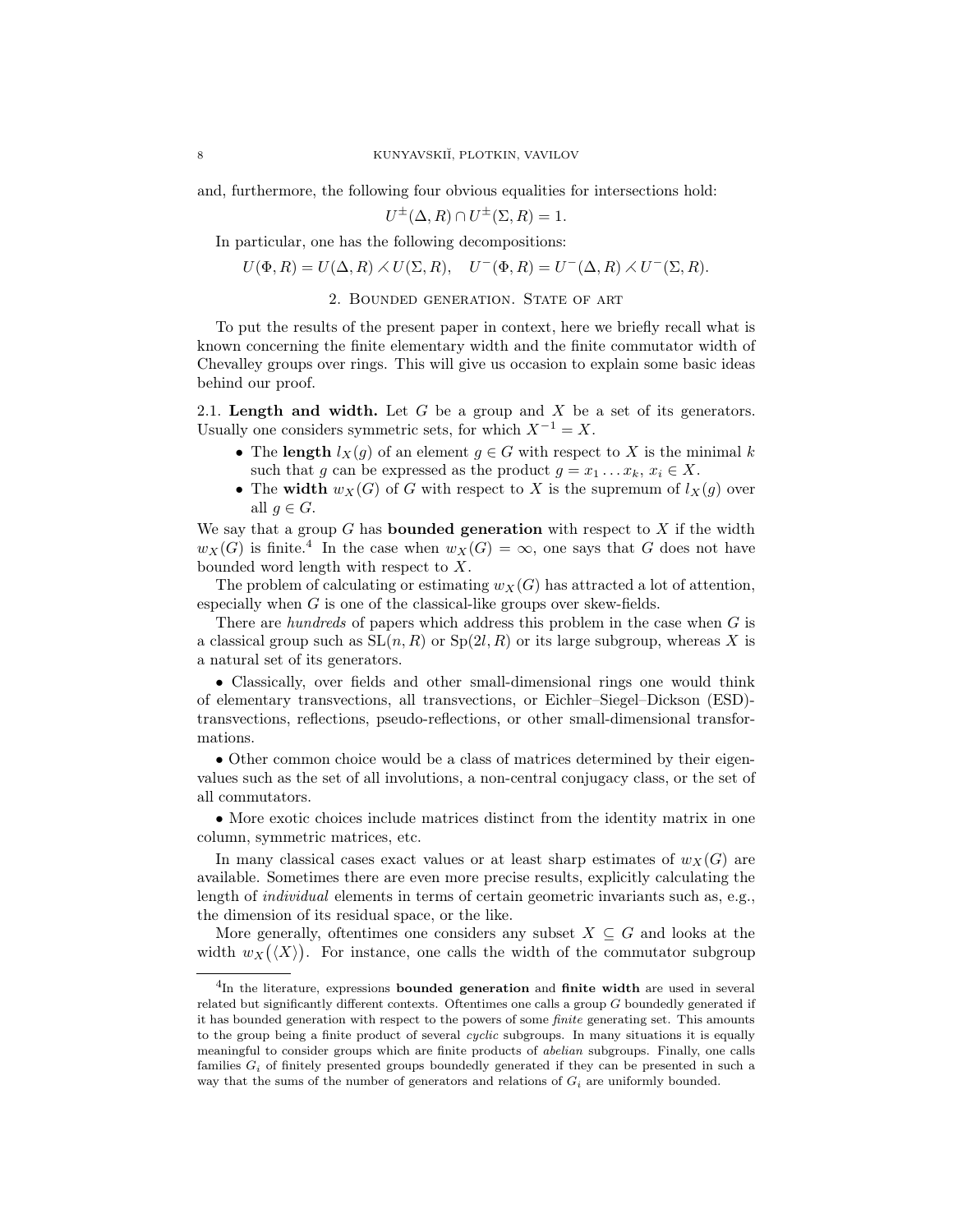and, furthermore, the following four obvious equalities for intersections hold:

$$
U^{\pm}(\Delta, R) \cap U^{\pm}(\Sigma, R) = 1.
$$

In particular, one has the following decompositions:

$$
U(\Phi, R) = U(\Delta, R) \times U(\Sigma, R), \quad U^-(\Phi, R) = U^-(\Delta, R) \times U^-(\Sigma, R).
$$

2. Bounded generation. State of art

To put the results of the present paper in context, here we briefly recall what is known concerning the finite elementary width and the finite commutator width of Chevalley groups over rings. This will give us occasion to explain some basic ideas behind our proof.

2.1. Length and width. Let  $G$  be a group and  $X$  be a set of its generators. Usually one considers symmetric sets, for which  $X^{-1} = X$ .

- The length  $l_X(g)$  of an element  $g \in G$  with respect to X is the minimal k such that g can be expressed as the product  $g = x_1 \dots x_k, x_i \in X$ .
- The width  $w_X(G)$  of G with respect to X is the supremum of  $l_X(g)$  over all  $q \in G$ .

We say that a group  $G$  has **bounded generation** with respect to  $X$  if the width  $w_X(G)$  is finite.<sup>4</sup> In the case when  $w_X(G) = \infty$ , one says that G does not have bounded word length with respect to X.

The problem of calculating or estimating  $w_X(G)$  has attracted a lot of attention, especially when  $G$  is one of the classical-like groups over skew-fields.

There are *hundreds* of papers which address this problem in the case when  $G$  is a classical group such as  $SL(n, R)$  or  $Sp(2l, R)$  or its large subgroup, whereas X is a natural set of its generators.

• Classically, over fields and other small-dimensional rings one would think of elementary transvections, all transvections, or Eichler–Siegel–Dickson (ESD) transvections, reflections, pseudo-reflections, or other small-dimensional transformations.

• Other common choice would be a class of matrices determined by their eigenvalues such as the set of all involutions, a non-central conjugacy class, or the set of all commutators.

• More exotic choices include matrices distinct from the identity matrix in one column, symmetric matrices, etc.

In many classical cases exact values or at least sharp estimates of  $w_X(G)$  are available. Sometimes there are even more precise results, explicitly calculating the length of individual elements in terms of certain geometric invariants such as, e.g., the dimension of its residual space, or the like.

More generally, oftentimes one considers any subset  $X \subseteq G$  and looks at the width  $w_X(\langle X \rangle)$ . For instance, one calls the width of the commutator subgroup

 ${}^{4}$ In the literature, expressions **bounded generation** and **finite width** are used in several related but significantly different contexts. Oftentimes one calls a group G boundedly generated if it has bounded generation with respect to the powers of some *finite* generating set. This amounts to the group being a finite product of several *cyclic* subgroups. In many situations it is equally meaningful to consider groups which are finite products of *abelian* subgroups. Finally, one calls families  $G_i$  of finitely presented groups boundedly generated if they can be presented in such a way that the sums of the number of generators and relations of  $G_i$  are uniformly bounded.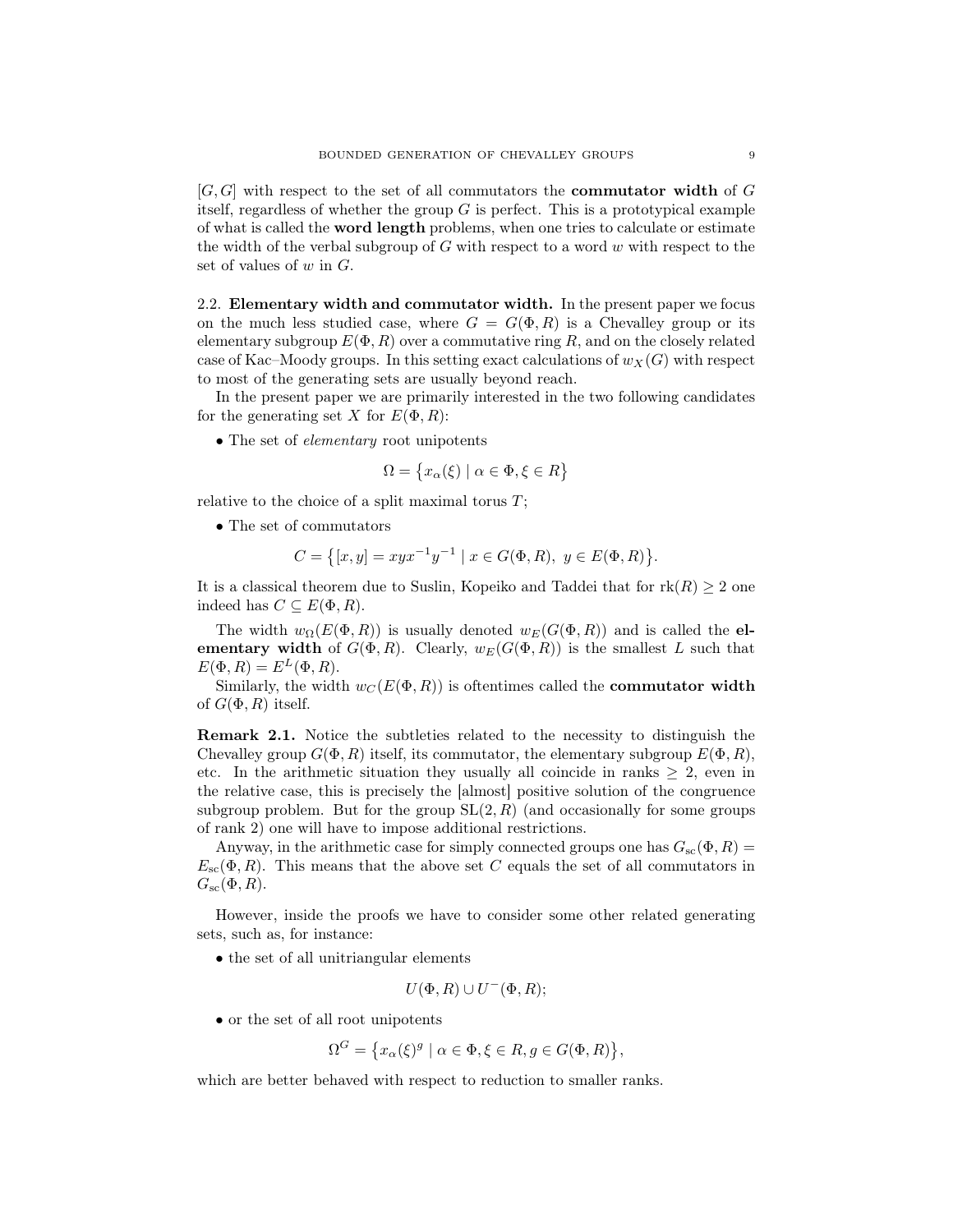$[G, G]$  with respect to the set of all commutators the **commutator width** of G itself, regardless of whether the group  $G$  is perfect. This is a prototypical example of what is called the word length problems, when one tries to calculate or estimate the width of the verbal subgroup of  $G$  with respect to a word  $w$  with respect to the set of values of  $w$  in  $G$ .

2.2. Elementary width and commutator width. In the present paper we focus on the much less studied case, where  $G = G(\Phi, R)$  is a Chevalley group or its elementary subgroup  $E(\Phi, R)$  over a commutative ring R, and on the closely related case of Kac–Moody groups. In this setting exact calculations of  $w_X(G)$  with respect to most of the generating sets are usually beyond reach.

In the present paper we are primarily interested in the two following candidates for the generating set X for  $E(\Phi, R)$ :

• The set of *elementary* root unipotents

$$
\Omega = \{ x_{\alpha}(\xi) \mid \alpha \in \Phi, \xi \in R \}
$$

relative to the choice of a split maximal torus  $T$ ;

• The set of commutators

$$
C = \{ [x, y] = xyx^{-1}y^{-1} \mid x \in G(\Phi, R), y \in E(\Phi, R) \}.
$$

It is a classical theorem due to Suslin, Kopeiko and Taddei that for  $rk(R) \geq 2$  one indeed has  $C \subseteq E(\Phi, R)$ .

The width  $w_{\Omega}(E(\Phi, R))$  is usually denoted  $w_{E}(G(\Phi, R))$  and is called the elementary width of  $G(\Phi, R)$ . Clearly,  $w_E(G(\Phi, R))$  is the smallest L such that  $E(\Phi, R) = E^L(\Phi, R).$ 

Similarly, the width  $w_C(E(\Phi, R))$  is oftentimes called the **commutator width** of  $G(\Phi, R)$  itself.

Remark 2.1. Notice the subtleties related to the necessity to distinguish the Chevalley group  $G(\Phi, R)$  itself, its commutator, the elementary subgroup  $E(\Phi, R)$ , etc. In the arithmetic situation they usually all coincide in ranks  $\geq 2$ , even in the relative case, this is precisely the [almost] positive solution of the congruence subgroup problem. But for the group  $SL(2, R)$  (and occasionally for some groups of rank 2) one will have to impose additional restrictions.

Anyway, in the arithmetic case for simply connected groups one has  $G_{\rm sc}(\Phi, R)$  =  $E_{\rm sc}(\Phi, R)$ . This means that the above set C equals the set of all commutators in  $G_{\rm sc}(\Phi, R)$ .

However, inside the proofs we have to consider some other related generating sets, such as, for instance:

• the set of all unitriangular elements

$$
U(\Phi, R) \cup U^-(\Phi, R);
$$

• or the set of all root unipotents

$$
\Omega^G = \{ x_\alpha(\xi)^g \mid \alpha \in \Phi, \xi \in R, g \in G(\Phi, R) \},
$$

which are better behaved with respect to reduction to smaller ranks.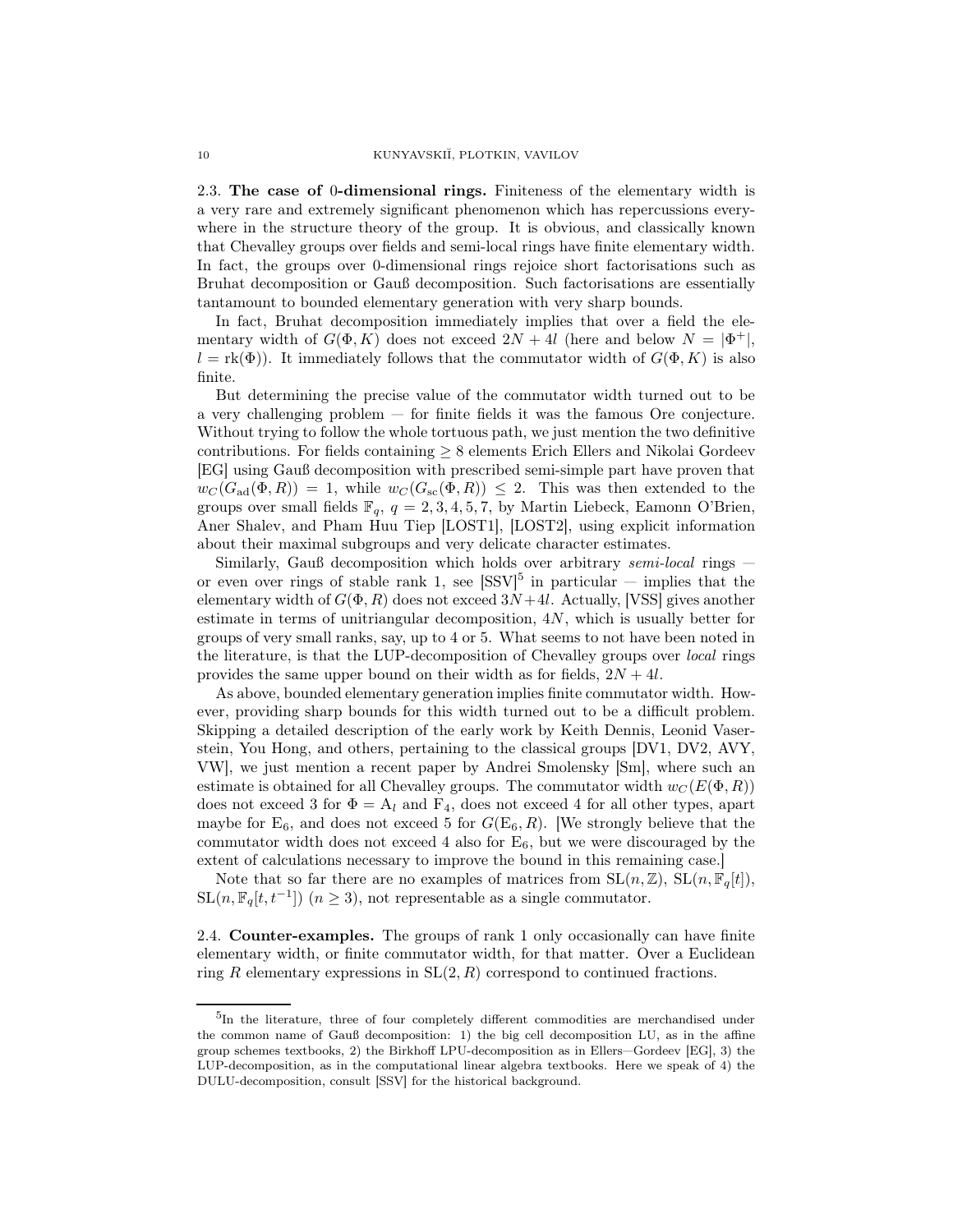2.3. The case of 0-dimensional rings. Finiteness of the elementary width is a very rare and extremely significant phenomenon which has repercussions everywhere in the structure theory of the group. It is obvious, and classically known that Chevalley groups over fields and semi-local rings have finite elementary width. In fact, the groups over 0-dimensional rings rejoice short factorisations such as Bruhat decomposition or Gauß decomposition. Such factorisations are essentially tantamount to bounded elementary generation with very sharp bounds.

In fact, Bruhat decomposition immediately implies that over a field the elementary width of  $G(\Phi, K)$  does not exceed  $2N + 4l$  (here and below  $N = |\Phi^+|$ ,  $l = \text{rk}(\Phi)$ ). It immediately follows that the commutator width of  $G(\Phi, K)$  is also finite.

But determining the precise value of the commutator width turned out to be a very challenging problem — for finite fields it was the famous Ore conjecture. Without trying to follow the whole tortuous path, we just mention the two definitive contributions. For fields containing  $\geq 8$  elements Erich Ellers and Nikolai Gordeev [EG] using Gauß decomposition with prescribed semi-simple part have proven that  $w_C(G_{ad}(\Phi, R)) = 1$ , while  $w_C(G_{sc}(\Phi, R)) \leq 2$ . This was then extended to the groups over small fields  $\mathbb{F}_q$ ,  $q = 2, 3, 4, 5, 7$ , by Martin Liebeck, Eamonn O'Brien, Aner Shalev, and Pham Huu Tiep [LOST1], [LOST2], using explicit information about their maximal subgroups and very delicate character estimates.

Similarly, Gauß decomposition which holds over arbitrary semi-local rings  $$ or even over rings of stable rank 1, see  $\text{[SSV]}^5$  in particular  $-$  implies that the elementary width of  $G(\Phi, R)$  does not exceed  $3N+4l$ . Actually, [VSS] gives another estimate in terms of unitriangular decomposition,  $4N$ , which is usually better for groups of very small ranks, say, up to 4 or 5. What seems to not have been noted in the literature, is that the LUP-decomposition of Chevalley groups over local rings provides the same upper bound on their width as for fields,  $2N + 4l$ .

As above, bounded elementary generation implies finite commutator width. However, providing sharp bounds for this width turned out to be a difficult problem. Skipping a detailed description of the early work by Keith Dennis, Leonid Vaserstein, You Hong, and others, pertaining to the classical groups [DV1, DV2, AVY, VW], we just mention a recent paper by Andrei Smolensky [Sm], where such an estimate is obtained for all Chevalley groups. The commutator width  $w_C(E(\Phi, R))$ does not exceed 3 for  $\Phi = A_l$  and  $F_4$ , does not exceed 4 for all other types, apart maybe for  $E_6$ , and does not exceed 5 for  $G(E_6, R)$ . [We strongly believe that the commutator width does not exceed 4 also for  $E_6$ , but we were discouraged by the extent of calculations necessary to improve the bound in this remaining case.]

Note that so far there are no examples of matrices from  $SL(n, \mathbb{Z})$ ,  $SL(n, \mathbb{F}_q[t])$ ,  $\text{SL}(n, \mathbb{F}_q[t, t^{-1}])$   $(n \geq 3)$ , not representable as a single commutator.

2.4. Counter-examples. The groups of rank 1 only occasionally can have finite elementary width, or finite commutator width, for that matter. Over a Euclidean ring R elementary expressions in  $SL(2, R)$  correspond to continued fractions.

<sup>&</sup>lt;sup>5</sup>In the literature, three of four completely different commodities are merchandised under the common name of Gauß decomposition: 1) the big cell decomposition LU, as in the affine group schemes textbooks, 2) the Birkhoff LPU-decomposition as in Ellers—Gordeev [EG], 3) the LUP-decomposition, as in the computational linear algebra textbooks. Here we speak of 4) the DULU-decomposition, consult [SSV] for the historical background.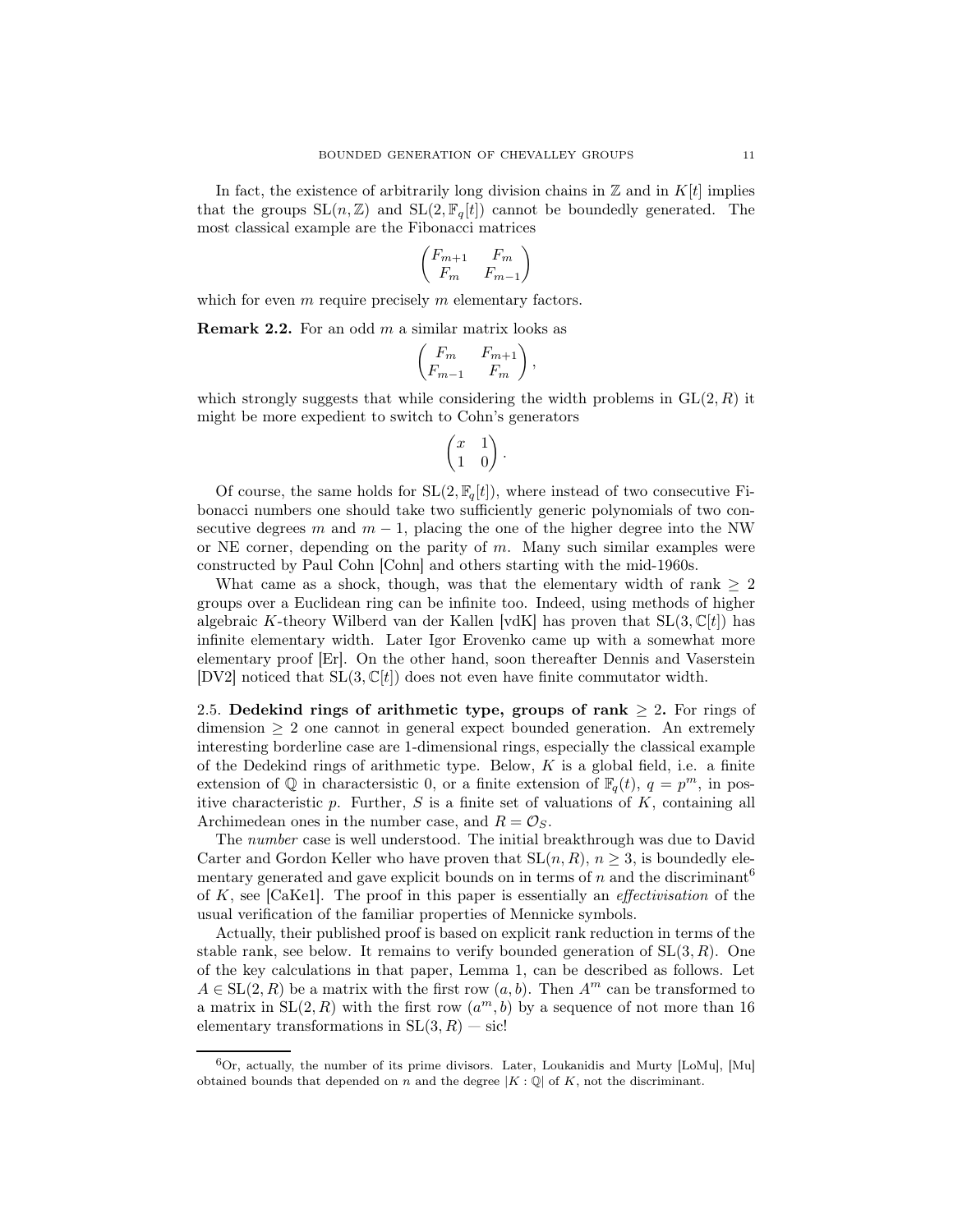In fact, the existence of arbitrarily long division chains in  $\mathbb{Z}$  and in  $K[t]$  implies that the groups  $SL(n, \mathbb{Z})$  and  $SL(2, \mathbb{F}_q[t])$  cannot be boundedly generated. The most classical example are the Fibonacci matrices

$$
\begin{pmatrix} F_{m+1} & F_m \\ F_m & F_{m-1} \end{pmatrix}
$$

which for even  $m$  require precisely  $m$  elementary factors.

**Remark 2.2.** For an odd  $m$  a similar matrix looks as

$$
\begin{pmatrix} F_m & F_{m+1} \\ F_{m-1} & F_m \end{pmatrix},
$$

which strongly suggests that while considering the width problems in  $GL(2, R)$  it might be more expedient to switch to Cohn's generators

$$
\begin{pmatrix} x & 1 \\ 1 & 0 \end{pmatrix}.
$$

Of course, the same holds for  $SL(2, \mathbb{F}_q[t])$ , where instead of two consecutive Fibonacci numbers one should take two sufficiently generic polynomials of two consecutive degrees m and  $m-1$ , placing the one of the higher degree into the NW or NE corner, depending on the parity of  $m$ . Many such similar examples were constructed by Paul Cohn [Cohn] and others starting with the mid-1960s.

What came as a shock, though, was that the elementary width of rank  $\geq 2$ groups over a Euclidean ring can be infinite too. Indeed, using methods of higher algebraic K-theory Wilberd van der Kallen  $[\text{vdK}]$  has proven that  $SL(3,\mathbb{C}[t])$  has infinite elementary width. Later Igor Erovenko came up with a somewhat more elementary proof [Er]. On the other hand, soon thereafter Dennis and Vaserstein [DV2] noticed that  $SL(3,\mathbb{C}[t])$  does not even have finite commutator width.

2.5. Dedekind rings of arithmetic type, groups of rank  $\geq$  2. For rings of dimension  $\geq 2$  one cannot in general expect bounded generation. An extremely interesting borderline case are 1-dimensional rings, especially the classical example of the Dedekind rings of arithmetic type. Below,  $K$  is a global field, i.e. a finite extension of  $\mathbb Q$  in charactersistic 0, or a finite extension of  $\mathbb F_q(t)$ ,  $q = p^m$ , in positive characteristic  $p$ . Further,  $S$  is a finite set of valuations of  $K$ , containing all Archimedean ones in the number case, and  $R = \mathcal{O}_S$ .

The number case is well understood. The initial breakthrough was due to David Carter and Gordon Keller who have proven that  $SL(n, R)$ ,  $n \geq 3$ , is boundedly elementary generated and gave explicit bounds on in terms of  $n$  and the discriminant<sup>6</sup> of  $K$ , see [CaKe1]. The proof in this paper is essentially an *effectivisation* of the usual verification of the familiar properties of Mennicke symbols.

Actually, their published proof is based on explicit rank reduction in terms of the stable rank, see below. It remains to verify bounded generation of  $SL(3, R)$ . One of the key calculations in that paper, Lemma 1, can be described as follows. Let  $A \in SL(2, R)$  be a matrix with the first row  $(a, b)$ . Then  $A<sup>m</sup>$  can be transformed to a matrix in  $SL(2, R)$  with the first row  $(a^m, b)$  by a sequence of not more than 16 elementary transformations in  $SL(3, R) -$  sic!

 ${}^{6}$ Or, actually, the number of its prime divisors. Later, Loukanidis and Murty [LoMu], [Mu] obtained bounds that depended on n and the degree  $|K: \mathbb{Q}|$  of K, not the discriminant.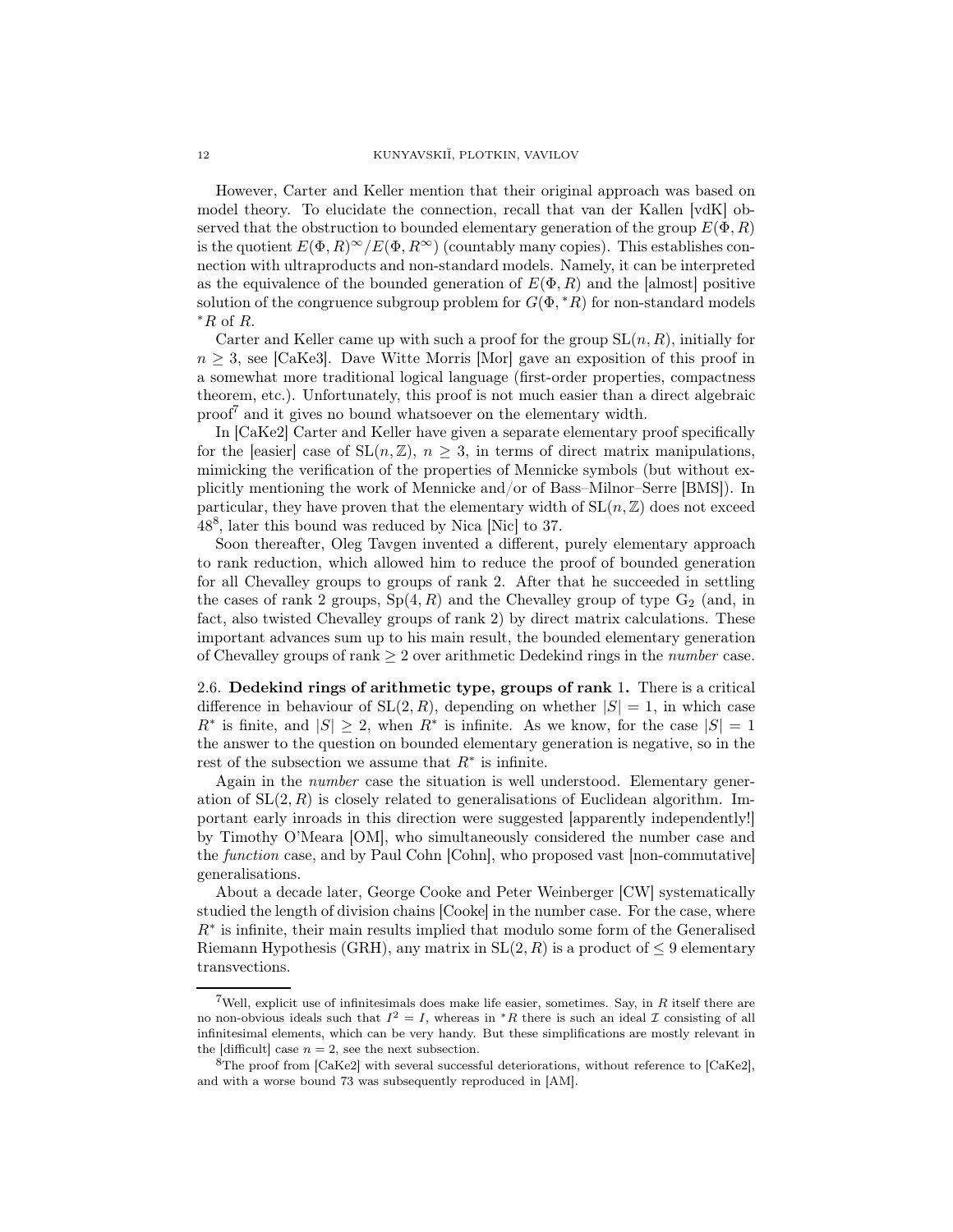However, Carter and Keller mention that their original approach was based on model theory. To elucidate the connection, recall that van der Kallen [vdK] observed that the obstruction to bounded elementary generation of the group  $E(\Phi, R)$ is the quotient  $E(\Phi, R)^\infty / E(\Phi, R^\infty)$  (countably many copies). This establishes connection with ultraproducts and non-standard models. Namely, it can be interpreted as the equivalence of the bounded generation of  $E(\Phi, R)$  and the [almost] positive solution of the congruence subgroup problem for  $G(\Phi, *R)$  for non-standard models  $*R$  of R.

Carter and Keller came up with such a proof for the group  $SL(n, R)$ , initially for  $n \geq 3$ , see [CaKe3]. Dave Witte Morris [Mor] gave an exposition of this proof in a somewhat more traditional logical language (first-order properties, compactness theorem, etc.). Unfortunately, this proof is not much easier than a direct algebraic proof<sup>7</sup> and it gives no bound whatsoever on the elementary width.

In [CaKe2] Carter and Keller have given a separate elementary proof specifically for the [easier] case of  $SL(n, \mathbb{Z})$ ,  $n \geq 3$ , in terms of direct matrix manipulations, mimicking the verification of the properties of Mennicke symbols (but without explicitly mentioning the work of Mennicke and/or of Bass–Milnor–Serre [BMS]). In particular, they have proven that the elementary width of  $SL(n, \mathbb{Z})$  does not exceed 48<sup>8</sup> , later this bound was reduced by Nica [Nic] to 37.

Soon thereafter, Oleg Tavgen invented a different, purely elementary approach to rank reduction, which allowed him to reduce the proof of bounded generation for all Chevalley groups to groups of rank 2. After that he succeeded in settling the cases of rank 2 groups,  $Sp(4, R)$  and the Chevalley group of type  $G_2$  (and, in fact, also twisted Chevalley groups of rank 2) by direct matrix calculations. These important advances sum up to his main result, the bounded elementary generation of Chevalley groups of rank  $\geq 2$  over arithmetic Dedekind rings in the *number* case.

2.6. Dedekind rings of arithmetic type, groups of rank 1. There is a critical difference in behaviour of  $SL(2, R)$ , depending on whether  $|S| = 1$ , in which case  $R^*$  is finite, and  $|S| \geq 2$ , when  $R^*$  is infinite. As we know, for the case  $|S| = 1$ the answer to the question on bounded elementary generation is negative, so in the rest of the subsection we assume that  $R^*$  is infinite.

Again in the number case the situation is well understood. Elementary generation of  $SL(2, R)$  is closely related to generalisations of Euclidean algorithm. Important early inroads in this direction were suggested [apparently independently!] by Timothy O'Meara [OM], who simultaneously considered the number case and the function case, and by Paul Cohn [Cohn], who proposed vast [non-commutative] generalisations.

About a decade later, George Cooke and Peter Weinberger [CW] systematically studied the length of division chains [Cooke] in the number case. For the case, where R∗ is infinite, their main results implied that modulo some form of the Generalised Riemann Hypothesis (GRH), any matrix in  $SL(2, R)$  is a product of  $\leq 9$  elementary transvections.

<sup>&</sup>lt;sup>7</sup>Well, explicit use of infinitesimals does make life easier, sometimes. Say, in  $R$  itself there are no non-obvious ideals such that  $I^2 = I$ , whereas in \*R there is such an ideal  $\mathcal I$  consisting of all infinitesimal elements, which can be very handy. But these simplifications are mostly relevant in the [difficult] case  $n = 2$ , see the next subsection.

 ${}^{8}$ The proof from [CaKe2] with several successful deteriorations, without reference to [CaKe2], and with a worse bound 73 was subsequently reproduced in [AM].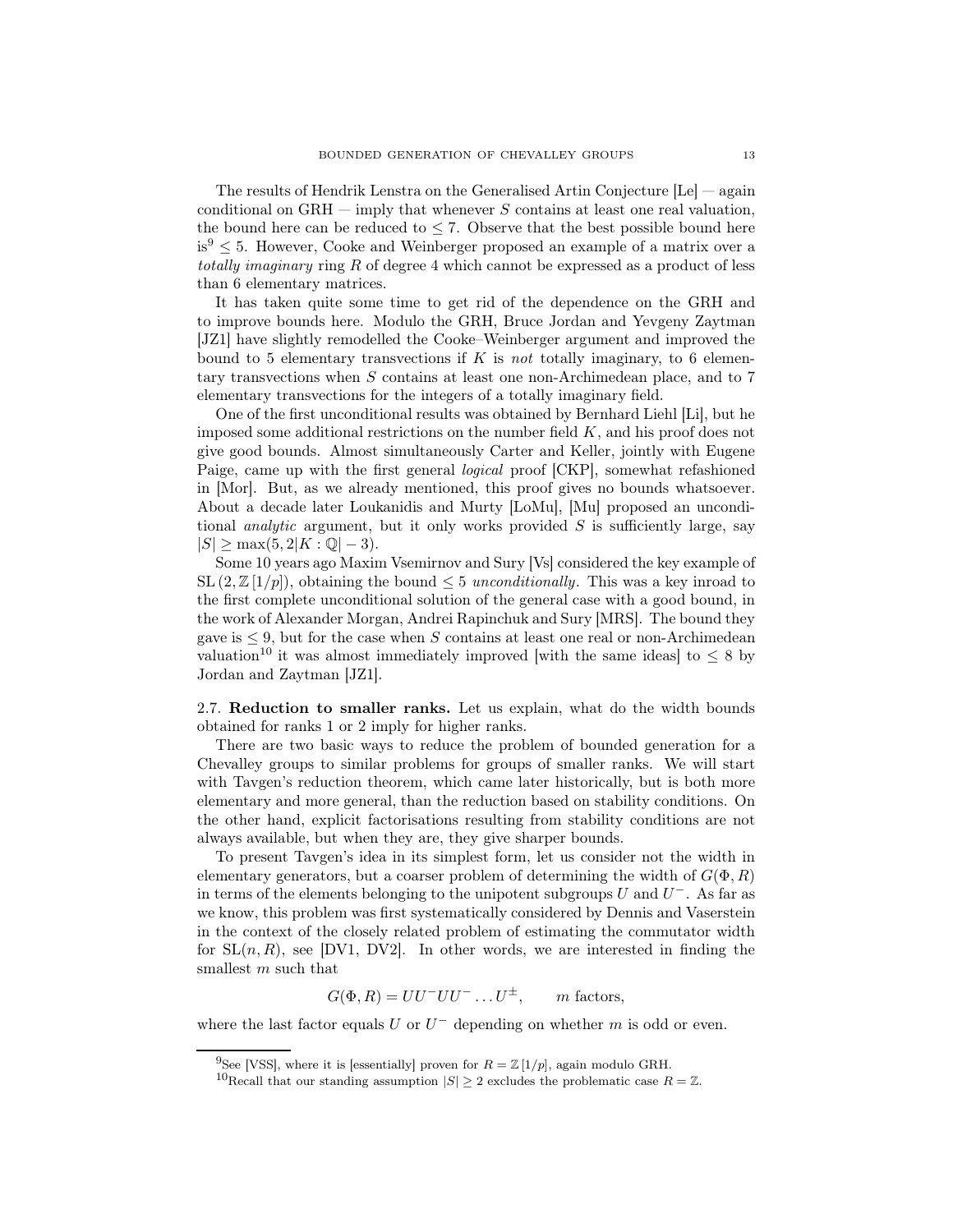The results of Hendrik Lenstra on the Generalised Artin Conjecture [Le] — again conditional on  $GRH$  — imply that whenever S contains at least one real valuation, the bound here can be reduced to  $\leq 7$ . Observe that the best possible bound here  $is^9 \leq 5$ . However, Cooke and Weinberger proposed an example of a matrix over a totally imaginary ring R of degree 4 which cannot be expressed as a product of less than 6 elementary matrices.

It has taken quite some time to get rid of the dependence on the GRH and to improve bounds here. Modulo the GRH, Bruce Jordan and Yevgeny Zaytman [JZ1] have slightly remodelled the Cooke–Weinberger argument and improved the bound to 5 elementary transvections if  $K$  is not totally imaginary, to 6 elementary transvections when S contains at least one non-Archimedean place, and to 7 elementary transvections for the integers of a totally imaginary field.

One of the first unconditional results was obtained by Bernhard Liehl [Li], but he imposed some additional restrictions on the number field  $K$ , and his proof does not give good bounds. Almost simultaneously Carter and Keller, jointly with Eugene Paige, came up with the first general logical proof [CKP], somewhat refashioned in [Mor]. But, as we already mentioned, this proof gives no bounds whatsoever. About a decade later Loukanidis and Murty [LoMu], [Mu] proposed an unconditional *analytic* argument, but it only works provided  $S$  is sufficiently large, say  $|S| \ge \max(5, 2|K : \mathbb{Q}|-3).$ 

Some 10 years ago Maxim Vsemirnov and Sury [Vs] considered the key example of SL  $(2, \mathbb{Z}[1/p])$ , obtaining the bound  $\leq 5$  unconditionally. This was a key inroad to the first complete unconditional solution of the general case with a good bound, in the work of Alexander Morgan, Andrei Rapinchuk and Sury [MRS]. The bound they gave is  $\leq 9$ , but for the case when S contains at least one real or non-Archimedean valuation<sup>10</sup> it was almost immediately improved [with the same ideas] to  $\leq 8$  by Jordan and Zaytman [JZ1].

2.7. Reduction to smaller ranks. Let us explain, what do the width bounds obtained for ranks 1 or 2 imply for higher ranks.

There are two basic ways to reduce the problem of bounded generation for a Chevalley groups to similar problems for groups of smaller ranks. We will start with Tavgen's reduction theorem, which came later historically, but is both more elementary and more general, than the reduction based on stability conditions. On the other hand, explicit factorisations resulting from stability conditions are not always available, but when they are, they give sharper bounds.

To present Tavgen's idea in its simplest form, let us consider not the width in elementary generators, but a coarser problem of determining the width of  $G(\Phi, R)$ in terms of the elements belonging to the unipotent subgroups U and  $U^-$ . As far as we know, this problem was first systematically considered by Dennis and Vaserstein in the context of the closely related problem of estimating the commutator width for  $SL(n, R)$ , see [DV1, DV2]. In other words, we are interested in finding the smallest m such that

 $G(\Phi, R) = UU^-UU^- \dots U^{\pm}, \qquad m \text{ factors},$ 

where the last factor equals  $U$  or  $U^-$  depending on whether  $m$  is odd or even.

<sup>&</sup>lt;sup>9</sup>See [VSS], where it is [essentially] proven for  $R = \mathbb{Z} [1/p]$ , again modulo GRH.

<sup>&</sup>lt;sup>10</sup>Recall that our standing assumption  $|S| \geq 2$  excludes the problematic case  $R = \mathbb{Z}$ .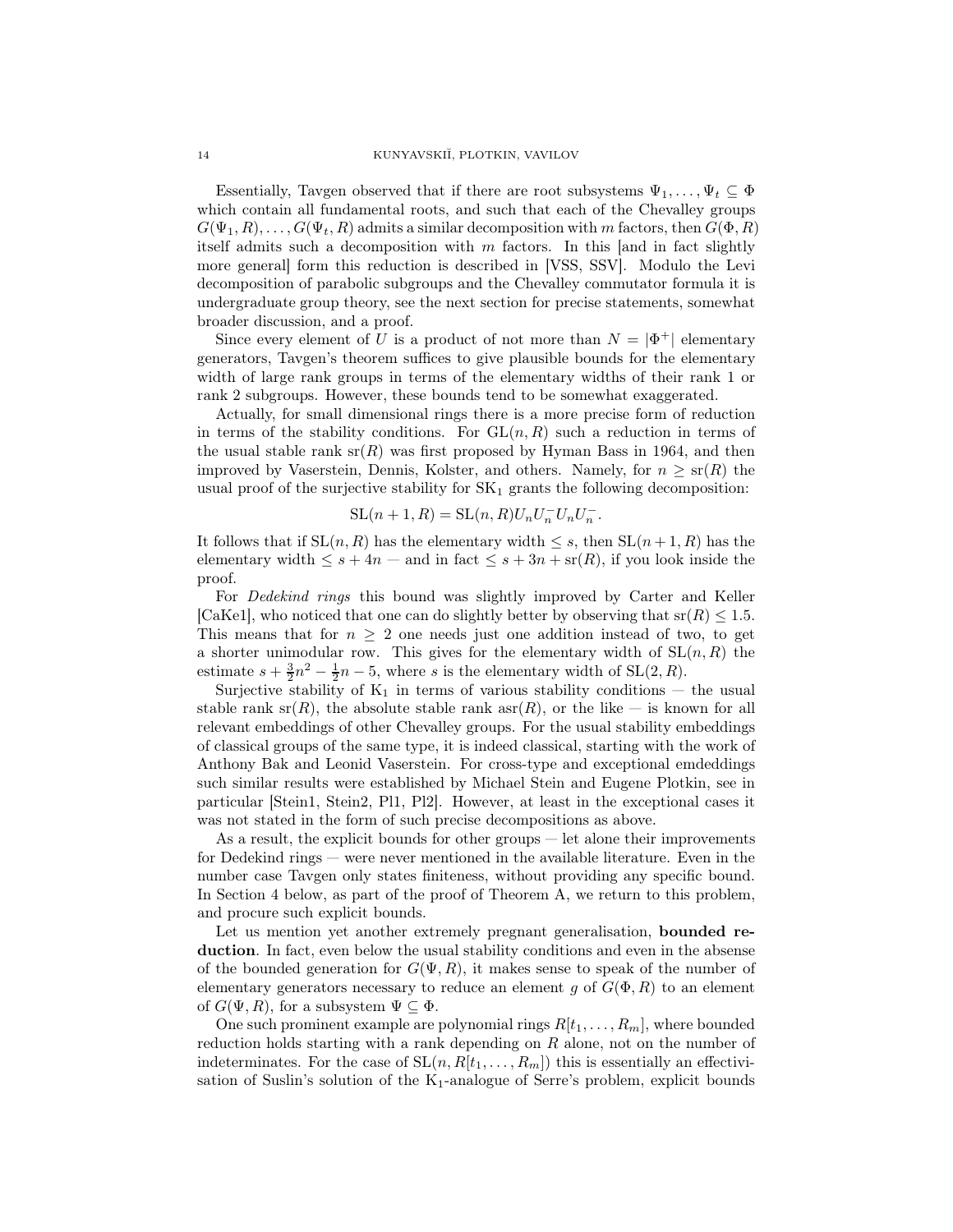Essentially, Tavgen observed that if there are root subsystems  $\Psi_1, \ldots, \Psi_t \subseteq \Phi$ which contain all fundamental roots, and such that each of the Chevalley groups  $G(\Psi_1, R), \ldots, G(\Psi_t, R)$  admits a similar decomposition with m factors, then  $G(\Phi, R)$ itself admits such a decomposition with  $m$  factors. In this [and in fact slightly more general] form this reduction is described in [VSS, SSV]. Modulo the Levi decomposition of parabolic subgroups and the Chevalley commutator formula it is undergraduate group theory, see the next section for precise statements, somewhat broader discussion, and a proof.

Since every element of U is a product of not more than  $N = |\Phi^+|$  elementary generators, Tavgen's theorem suffices to give plausible bounds for the elementary width of large rank groups in terms of the elementary widths of their rank 1 or rank 2 subgroups. However, these bounds tend to be somewhat exaggerated.

Actually, for small dimensional rings there is a more precise form of reduction in terms of the stability conditions. For  $GL(n, R)$  such a reduction in terms of the usual stable rank  $\text{sr}(R)$  was first proposed by Hyman Bass in 1964, and then improved by Vaserstein, Dennis, Kolster, and others. Namely, for  $n \geq \text{sr}(R)$  the usual proof of the surjective stability for  $SK<sub>1</sub>$  grants the following decomposition:

$$
\mathrm{SL}(n+1,R)=\mathrm{SL}(n,R)U_nU_n^-U_nU_n^-.
$$

It follows that if  $SL(n, R)$  has the elementary width  $\leq s$ , then  $SL(n+1, R)$  has the elementary width  $\leq s+4n$  — and in fact  $\leq s+3n+$  sr $(R)$ , if you look inside the proof.

For *Dedekind rings* this bound was slightly improved by Carter and Keller [CaKe1], who noticed that one can do slightly better by observing that  $sr(R) \leq 1.5$ . This means that for  $n \geq 2$  one needs just one addition instead of two, to get a shorter unimodular row. This gives for the elementary width of  $SL(n, R)$  the estimate  $s + \frac{3}{2}n^2 - \frac{1}{2}n - 5$ , where s is the elementary width of SL(2, R).

Surjective stability of  $K_1$  in terms of various stability conditions – the usual stable rank sr(R), the absolute stable rank  $\text{asr}(R)$ , or the like — is known for all relevant embeddings of other Chevalley groups. For the usual stability embeddings of classical groups of the same type, it is indeed classical, starting with the work of Anthony Bak and Leonid Vaserstein. For cross-type and exceptional emdeddings such similar results were established by Michael Stein and Eugene Plotkin, see in particular [Stein1, Stein2, Pl1, Pl2]. However, at least in the exceptional cases it was not stated in the form of such precise decompositions as above.

As a result, the explicit bounds for other groups — let alone their improvements for Dedekind rings — were never mentioned in the available literature. Even in the number case Tavgen only states finiteness, without providing any specific bound. In Section 4 below, as part of the proof of Theorem A, we return to this problem, and procure such explicit bounds.

Let us mention yet another extremely pregnant generalisation, **bounded re**duction. In fact, even below the usual stability conditions and even in the absense of the bounded generation for  $G(\Psi, R)$ , it makes sense to speak of the number of elementary generators necessary to reduce an element g of  $G(\Phi, R)$  to an element of  $G(\Psi, R)$ , for a subsystem  $\Psi \subseteq \Phi$ .

One such prominent example are polynomial rings  $R[t_1, \ldots, R_m]$ , where bounded reduction holds starting with a rank depending on  $R$  alone, not on the number of indeterminates. For the case of  $SL(n, R[t_1, \ldots, R_m])$  this is essentially an effectivisation of Suslin's solution of the  $K_1$ -analogue of Serre's problem, explicit bounds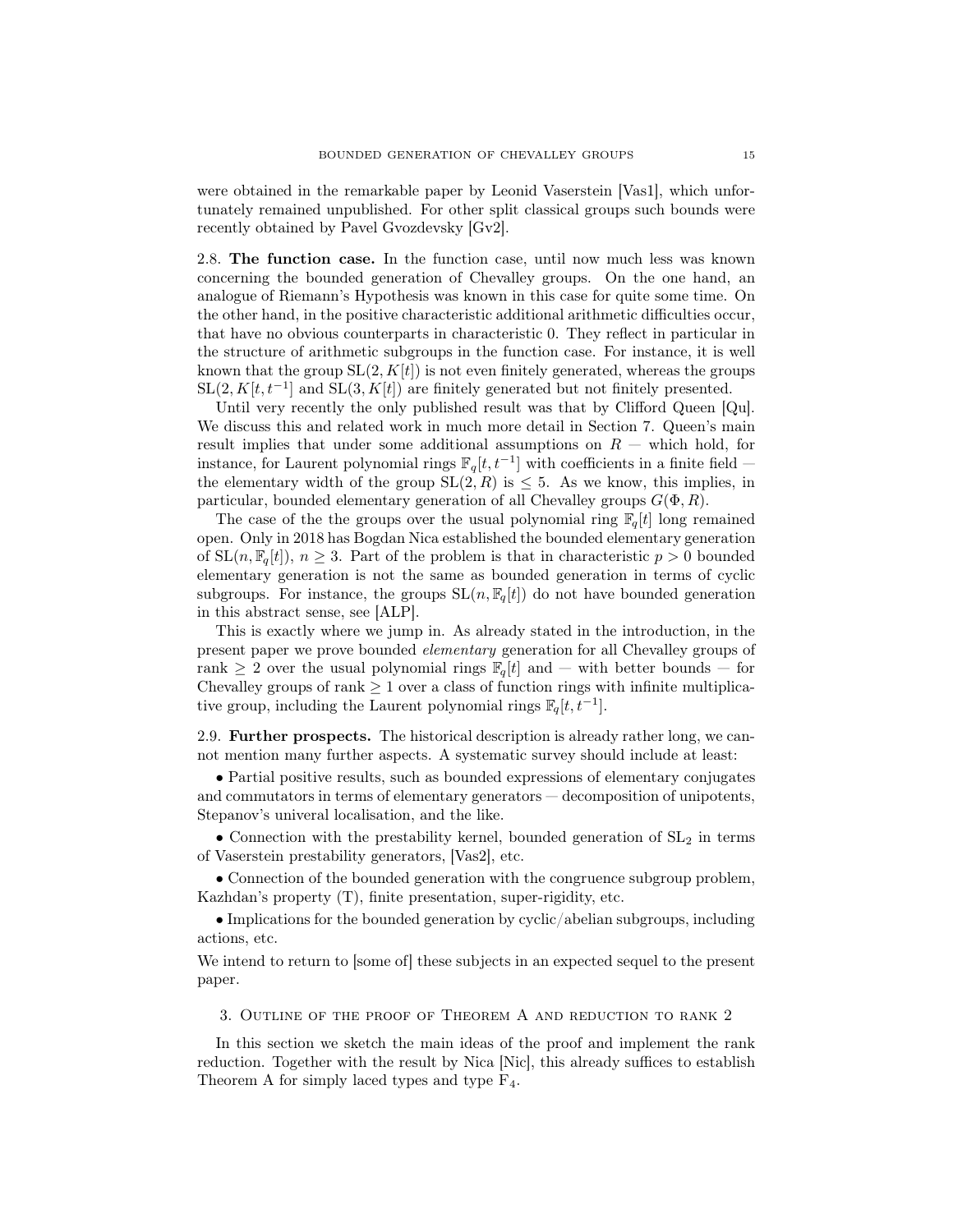were obtained in the remarkable paper by Leonid Vaserstein [Vas1], which unfortunately remained unpublished. For other split classical groups such bounds were recently obtained by Pavel Gvozdevsky [Gv2].

2.8. The function case. In the function case, until now much less was known concerning the bounded generation of Chevalley groups. On the one hand, an analogue of Riemann's Hypothesis was known in this case for quite some time. On the other hand, in the positive characteristic additional arithmetic difficulties occur, that have no obvious counterparts in characteristic 0. They reflect in particular in the structure of arithmetic subgroups in the function case. For instance, it is well known that the group  $SL(2, K[t])$  is not even finitely generated, whereas the groups  $SL(2, K[t, t^{-1}]$  and  $SL(3, K[t])$  are finitely generated but not finitely presented.

Until very recently the only published result was that by Clifford Queen [Qu]. We discuss this and related work in much more detail in Section 7. Queen's main result implies that under some additional assumptions on  $R$  — which hold, for instance, for Laurent polynomial rings  $\mathbb{F}_q[t, t^{-1}]$  with coefficients in a finite field  $$ the elementary width of the group  $SL(2, R)$  is  $\leq 5$ . As we know, this implies, in particular, bounded elementary generation of all Chevalley groups  $G(\Phi, R)$ .

The case of the the groups over the usual polynomial ring  $\mathbb{F}_q[t]$  long remained open. Only in 2018 has Bogdan Nica established the bounded elementary generation of  $SL(n, \mathbb{F}_q[t])$ ,  $n \geq 3$ . Part of the problem is that in characteristic  $p > 0$  bounded elementary generation is not the same as bounded generation in terms of cyclic subgroups. For instance, the groups  $SL(n, \mathbb{F}_q[t])$  do not have bounded generation in this abstract sense, see [ALP].

This is exactly where we jump in. As already stated in the introduction, in the present paper we prove bounded elementary generation for all Chevalley groups of rank  $\geq 2$  over the usual polynomial rings  $\mathbb{F}_q[t]$  and — with better bounds — for Chevalley groups of rank  $\geq 1$  over a class of function rings with infinite multiplicative group, including the Laurent polynomial rings  $\mathbb{F}_q[t, t^{-1}]$ .

2.9. Further prospects. The historical description is already rather long, we cannot mention many further aspects. A systematic survey should include at least:

• Partial positive results, such as bounded expressions of elementary conjugates and commutators in terms of elementary generators — decomposition of unipotents, Stepanov's univeral localisation, and the like.

• Connection with the prestability kernel, bounded generation of  $SL<sub>2</sub>$  in terms of Vaserstein prestability generators, [Vas2], etc.

• Connection of the bounded generation with the congruence subgroup problem, Kazhdan's property (T), finite presentation, super-rigidity, etc.

• Implications for the bounded generation by cyclic/abelian subgroups, including actions, etc.

We intend to return to [some of] these subjects in an expected sequel to the present paper.

3. Outline of the proof of Theorem A and reduction to rank 2

In this section we sketch the main ideas of the proof and implement the rank reduction. Together with the result by Nica [Nic], this already suffices to establish Theorem A for simply laced types and type  $F_4$ .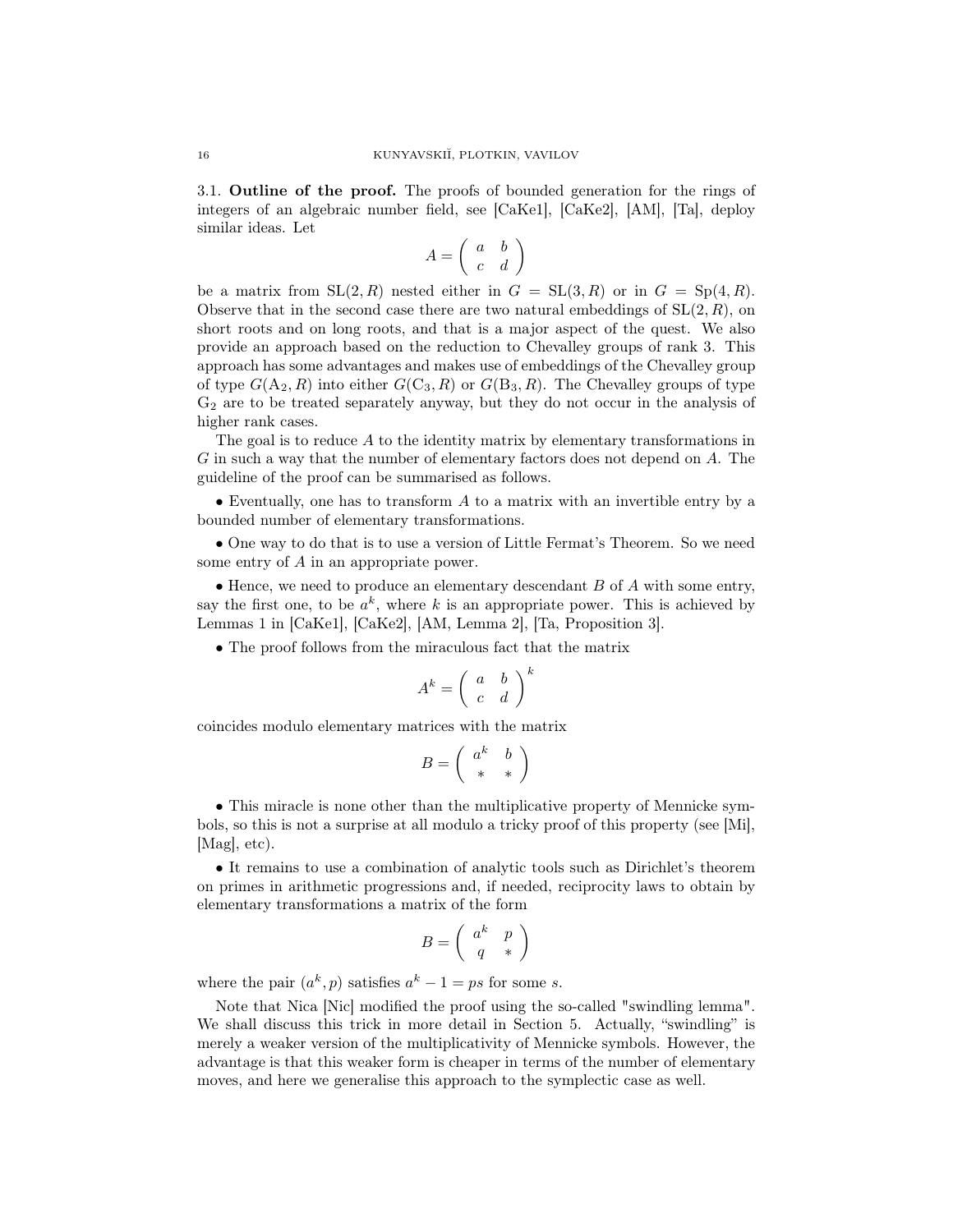3.1. Outline of the proof. The proofs of bounded generation for the rings of integers of an algebraic number field, see [CaKe1], [CaKe2], [AM], [Ta], deploy similar ideas. Let

$$
A = \left(\begin{array}{cc} a & b \\ c & d \end{array}\right)
$$

be a matrix from  $SL(2, R)$  nested either in  $G = SL(3, R)$  or in  $G = Sp(4, R)$ . Observe that in the second case there are two natural embeddings of  $SL(2, R)$ , on short roots and on long roots, and that is a major aspect of the quest. We also provide an approach based on the reduction to Chevalley groups of rank 3. This approach has some advantages and makes use of embeddings of the Chevalley group of type  $G(A_2, R)$  into either  $G(C_3, R)$  or  $G(B_3, R)$ . The Chevalley groups of type G<sup>2</sup> are to be treated separately anyway, but they do not occur in the analysis of higher rank cases.

The goal is to reduce A to the identity matrix by elementary transformations in G in such a way that the number of elementary factors does not depend on A. The guideline of the proof can be summarised as follows.

• Eventually, one has to transform  $A$  to a matrix with an invertible entry by a bounded number of elementary transformations.

• One way to do that is to use a version of Little Fermat's Theorem. So we need some entry of A in an appropriate power.

• Hence, we need to produce an elementary descendant  $B$  of  $A$  with some entry, say the first one, to be  $a^k$ , where k is an appropriate power. This is achieved by Lemmas 1 in [CaKe1], [CaKe2], [AM, Lemma 2], [Ta, Proposition 3].

• The proof follows from the miraculous fact that the matrix

$$
A^k = \left(\begin{array}{cc} a & b \\ c & d \end{array}\right)^k
$$

coincides modulo elementary matrices with the matrix

$$
B=\left(\begin{array}{cc} a^k&b\\ *&*\end{array}\right)
$$

• This miracle is none other than the multiplicative property of Mennicke symbols, so this is not a surprise at all modulo a tricky proof of this property (see [Mi], [Mag], etc).

• It remains to use a combination of analytic tools such as Dirichlet's theorem on primes in arithmetic progressions and, if needed, reciprocity laws to obtain by elementary transformations a matrix of the form

$$
B=\left(\begin{array}{cc} a^k&p\\q&*\end{array}\right)
$$

where the pair  $(a^k, p)$  satisfies  $a^k - 1 = ps$  for some s.

Note that Nica [Nic] modified the proof using the so-called "swindling lemma". We shall discuss this trick in more detail in Section 5. Actually, "swindling" is merely a weaker version of the multiplicativity of Mennicke symbols. However, the advantage is that this weaker form is cheaper in terms of the number of elementary moves, and here we generalise this approach to the symplectic case as well.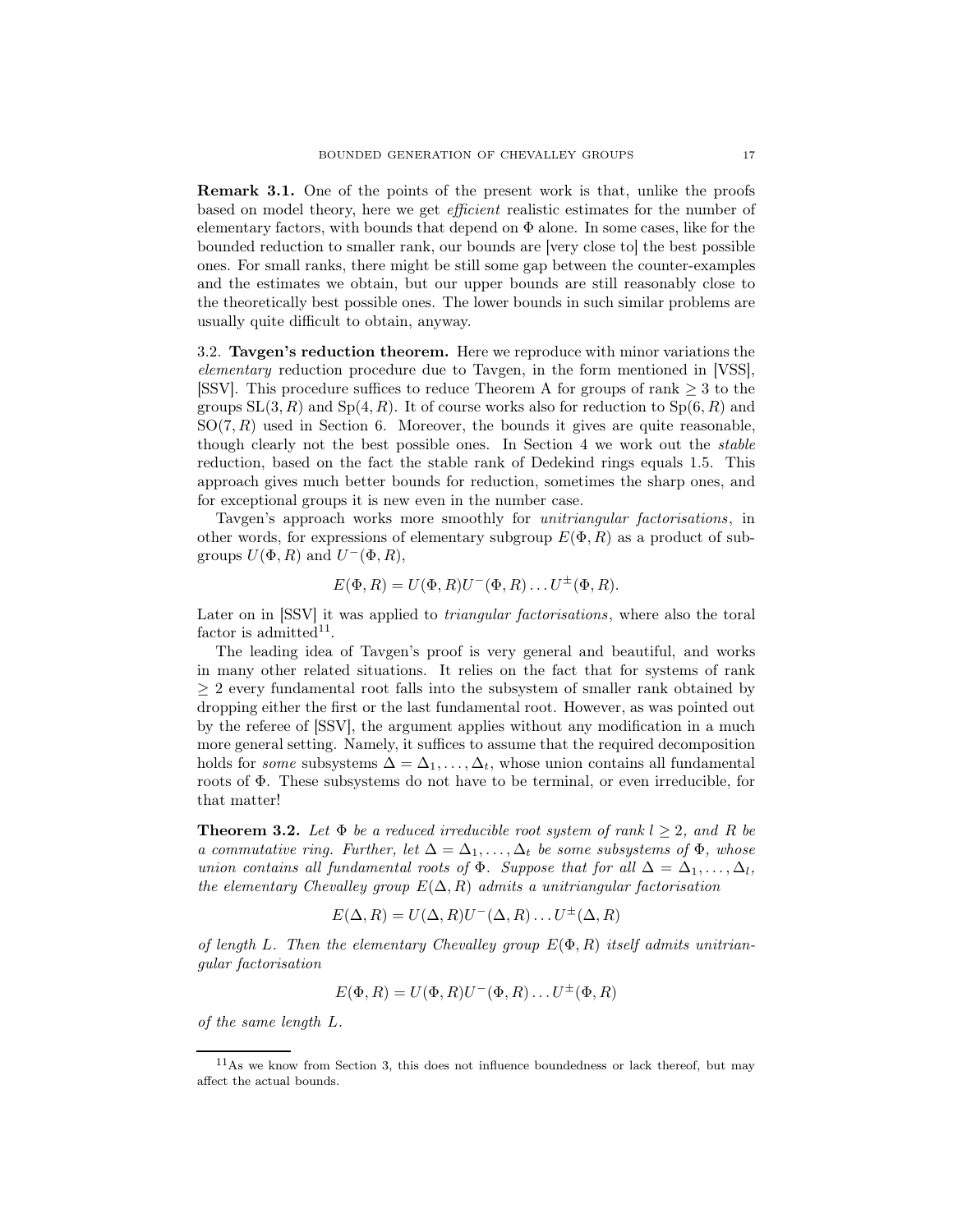Remark 3.1. One of the points of the present work is that, unlike the proofs based on model theory, here we get efficient realistic estimates for the number of elementary factors, with bounds that depend on  $\Phi$  alone. In some cases, like for the bounded reduction to smaller rank, our bounds are [very close to] the best possible ones. For small ranks, there might be still some gap between the counter-examples and the estimates we obtain, but our upper bounds are still reasonably close to the theoretically best possible ones. The lower bounds in such similar problems are usually quite difficult to obtain, anyway.

3.2. Tavgen's reduction theorem. Here we reproduce with minor variations the elementary reduction procedure due to Tavgen, in the form mentioned in [VSS], [SSV]. This procedure suffices to reduce Theorem A for groups of rank  $\geq 3$  to the groups  $SL(3, R)$  and  $Sp(4, R)$ . It of course works also for reduction to  $Sp(6, R)$  and  $SO(7, R)$  used in Section 6. Moreover, the bounds it gives are quite reasonable, though clearly not the best possible ones. In Section 4 we work out the stable reduction, based on the fact the stable rank of Dedekind rings equals 1.5. This approach gives much better bounds for reduction, sometimes the sharp ones, and for exceptional groups it is new even in the number case.

Tavgen's approach works more smoothly for *unitriangular factorisations*, in other words, for expressions of elementary subgroup  $E(\Phi, R)$  as a product of subgroups  $U(\Phi, R)$  and  $U^-(\Phi, R)$ ,

$$
E(\Phi, R) = U(\Phi, R)U^-(\Phi, R) \dots U^{\pm}(\Phi, R).
$$

Later on in [SSV] it was applied to triangular factorisations, where also the toral factor is admitted<sup>11</sup>.

The leading idea of Tavgen's proof is very general and beautiful, and works in many other related situations. It relies on the fact that for systems of rank  $\geq 2$  every fundamental root falls into the subsystem of smaller rank obtained by dropping either the first or the last fundamental root. However, as was pointed out by the referee of [SSV], the argument applies without any modification in a much more general setting. Namely, it suffices to assume that the required decomposition holds for *some* subsystems  $\Delta = \Delta_1, \ldots, \Delta_t$ , whose union contains all fundamental roots of Φ. These subsystems do not have to be terminal, or even irreducible, for that matter!

**Theorem 3.2.** Let  $\Phi$  be a reduced irreducible root system of rank  $l \geq 2$ , and R be a commutative ring. Further, let  $\Delta = \Delta_1, \ldots, \Delta_t$  be some subsystems of  $\Phi$ , whose union contains all fundamental roots of  $\Phi$ . Suppose that for all  $\Delta = \Delta_1, \ldots, \Delta_l$ , the elementary Chevalley group  $E(\Delta, R)$  admits a unitriangular factorisation

$$
E(\Delta, R) = U(\Delta, R)U^{-}(\Delta, R) \dots U^{\pm}(\Delta, R)
$$

of length L. Then the elementary Chevalley group  $E(\Phi, R)$  itself admits unitriangular factorisation

$$
E(\Phi, R) = U(\Phi, R)U^-(\Phi, R) \dots U^{\pm}(\Phi, R)
$$

of the same length L.

 $11<sup>11</sup>$ As we know from Section 3, this does not influence boundedness or lack thereof, but may affect the actual bounds.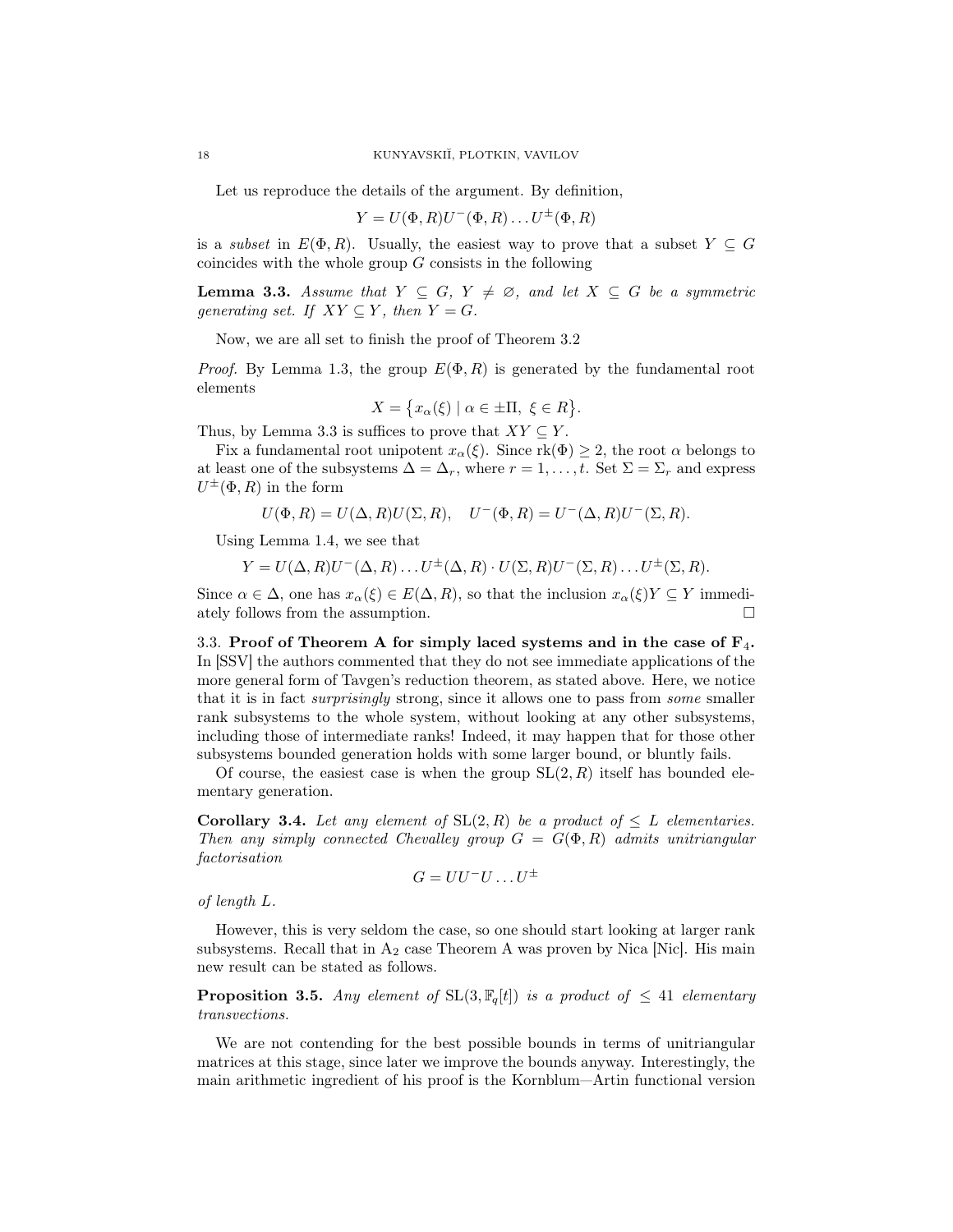Let us reproduce the details of the argument. By definition,

$$
Y = U(\Phi, R)U^-(\Phi, R) \dots U^{\pm}(\Phi, R)
$$

is a *subset* in  $E(\Phi, R)$ . Usually, the easiest way to prove that a subset  $Y \subseteq G$ coincides with the whole group  $G$  consists in the following

**Lemma 3.3.** Assume that  $Y \subseteq G$ ,  $Y \neq \emptyset$ , and let  $X \subseteq G$  be a symmetric generating set. If  $XY \subseteq Y$ , then  $Y = G$ .

Now, we are all set to finish the proof of Theorem 3.2

*Proof.* By Lemma 1.3, the group  $E(\Phi, R)$  is generated by the fundamental root elements

$$
X = \{ x_{\alpha}(\xi) \mid \alpha \in \pm \Pi, \ \xi \in R \}.
$$

Thus, by Lemma 3.3 is suffices to prove that  $XY \subseteq Y$ .

Fix a fundamental root unipotent  $x_\alpha(\xi)$ . Since  $rk(\Phi) \geq 2$ , the root  $\alpha$  belongs to at least one of the subsystems  $\Delta = \Delta_r$ , where  $r = 1, \ldots, t$ . Set  $\Sigma = \Sigma_r$  and express  $U^{\pm}(\Phi, R)$  in the form

$$
U(\Phi, R) = U(\Delta, R)U(\Sigma, R), \quad U^-(\Phi, R) = U^-(\Delta, R)U^-(\Sigma, R).
$$

Using Lemma 1.4, we see that

$$
Y = U(\Delta, R)U^{-}(\Delta, R) \dots U^{\pm}(\Delta, R) \cdot U(\Sigma, R)U^{-}(\Sigma, R) \dots U^{\pm}(\Sigma, R).
$$

Since  $\alpha \in \Delta$ , one has  $x_{\alpha}(\xi) \in E(\Delta, R)$ , so that the inclusion  $x_{\alpha}(\xi)Y \subseteq Y$  immediately follows from the assumption.

3.3. Proof of Theorem A for simply laced systems and in the case of  $F_4$ . In [SSV] the authors commented that they do not see immediate applications of the more general form of Tavgen's reduction theorem, as stated above. Here, we notice that it is in fact surprisingly strong, since it allows one to pass from some smaller rank subsystems to the whole system, without looking at any other subsystems, including those of intermediate ranks! Indeed, it may happen that for those other subsystems bounded generation holds with some larger bound, or bluntly fails.

Of course, the easiest case is when the group  $SL(2, R)$  itself has bounded elementary generation.

**Corollary 3.4.** Let any element of  $SL(2, R)$  be a product of  $\leq L$  elementaries. Then any simply connected Chevalley group  $G = G(\Phi, R)$  admits unitriangular factorisation

$$
G=UU^-U\ldots U^\pm
$$

of length L.

However, this is very seldom the case, so one should start looking at larger rank subsystems. Recall that in  $A_2$  case Theorem A was proven by Nica [Nic]. His main new result can be stated as follows.

**Proposition 3.5.** Any element of  $SL(3, \mathbb{F}_q[t])$  is a product of  $\leq 41$  elementary transvections.

We are not contending for the best possible bounds in terms of unitriangular matrices at this stage, since later we improve the bounds anyway. Interestingly, the main arithmetic ingredient of his proof is the Kornblum—Artin functional version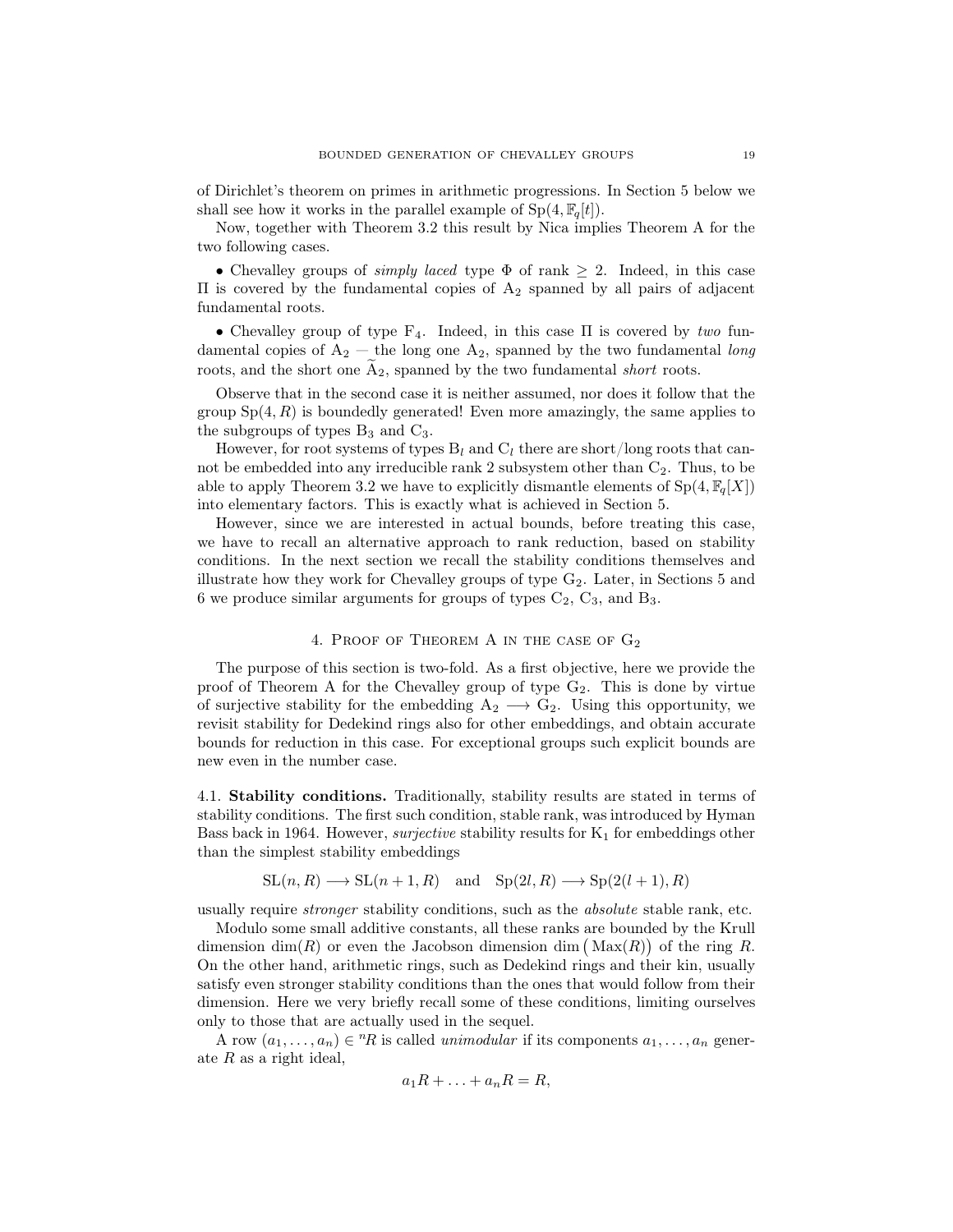of Dirichlet's theorem on primes in arithmetic progressions. In Section 5 below we shall see how it works in the parallel example of  $Sp(4, \mathbb{F}_q[t])$ .

Now, together with Theorem 3.2 this result by Nica implies Theorem A for the two following cases.

• Chevalley groups of *simply laced* type  $\Phi$  of rank  $\geq$  2. Indeed, in this case  $\Pi$  is covered by the fundamental copies of  $A_2$  spanned by all pairs of adjacent fundamental roots.

• Chevalley group of type  $F_4$ . Indeed, in this case  $\Pi$  is covered by two fundamental copies of  $A_2$  — the long one  $A_2$ , spanned by the two fundamental long roots, and the short one  $\widetilde{A}_2$ , spanned by the two fundamental *short* roots.

Observe that in the second case it is neither assumed, nor does it follow that the group  $Sp(4, R)$  is boundedly generated! Even more amazingly, the same applies to the subgroups of types  $B_3$  and  $C_3$ .

However, for root systems of types  $B_l$  and  $C_l$  there are short/long roots that cannot be embedded into any irreducible rank 2 subsystem other than  $C_2$ . Thus, to be able to apply Theorem 3.2 we have to explicitly dismantle elements of  $Sp(4, \mathbb{F}_q[X])$ into elementary factors. This is exactly what is achieved in Section 5.

However, since we are interested in actual bounds, before treating this case, we have to recall an alternative approach to rank reduction, based on stability conditions. In the next section we recall the stability conditions themselves and illustrate how they work for Chevalley groups of type  $G_2$ . Later, in Sections 5 and 6 we produce similar arguments for groups of types  $C_2$ ,  $C_3$ , and  $B_3$ .

# 4. Proof of Theorem A in the case of G<sup>2</sup>

The purpose of this section is two-fold. As a first objective, here we provide the proof of Theorem A for the Chevalley group of type  $G_2$ . This is done by virtue of surjective stability for the embedding  $A_2 \longrightarrow G_2$ . Using this opportunity, we revisit stability for Dedekind rings also for other embeddings, and obtain accurate bounds for reduction in this case. For exceptional groups such explicit bounds are new even in the number case.

4.1. Stability conditions. Traditionally, stability results are stated in terms of stability conditions. The first such condition, stable rank, was introduced by Hyman Bass back in 1964. However, *surjective* stability results for  $K_1$  for embeddings other than the simplest stability embeddings

$$
SL(n, R) \longrightarrow SL(n+1, R) \text{ and } Sp(2l, R) \longrightarrow Sp(2(l+1), R)
$$

usually require stronger stability conditions, such as the absolute stable rank, etc.

Modulo some small additive constants, all these ranks are bounded by the Krull dimension  $\dim(R)$  or even the Jacobson dimension dim  $(\text{Max}(R))$  of the ring R. On the other hand, arithmetic rings, such as Dedekind rings and their kin, usually satisfy even stronger stability conditions than the ones that would follow from their dimension. Here we very briefly recall some of these conditions, limiting ourselves only to those that are actually used in the sequel.

A row  $(a_1, \ldots, a_n) \in {}^n R$  is called *unimodular* if its components  $a_1, \ldots, a_n$  generate  $R$  as a right ideal,

$$
a_1R + \ldots + a_nR = R,
$$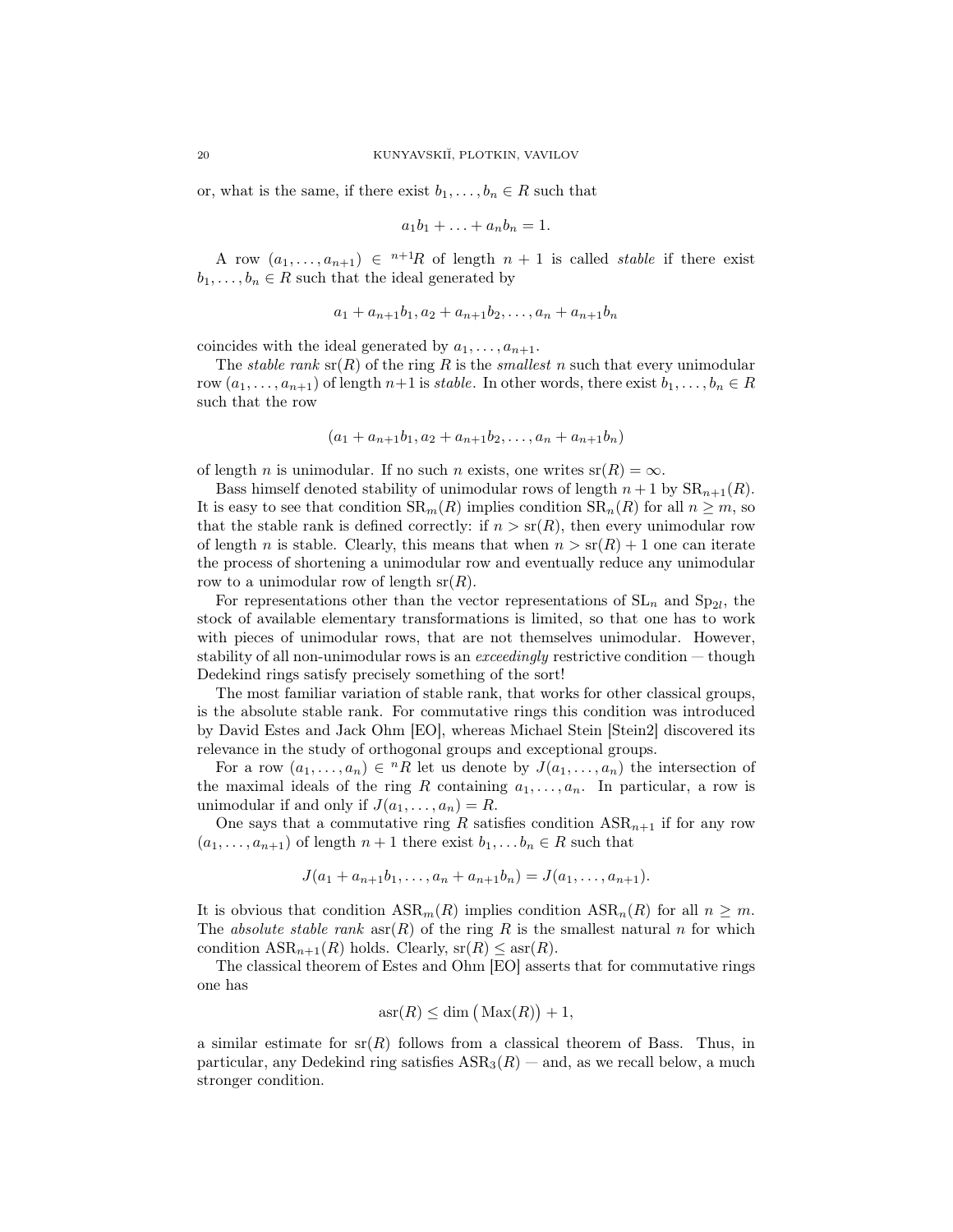or, what is the same, if there exist  $b_1, \ldots, b_n \in R$  such that

$$
a_1b_1+\ldots+a_nb_n=1.
$$

A row  $(a_1, \ldots, a_{n+1}) \in {}^{n+1}R$  of length  $n+1$  is called *stable* if there exist  $b_1, \ldots, b_n \in R$  such that the ideal generated by

$$
a_1 + a_{n+1}b_1, a_2 + a_{n+1}b_2, \ldots, a_n + a_{n+1}b_n
$$

coincides with the ideal generated by  $a_1, \ldots, a_{n+1}$ .

The *stable rank*  $\text{sr}(R)$  of the ring R is the *smallest n* such that every unimodular row  $(a_1, \ldots, a_{n+1})$  of length  $n+1$  is stable. In other words, there exist  $b_1, \ldots, b_n \in R$ such that the row

$$
(a_1 + a_{n+1}b_1, a_2 + a_{n+1}b_2, \ldots, a_n + a_{n+1}b_n)
$$

of length *n* is unimodular. If no such *n* exists, one writes  $sr(R) = \infty$ .

Bass himself denoted stability of unimodular rows of length  $n + 1$  by  $\text{SR}_{n+1}(R)$ . It is easy to see that condition  $SR_m(R)$  implies condition  $SR_n(R)$  for all  $n \geq m$ , so that the stable rank is defined correctly: if  $n > sr(R)$ , then every unimodular row of length n is stable. Clearly, this means that when  $n > s(0) + 1$  one can iterate the process of shortening a unimodular row and eventually reduce any unimodular row to a unimodular row of length  $sr(R)$ .

For representations other than the vector representations of  $SL_n$  and  $Sp_{2l}$ , the stock of available elementary transformations is limited, so that one has to work with pieces of unimodular rows, that are not themselves unimodular. However, stability of all non-unimodular rows is an *exceedingly* restrictive condition — though Dedekind rings satisfy precisely something of the sort!

The most familiar variation of stable rank, that works for other classical groups, is the absolute stable rank. For commutative rings this condition was introduced by David Estes and Jack Ohm [EO], whereas Michael Stein [Stein2] discovered its relevance in the study of orthogonal groups and exceptional groups.

For a row  $(a_1, \ldots, a_n) \in {}^nR$  let us denote by  $J(a_1, \ldots, a_n)$  the intersection of the maximal ideals of the ring R containing  $a_1, \ldots, a_n$ . In particular, a row is unimodular if and only if  $J(a_1, \ldots, a_n) = R$ .

One says that a commutative ring R satisfies condition  $ASR_{n+1}$  if for any row  $(a_1, \ldots, a_{n+1})$  of length  $n+1$  there exist  $b_1, \ldots, b_n \in R$  such that

$$
J(a_1 + a_{n+1}b_1, \ldots, a_n + a_{n+1}b_n) = J(a_1, \ldots, a_{n+1}).
$$

It is obvious that condition  $ASR_m(R)$  implies condition  $ASR_n(R)$  for all  $n \geq m$ . The absolute stable rank  $\operatorname{asr}(R)$  of the ring R is the smallest natural n for which condition  $ASR_{n+1}(R)$  holds. Clearly,  $sr(R) \leq asr(R)$ .

The classical theorem of Estes and Ohm [EO] asserts that for commutative rings one has

$$
asr(R) \le \dim\left(\text{Max}(R)\right) + 1,
$$

a similar estimate for  $sr(R)$  follows from a classical theorem of Bass. Thus, in particular, any Dedekind ring satisfies  $ASR_3(R)$  — and, as we recall below, a much stronger condition.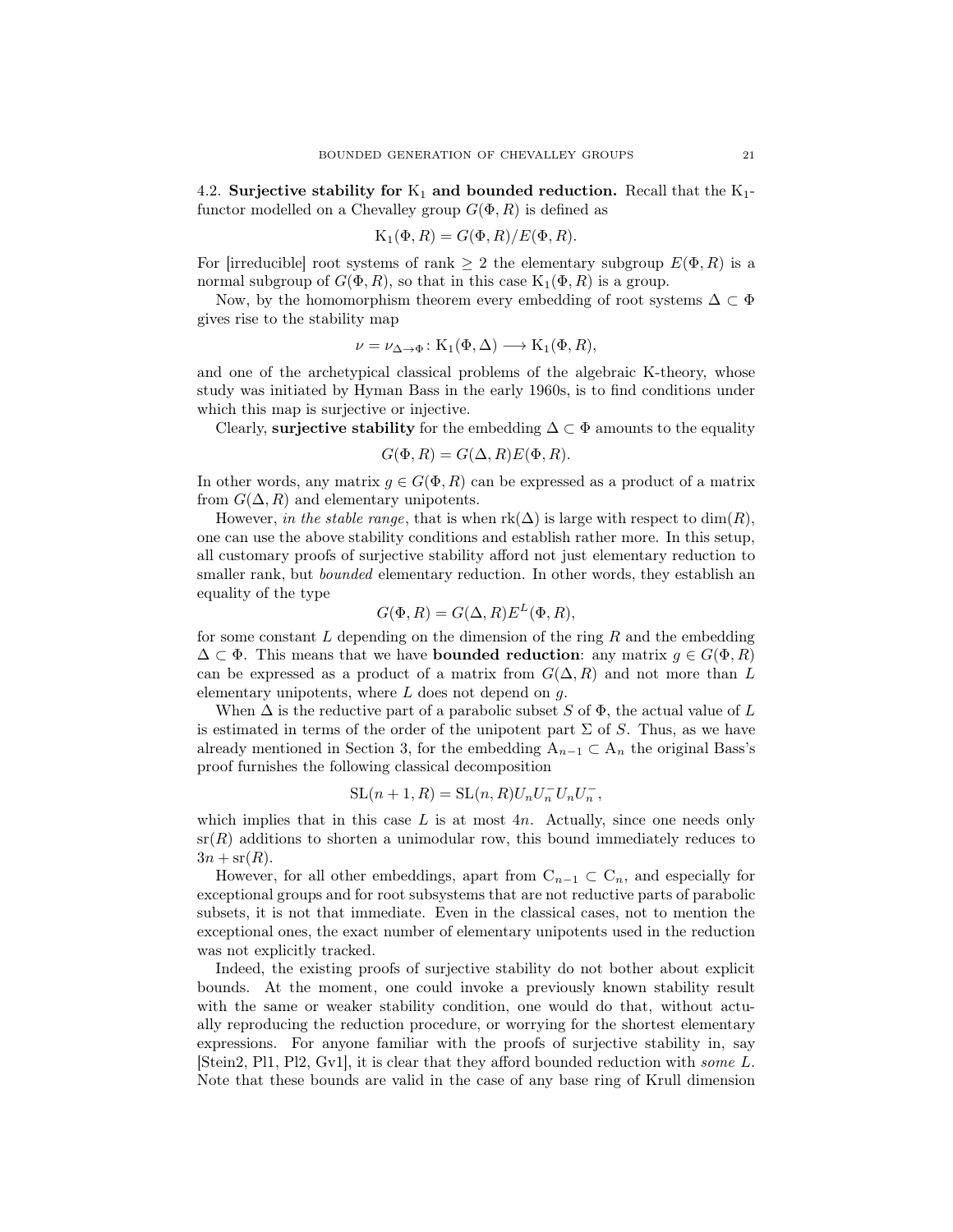4.2. Surjective stability for  $K_1$  and bounded reduction. Recall that the  $K_1$ functor modelled on a Chevalley group  $G(\Phi, R)$  is defined as

$$
K_1(\Phi, R) = G(\Phi, R)/E(\Phi, R).
$$

For [irreducible] root systems of rank  $\geq 2$  the elementary subgroup  $E(\Phi, R)$  is a normal subgroup of  $G(\Phi, R)$ , so that in this case  $K_1(\Phi, R)$  is a group.

Now, by the homomorphism theorem every embedding of root systems  $\Delta \subset \Phi$ gives rise to the stability map

$$
\nu = \nu_{\Delta \to \Phi} \colon \mathrm{K}_1(\Phi, \Delta) \longrightarrow \mathrm{K}_1(\Phi, R),
$$

and one of the archetypical classical problems of the algebraic K-theory, whose study was initiated by Hyman Bass in the early 1960s, is to find conditions under which this map is surjective or injective.

Clearly, surjective stability for the embedding  $\Delta \subset \Phi$  amounts to the equality

$$
G(\Phi, R) = G(\Delta, R)E(\Phi, R).
$$

In other words, any matrix  $g \in G(\Phi, R)$  can be expressed as a product of a matrix from  $G(\Delta, R)$  and elementary unipotents.

However, in the stable range, that is when  $rk(\Delta)$  is large with respect to  $dim(R)$ , one can use the above stability conditions and establish rather more. In this setup, all customary proofs of surjective stability afford not just elementary reduction to smaller rank, but *bounded* elementary reduction. In other words, they establish an equality of the type

$$
G(\Phi, R) = G(\Delta, R) E^{L}(\Phi, R),
$$

for some constant  $L$  depending on the dimension of the ring  $R$  and the embedding  $\Delta \subset \Phi$ . This means that we have **bounded reduction**: any matrix  $g \in G(\Phi, R)$ can be expressed as a product of a matrix from  $G(\Delta, R)$  and not more than L elementary unipotents, where  $L$  does not depend on  $g$ .

When  $\Delta$  is the reductive part of a parabolic subset S of  $\Phi$ , the actual value of L is estimated in terms of the order of the unipotent part  $\Sigma$  of S. Thus, as we have already mentioned in Section 3, for the embedding  $A_{n-1} \subset A_n$  the original Bass's proof furnishes the following classical decomposition

$$
SL(n+1, R) = SL(n, R)U_n U_n^- U_n U_n^-,
$$

which implies that in this case  $L$  is at most  $4n$ . Actually, since one needs only  $sr(R)$  additions to shorten a unimodular row, this bound immediately reduces to  $3n + sr(R)$ .

However, for all other embeddings, apart from  $C_{n-1} \subset C_n$ , and especially for exceptional groups and for root subsystems that are not reductive parts of parabolic subsets, it is not that immediate. Even in the classical cases, not to mention the exceptional ones, the exact number of elementary unipotents used in the reduction was not explicitly tracked.

Indeed, the existing proofs of surjective stability do not bother about explicit bounds. At the moment, one could invoke a previously known stability result with the same or weaker stability condition, one would do that, without actually reproducing the reduction procedure, or worrying for the shortest elementary expressions. For anyone familiar with the proofs of surjective stability in, say [Stein2, Pl1, Pl2, Gv1], it is clear that they afford bounded reduction with some L. Note that these bounds are valid in the case of any base ring of Krull dimension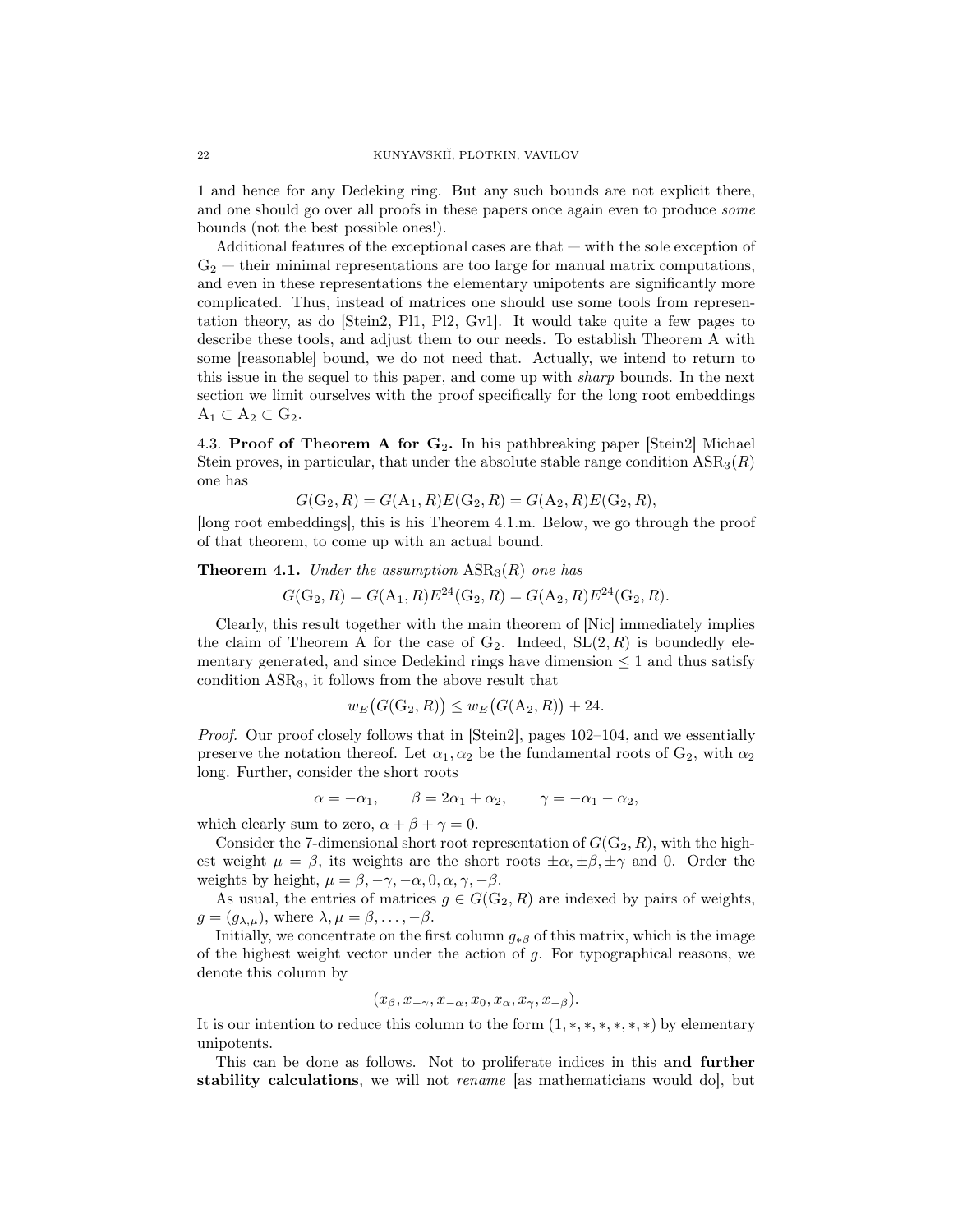1 and hence for any Dedeking ring. But any such bounds are not explicit there, and one should go over all proofs in these papers once again even to produce *some* bounds (not the best possible ones!).

Additional features of the exceptional cases are that  $-$  with the sole exception of  $G_2$  — their minimal representations are too large for manual matrix computations, and even in these representations the elementary unipotents are significantly more complicated. Thus, instead of matrices one should use some tools from representation theory, as do [Stein2, Pl1, Pl2, Gv1]. It would take quite a few pages to describe these tools, and adjust them to our needs. To establish Theorem A with some [reasonable] bound, we do not need that. Actually, we intend to return to this issue in the sequel to this paper, and come up with sharp bounds. In the next section we limit ourselves with the proof specifically for the long root embeddings  $A_1 \subset A_2 \subset G_2$ .

4.3. Proof of Theorem A for  $G_2$ . In his pathbreaking paper [Stein2] Michael Stein proves, in particular, that under the absolute stable range condition  $ASR_3(R)$ one has

$$
G(G_2, R) = G(A_1, R)E(G_2, R) = G(A_2, R)E(G_2, R),
$$

[long root embeddings], this is his Theorem 4.1.m. Below, we go through the proof of that theorem, to come up with an actual bound.

## **Theorem 4.1.** Under the assumption  $ASR_3(R)$  one has

$$
G(G_2, R) = G(A_1, R)E^{24}(G_2, R) = G(A_2, R)E^{24}(G_2, R).
$$

Clearly, this result together with the main theorem of [Nic] immediately implies the claim of Theorem A for the case of  $G_2$ . Indeed,  $SL(2, R)$  is boundedly elementary generated, and since Dedekind rings have dimension  $\leq 1$  and thus satisfy condition ASR3, it follows from the above result that

$$
w_E\big(G(\mathcal{G}_2, R)\big) \le w_E\big(G(\mathcal{A}_2, R)\big) + 24.
$$

Proof. Our proof closely follows that in [Stein2], pages 102–104, and we essentially preserve the notation thereof. Let  $\alpha_1, \alpha_2$  be the fundamental roots of  $G_2$ , with  $\alpha_2$ long. Further, consider the short roots

$$
\alpha = -\alpha_1, \qquad \beta = 2\alpha_1 + \alpha_2, \qquad \gamma = -\alpha_1 - \alpha_2,
$$

which clearly sum to zero,  $\alpha + \beta + \gamma = 0$ .

Consider the 7-dimensional short root representation of  $G(G_2, R)$ , with the highest weight  $\mu = \beta$ , its weights are the short roots  $\pm \alpha, \pm \beta, \pm \gamma$  and 0. Order the weights by height,  $\mu = \beta, -\gamma, -\alpha, 0, \alpha, \gamma, -\beta$ .

As usual, the entries of matrices  $g \in G(\mathbb{G}_2, R)$  are indexed by pairs of weights,  $g = (g_{\lambda,\mu})$ , where  $\lambda, \mu = \beta, \ldots, -\beta$ .

Initially, we concentrate on the first column  $g_{\ast\beta}$  of this matrix, which is the image of the highest weight vector under the action of  $g$ . For typographical reasons, we denote this column by

$$
(x_{\beta}, x_{-\gamma}, x_{-\alpha}, x_0, x_{\alpha}, x_{\gamma}, x_{-\beta}).
$$

It is our intention to reduce this column to the form  $(1, *, *, *, *, *),$  by elementary unipotents.

This can be done as follows. Not to proliferate indices in this and further stability calculations, we will not *rename* [as mathematicians would do], but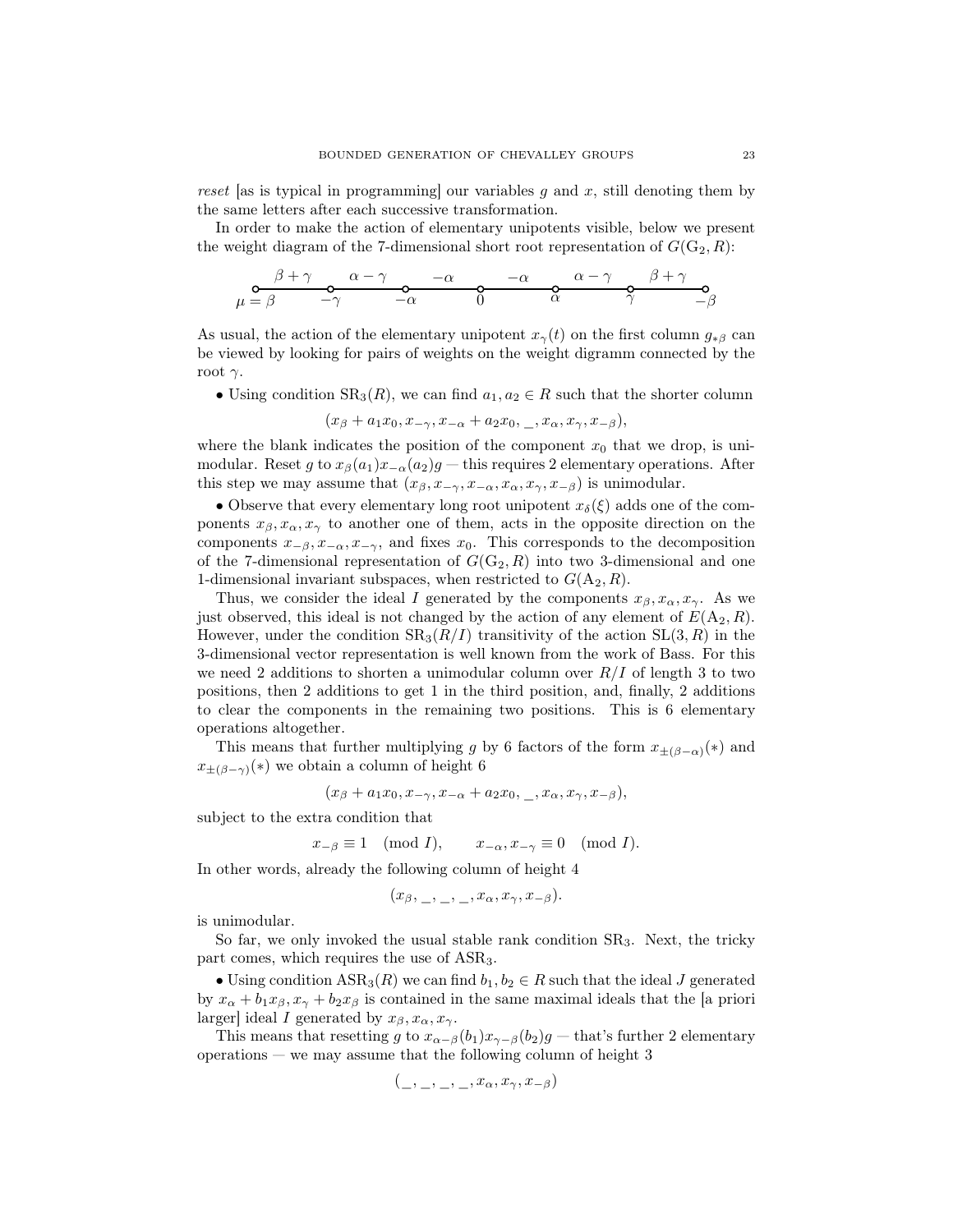reset [as is typical in programming] our variables q and x, still denoting them by the same letters after each successive transformation.

In order to make the action of elementary unipotents visible, below we present the weight diagram of the 7-dimensional short root representation of  $G(G_2, R)$ :

$$
\mu = \beta \qquad \begin{array}{ccccccccc}\n & \beta + \gamma & \alpha - \gamma & -\alpha & -\alpha & \alpha - \gamma & \beta + \gamma \\
& \alpha & -\gamma & -\alpha & 0 & \alpha & \gamma & \gamma\n\end{array}
$$

As usual, the action of the elementary unipotent  $x_{\gamma}(t)$  on the first column  $g_{*\beta}$  can be viewed by looking for pairs of weights on the weight digramm connected by the root  $γ$ .

• Using condition  $SR_3(R)$ , we can find  $a_1, a_2 \in R$  such that the shorter column

$$
(x_{\beta}+a_1x_0,x_{-\gamma},x_{-\alpha}+a_2x_0,\_,x_{\alpha},x_{\gamma},x_{-\beta}),
$$

where the blank indicates the position of the component  $x_0$  that we drop, is unimodular. Reset g to  $x_{\beta}(a_1)x_{-\alpha}(a_2)g$  — this requires 2 elementary operations. After this step we may assume that  $(x_\beta, x_{-\gamma}, x_{-\alpha}, x_\alpha, x_\gamma, x_{-\beta})$  is unimodular.

• Observe that every elementary long root unipotent  $x_{\delta}(\xi)$  adds one of the components  $x_{\beta}, x_{\alpha}, x_{\gamma}$  to another one of them, acts in the opposite direction on the components  $x_{-\beta}, x_{-\alpha}, x_{-\gamma}$ , and fixes  $x_0$ . This corresponds to the decomposition of the 7-dimensional representation of  $G(G_2, R)$  into two 3-dimensional and one 1-dimensional invariant subspaces, when restricted to  $G(A_2, R)$ .

Thus, we consider the ideal I generated by the components  $x_{\beta}, x_{\alpha}, x_{\gamma}$ . As we just observed, this ideal is not changed by the action of any element of  $E(A_2, R)$ . However, under the condition  $SR_3(R/I)$  transitivity of the action  $SL(3, R)$  in the 3-dimensional vector representation is well known from the work of Bass. For this we need 2 additions to shorten a unimodular column over  $R/I$  of length 3 to two positions, then 2 additions to get 1 in the third position, and, finally, 2 additions to clear the components in the remaining two positions. This is 6 elementary operations altogether.

This means that further multiplying g by 6 factors of the form  $x_{\pm(\beta-\alpha)}(*)$  and  $x_{\pm(\beta-\gamma)}(*)$  we obtain a column of height 6

$$
(x_{\beta}+a_1x_0,x_{-\gamma},x_{-\alpha}+a_2x_0,\_,x_{\alpha},x_{\gamma},x_{-\beta}),
$$

subject to the extra condition that

$$
x_{-\beta} \equiv 1 \pmod{I}, \qquad x_{-\alpha}, x_{-\gamma} \equiv 0 \pmod{I}.
$$

In other words, already the following column of height 4

$$
(x_{\beta}, \_, \_, \_, x_{\alpha}, x_{\gamma}, x_{-\beta}).
$$

is unimodular.

So far, we only invoked the usual stable rank condition  $SR<sub>3</sub>$ . Next, the tricky part comes, which requires the use of ASR3.

• Using condition  $ASR_3(R)$  we can find  $b_1, b_2 \in R$  such that the ideal J generated by  $x_{\alpha} + b_1x_{\beta}, x_{\gamma} + b_2x_{\beta}$  is contained in the same maximal ideals that the [a priori larger] ideal I generated by  $x_{\beta}, x_{\alpha}, x_{\gamma}$ .

This means that resetting g to  $x_{\alpha-\beta}(b_1)x_{\gamma-\beta}(b_2)g$  — that's further 2 elementary  $\alpha$  operations — we may assume that the following column of height 3

$$
(\_,\_,\_,\_,\_,x_{\alpha},x_{\gamma},x_{-\beta})
$$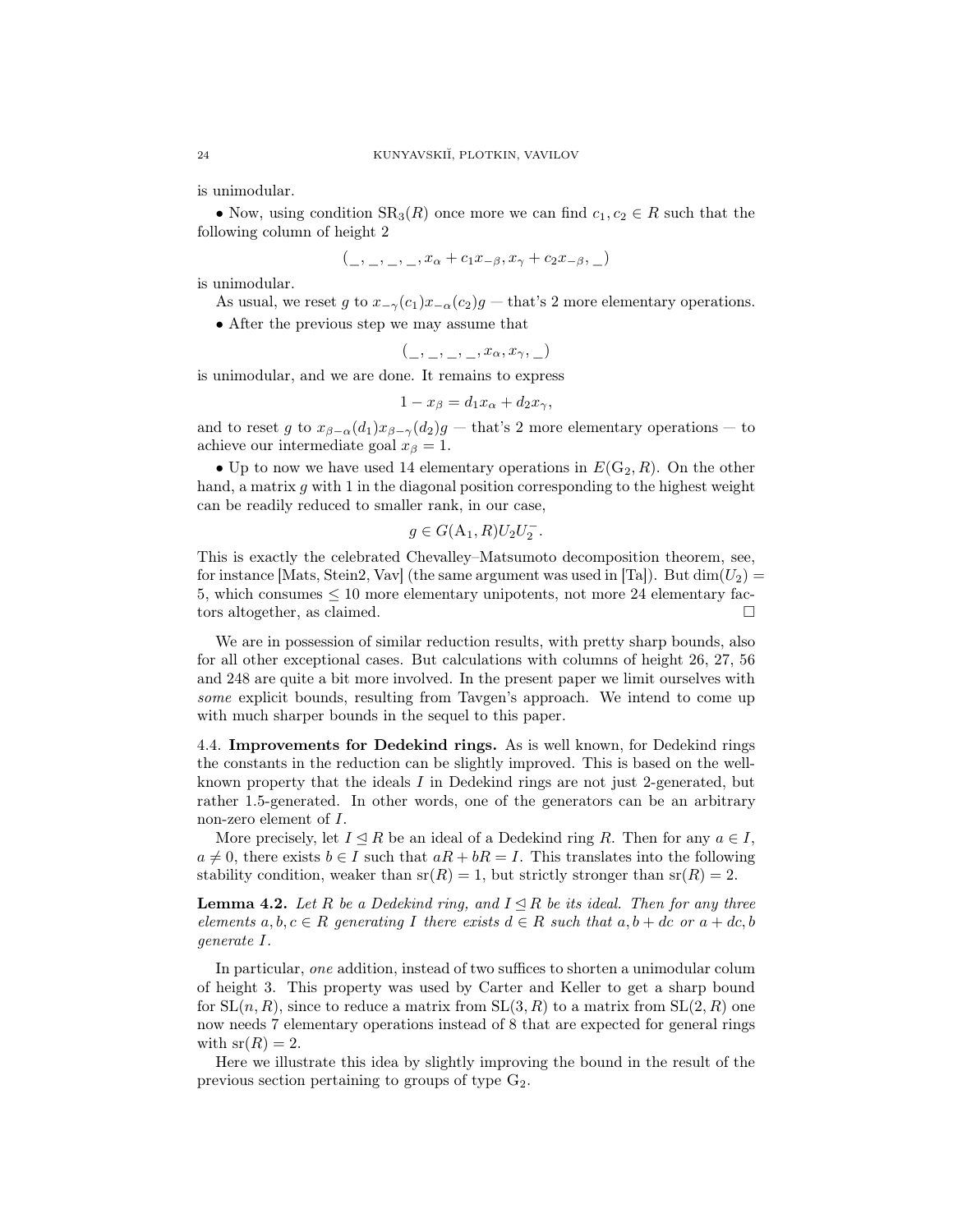is unimodular.

• Now, using condition  $SR_3(R)$  once more we can find  $c_1, c_2 \in R$  such that the following column of height 2

$$
(\_,\_,\_,\_, x_{\alpha} + c_1x_{-\beta}, x_{\gamma} + c_2x_{-\beta}, \_)
$$

is unimodular.

- As usual, we reset g to  $x_{-\gamma}(c_1)x_{-\alpha}(c_2)g$  that's 2 more elementary operations.
- After the previous step we may assume that

$$
(\_,\_,\_,\_,\_,x_{\alpha},x_{\gamma},\_)
$$

is unimodular, and we are done. It remains to express

$$
1 - x_{\beta} = d_1 x_{\alpha} + d_2 x_{\gamma},
$$

and to reset g to  $x_{\beta-\alpha}(d_1)x_{\beta-\gamma}(d_2)g$  — that's 2 more elementary operations — to achieve our intermediate goal  $x_\beta = 1$ .

• Up to now we have used 14 elementary operations in  $E(G_2, R)$ . On the other hand, a matrix  $g$  with 1 in the diagonal position corresponding to the highest weight can be readily reduced to smaller rank, in our case,

$$
g\in G(\mathcal{A}_1,R)U_2U_2^-.
$$

This is exactly the celebrated Chevalley–Matsumoto decomposition theorem, see, for instance [Mats, Stein2, Vav] (the same argument was used in [Ta]). But  $\dim(U_2)$  = 5, which consumes  $\leq 10$  more elementary unipotents, not more 24 elementary factors altogether, as claimed.

We are in possession of similar reduction results, with pretty sharp bounds, also for all other exceptional cases. But calculations with columns of height 26, 27, 56 and 248 are quite a bit more involved. In the present paper we limit ourselves with some explicit bounds, resulting from Tavgen's approach. We intend to come up with much sharper bounds in the sequel to this paper.

4.4. Improvements for Dedekind rings. As is well known, for Dedekind rings the constants in the reduction can be slightly improved. This is based on the wellknown property that the ideals  $I$  in Dedekind rings are not just 2-generated, but rather 1.5-generated. In other words, one of the generators can be an arbitrary non-zero element of I.

More precisely, let  $I \leq R$  be an ideal of a Dedekind ring R. Then for any  $a \in I$ ,  $a \neq 0$ , there exists  $b \in I$  such that  $aR + bR = I$ . This translates into the following stability condition, weaker than  $sr(R) = 1$ , but strictly stronger than  $sr(R) = 2$ .

**Lemma 4.2.** Let R be a Dedekind ring, and  $I \subseteq R$  be its ideal. Then for any three elements  $a, b, c \in R$  generating I there exists  $d \in R$  such that  $a, b + dc$  or  $a + dc, b$ generate I.

In particular, one addition, instead of two suffices to shorten a unimodular colum of height 3. This property was used by Carter and Keller to get a sharp bound for  $SL(n, R)$ , since to reduce a matrix from  $SL(3, R)$  to a matrix from  $SL(2, R)$  one now needs 7 elementary operations instead of 8 that are expected for general rings with  $sr(R) = 2$ .

Here we illustrate this idea by slightly improving the bound in the result of the previous section pertaining to groups of type  $G_2$ .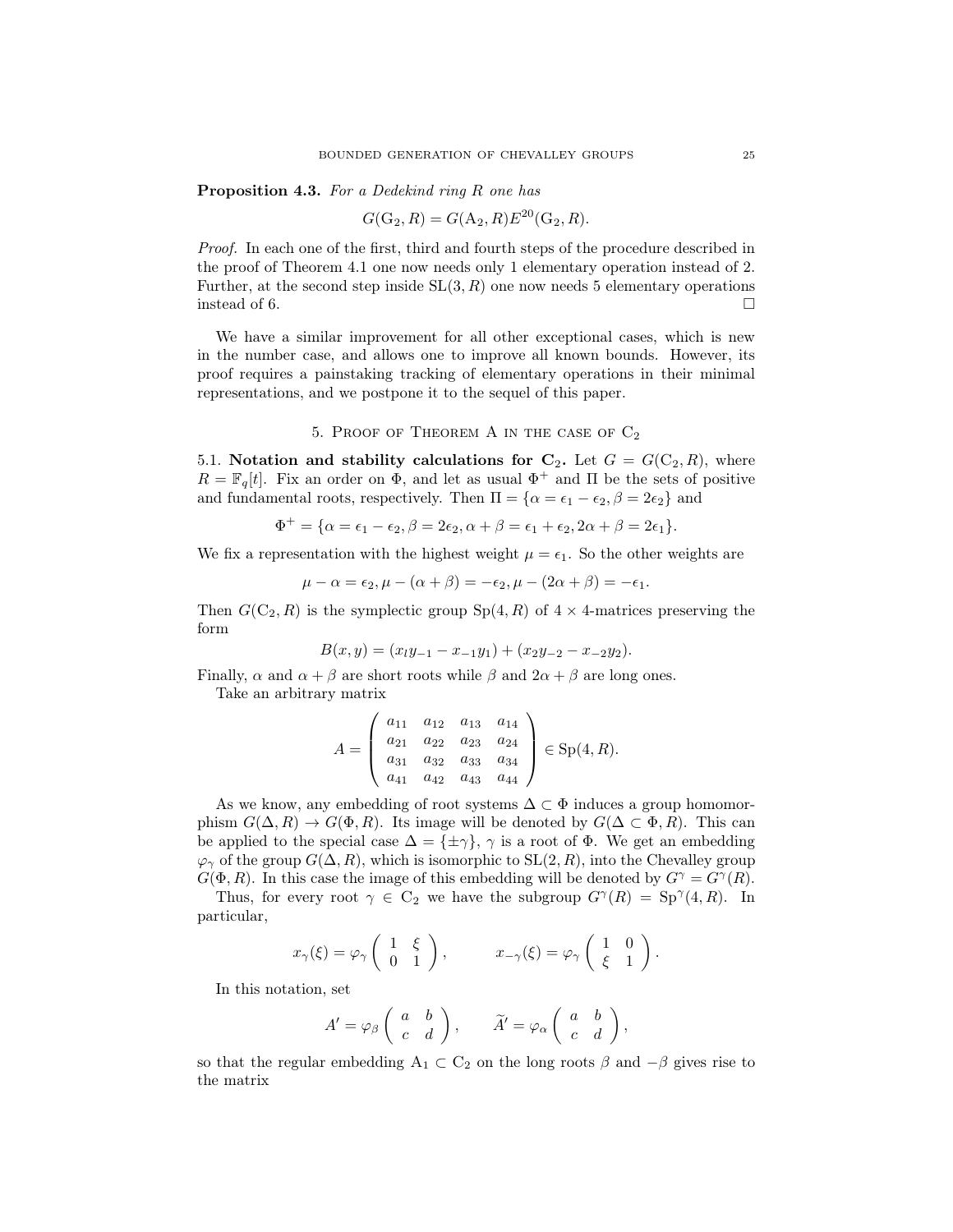Proposition 4.3. For a Dedekind ring R one has

$$
G(G_2, R) = G(A_2, R)E^{20}(G_2, R).
$$

Proof. In each one of the first, third and fourth steps of the procedure described in the proof of Theorem 4.1 one now needs only 1 elementary operation instead of 2. Further, at the second step inside  $SL(3, R)$  one now needs 5 elementary operations instead of 6.  $\Box$ 

We have a similar improvement for all other exceptional cases, which is new in the number case, and allows one to improve all known bounds. However, its proof requires a painstaking tracking of elementary operations in their minimal representations, and we postpone it to the sequel of this paper.

5. PROOF OF THEOREM A IN THE CASE OF  $C_2$ 

5.1. Notation and stability calculations for  $C_2$ . Let  $G = G(C_2, R)$ , where  $R = \mathbb{F}_q[t]$ . Fix an order on  $\Phi$ , and let as usual  $\Phi^+$  and  $\Pi$  be the sets of positive and fundamental roots, respectively. Then  $\Pi = {\alpha = \epsilon_1 - \epsilon_2, \beta = 2\epsilon_2}$  and

$$
\Phi^+ = \{\alpha = \epsilon_1 - \epsilon_2, \beta = 2\epsilon_2, \alpha + \beta = \epsilon_1 + \epsilon_2, 2\alpha + \beta = 2\epsilon_1\}.
$$

We fix a representation with the highest weight  $\mu = \epsilon_1$ . So the other weights are

$$
\mu - \alpha = \epsilon_2, \mu - (\alpha + \beta) = -\epsilon_2, \mu - (2\alpha + \beta) = -\epsilon_1.
$$

Then  $G(C_2, R)$  is the symplectic group  $Sp(4, R)$  of  $4 \times 4$ -matrices preserving the form

$$
B(x,y) = (x_1y_{-1} - x_{-1}y_1) + (x_2y_{-2} - x_{-2}y_2).
$$

Finally,  $\alpha$  and  $\alpha + \beta$  are short roots while  $\beta$  and  $2\alpha + \beta$  are long ones.

Take an arbitrary matrix

$$
A = \begin{pmatrix} a_{11} & a_{12} & a_{13} & a_{14} \\ a_{21} & a_{22} & a_{23} & a_{24} \\ a_{31} & a_{32} & a_{33} & a_{34} \\ a_{41} & a_{42} & a_{43} & a_{44} \end{pmatrix} \in Sp(4, R).
$$

As we know, any embedding of root systems  $\Delta \subset \Phi$  induces a group homomorphism  $G(\Delta, R) \to G(\Phi, R)$ . Its image will be denoted by  $G(\Delta \subset \Phi, R)$ . This can be applied to the special case  $\Delta = {\pm \gamma}$ ,  $\gamma$  is a root of  $\Phi$ . We get an embedding  $\varphi_{\gamma}$  of the group  $G(\Delta, R)$ , which is isomorphic to  $SL(2, R)$ , into the Chevalley group  $G(\Phi, R)$ . In this case the image of this embedding will be denoted by  $G^{\gamma} = G^{\gamma}(R)$ .

Thus, for every root  $\gamma \in C_2$  we have the subgroup  $G^{\gamma}(R) = Sp^{\gamma}(4, R)$ . In particular,

$$
x_{\gamma}(\xi) = \varphi_{\gamma} \left( \begin{array}{cc} 1 & \xi \\ 0 & 1 \end{array} \right), \qquad x_{-\gamma}(\xi) = \varphi_{\gamma} \left( \begin{array}{cc} 1 & 0 \\ \xi & 1 \end{array} \right).
$$

In this notation, set

$$
A'=\varphi_{\beta}\left(\begin{array}{cc}a&b\\c&d\end{array}\right),\qquad \widetilde{A}'=\varphi_{\alpha}\left(\begin{array}{cc}a&b\\c&d\end{array}\right),
$$

so that the regular embedding  $A_1 \subset C_2$  on the long roots  $\beta$  and  $-\beta$  gives rise to the matrix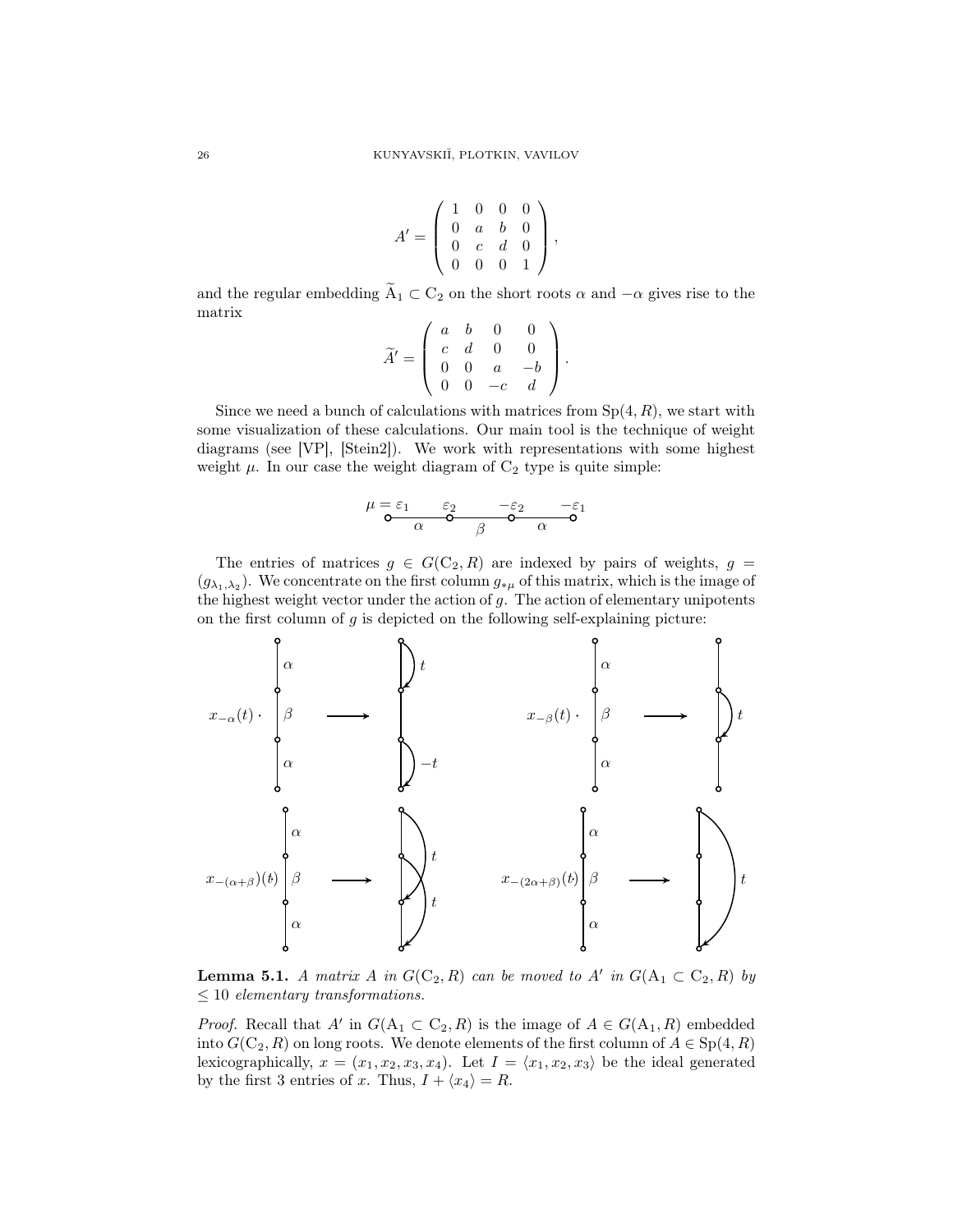$$
A'=\left(\begin{array}{cccc} 1 & 0 & 0 & 0 \\ 0 & a & b & 0 \\ 0 & c & d & 0 \\ 0 & 0 & 0 & 1 \end{array}\right),
$$

and the regular embedding  $\widetilde{A}_1 \subset C_2$  on the short roots  $\alpha$  and  $-\alpha$  gives rise to the matrix

$$
\widetilde{A}' = \left( \begin{array}{cccc} a & b & 0 & 0 \\ c & d & 0 & 0 \\ 0 & 0 & a & -b \\ 0 & 0 & -c & d \end{array} \right).
$$

Since we need a bunch of calculations with matrices from  $Sp(4, R)$ , we start with some visualization of these calculations. Our main tool is the technique of weight diagrams (see [VP], [Stein2]). We work with representations with some highest weight  $\mu$ . In our case the weight diagram of  $C_2$  type is quite simple:

$$
\mu = \varepsilon_1 \qquad \varepsilon_2 \qquad -\varepsilon_2 \qquad -\varepsilon_1
$$
  

$$
\alpha \qquad \beta \qquad \alpha \qquad \alpha
$$

The entries of matrices  $g \in G(C_2, R)$  are indexed by pairs of weights,  $g =$  $(g_{\lambda_1,\lambda_2})$ . We concentrate on the first column  $g_{*\mu}$  of this matrix, which is the image of the highest weight vector under the action of  $g$ . The action of elementary unipotents on the first column of  $q$  is depicted on the following self-explaining picture:



**Lemma 5.1.** A matrix A in  $G(C_2, R)$  can be moved to A' in  $G(A_1 \subset C_2, R)$  by  $\leq 10$  elementary transformations.

*Proof.* Recall that  $A'$  in  $G(A_1 \subset C_2, R)$  is the image of  $A \in G(A_1, R)$  embedded into  $G(C_2, R)$  on long roots. We denote elements of the first column of  $A \in Sp(4, R)$ lexicographically,  $x = (x_1, x_2, x_3, x_4)$ . Let  $I = \langle x_1, x_2, x_3 \rangle$  be the ideal generated by the first 3 entries of x. Thus,  $I + \langle x_4 \rangle = R$ .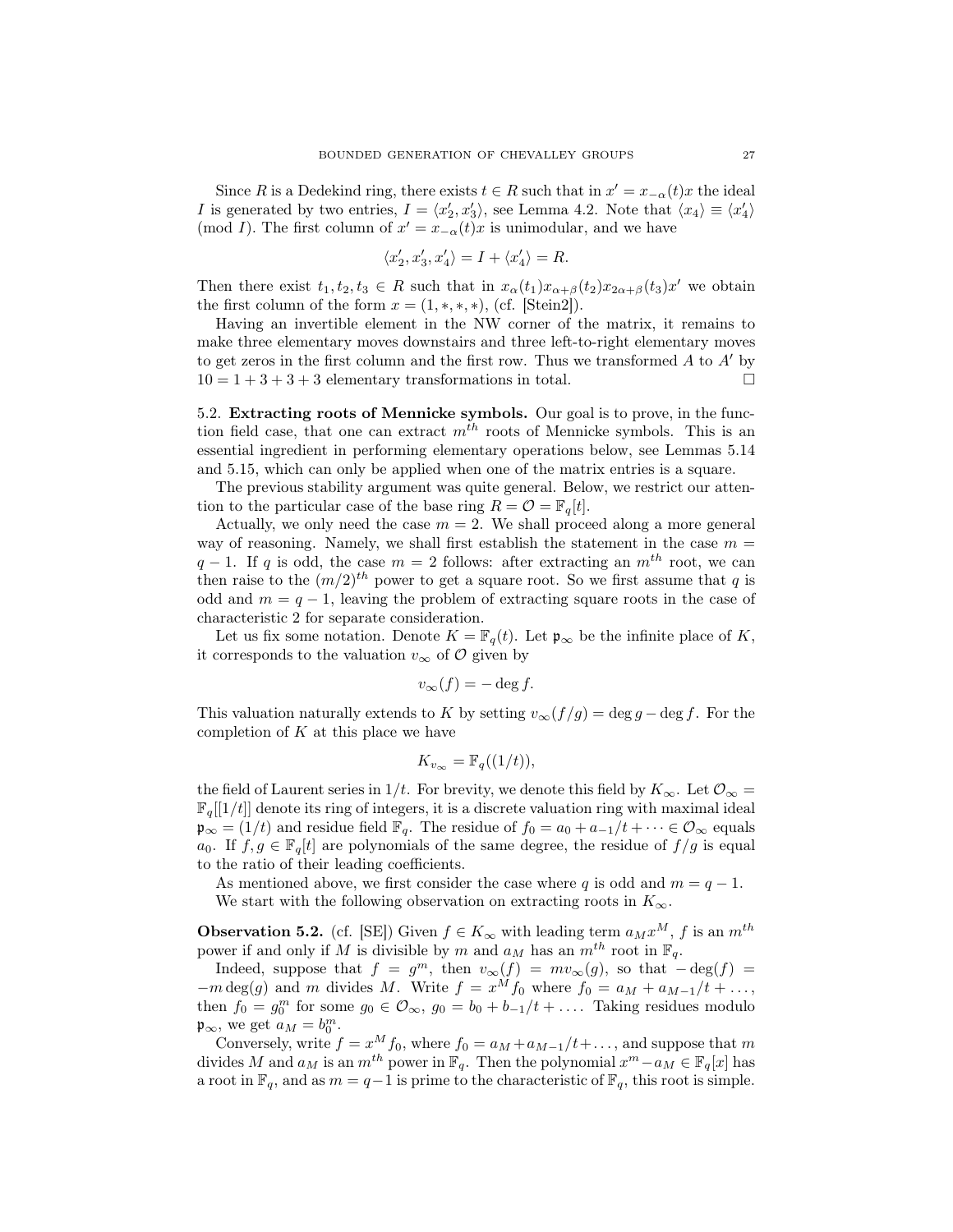Since R is a Dedekind ring, there exists  $t \in R$  such that in  $x' = x_{-\alpha}(t)x$  the ideal *I* is generated by two entries,  $I = \langle x'_2, x'_3 \rangle$ , see Lemma 4.2. Note that  $\langle x_4 \rangle \equiv \langle x'_4 \rangle$ (mod I). The first column of  $x' = x_{-\alpha}(t)x$  is unimodular, and we have

$$
\langle x_2', x_3', x_4'\rangle = I + \langle x_4'\rangle = R.
$$

Then there exist  $t_1, t_2, t_3 \in R$  such that in  $x_\alpha(t_1)x_{\alpha+\beta}(t_2)x_{2\alpha+\beta}(t_3)x'$  we obtain the first column of the form  $x = (1, \ast, \ast, \ast)$ , (cf. [Stein2]).

Having an invertible element in the NW corner of the matrix, it remains to make three elementary moves downstairs and three left-to-right elementary moves to get zeros in the first column and the first row. Thus we transformed  $A$  to  $A'$  by  $10 = 1 + 3 + 3 + 3$  elementary transformations in total.

5.2. Extracting roots of Mennicke symbols. Our goal is to prove, in the function field case, that one can extract  $m^{th}$  roots of Mennicke symbols. This is an essential ingredient in performing elementary operations below, see Lemmas 5.14 and 5.15, which can only be applied when one of the matrix entries is a square.

The previous stability argument was quite general. Below, we restrict our attention to the particular case of the base ring  $R = \mathcal{O} = \mathbb{F}_q[t].$ 

Actually, we only need the case  $m = 2$ . We shall proceed along a more general way of reasoning. Namely, we shall first establish the statement in the case  $m =$  $q-1$ . If q is odd, the case  $m = 2$  follows: after extracting an  $m<sup>th</sup>$  root, we can then raise to the  $(m/2)^{th}$  power to get a square root. So we first assume that q is odd and  $m = q - 1$ , leaving the problem of extracting square roots in the case of characteristic 2 for separate consideration.

Let us fix some notation. Denote  $K = \mathbb{F}_q(t)$ . Let  $\mathfrak{p}_{\infty}$  be the infinite place of K, it corresponds to the valuation  $v_{\infty}$  of  $\mathcal{O}$  given by

$$
v_{\infty}(f) = -\deg f.
$$

This valuation naturally extends to K by setting  $v_{\infty}(f/g) = \deg g - \deg f$ . For the completion of  $K$  at this place we have

$$
K_{v_{\infty}} = \mathbb{F}_q((1/t)),
$$

the field of Laurent series in 1/t. For brevity, we denote this field by  $K_{\infty}$ . Let  $\mathcal{O}_{\infty}$  $\mathbb{F}_q[[1/t]]$  denote its ring of integers, it is a discrete valuation ring with maximal ideal  $\mathfrak{p}_{\infty} = (1/t)$  and residue field  $\mathbb{F}_q$ . The residue of  $f_0 = a_0 + a_{-1}/t + \cdots \in \mathcal{O}_{\infty}$  equals a<sub>0</sub>. If  $f, g \in \mathbb{F}_q[t]$  are polynomials of the same degree, the residue of  $f/g$  is equal to the ratio of their leading coefficients.

As mentioned above, we first consider the case where q is odd and  $m = q - 1$ . We start with the following observation on extracting roots in  $K_{\infty}$ .

**Observation 5.2.** (cf. [SE]) Given  $f \in K_{\infty}$  with leading term  $a_M x^M$ , f is an  $m^{th}$ power if and only if M is divisible by m and  $a_M$  has an  $m^{th}$  root in  $\mathbb{F}_q$ .

Indeed, suppose that  $f = g^m$ , then  $v_\infty(f) = mv_\infty(g)$ , so that  $-\deg(f) =$  $-m \deg(g)$  and m divides M. Write  $f = x^M f_0$  where  $f_0 = a_M + a_{M-1}/t + \ldots$ , then  $f_0 = g_0^m$  for some  $g_0 \in \mathcal{O}_{\infty}$ ,  $g_0 = b_0 + b_{-1}/t + \dots$  Taking residues modulo  $\mathfrak{p}_{\infty}$ , we get  $a_M = b_0^m$ .

Conversely, write  $f = x^M f_0$ , where  $f_0 = a_M + a_{M-1}/t + ...$ , and suppose that m divides M and  $a_M$  is an  $m^{th}$  power in  $\mathbb{F}_q$ . Then the polynomial  $x^m - a_M \in \mathbb{F}_q[x]$  has a root in  $\mathbb{F}_q$ , and as  $m = q-1$  is prime to the characteristic of  $\mathbb{F}_q$ , this root is simple.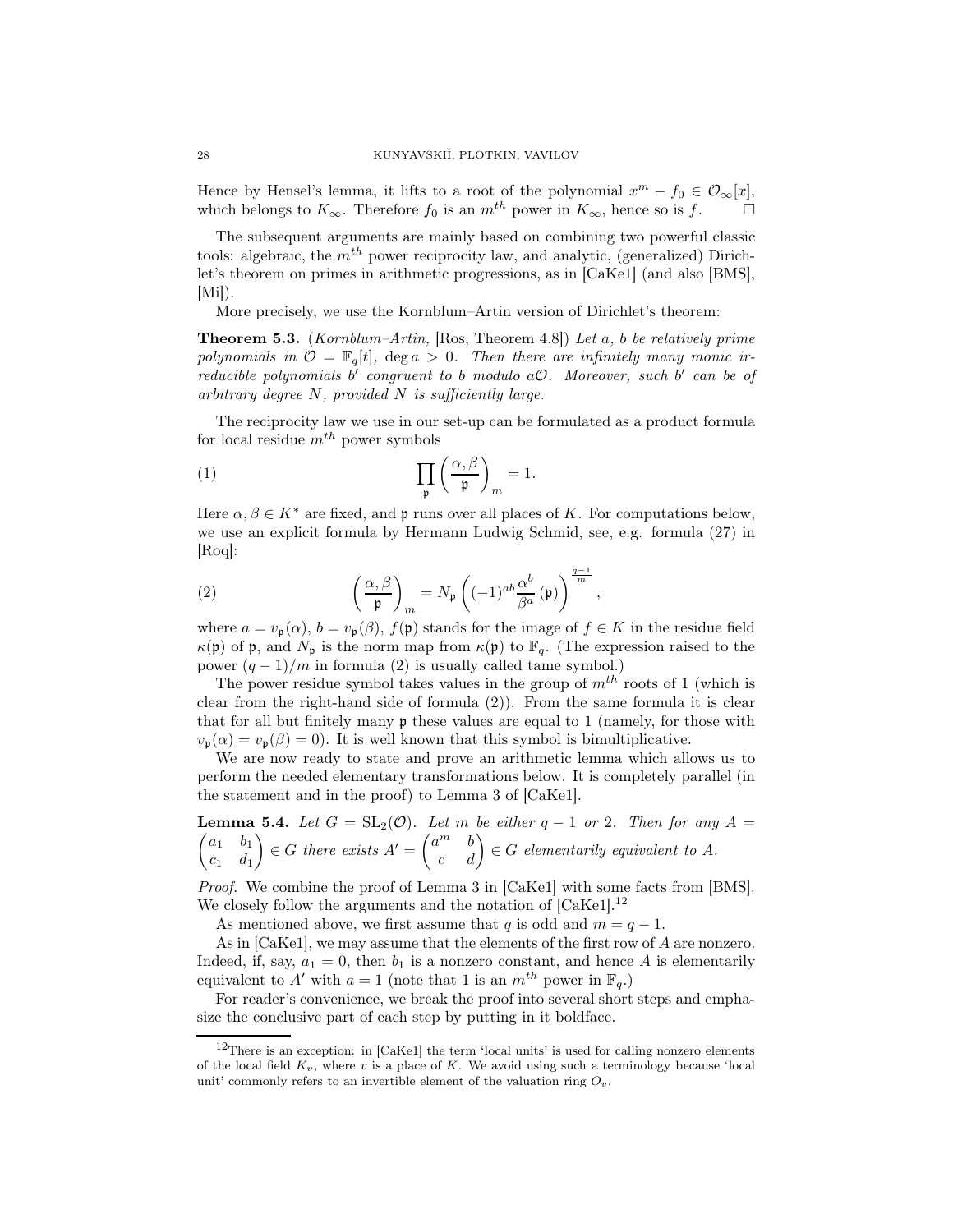Hence by Hensel's lemma, it lifts to a root of the polynomial  $x^m - f_0 \in \mathcal{O}_{\infty}[x]$ , which belongs to  $K_{\infty}$ . Therefore  $f_0$  is an  $m^{th}$  power in  $K_{\infty}$ , hence so is f.

The subsequent arguments are mainly based on combining two powerful classic tools: algebraic, the  $m<sup>th</sup>$  power reciprocity law, and analytic, (generalized) Dirichlet's theorem on primes in arithmetic progressions, as in [CaKe1] (and also [BMS],  $[Mi]$ .

More precisely, we use the Kornblum–Artin version of Dirichlet's theorem:

**Theorem 5.3.** (Kornblum–Artin, [Ros, Theorem 4.8]) Let a, b be relatively prime polynomials in  $\mathcal{O} = \mathbb{F}_q[t]$ , deg  $a > 0$ . Then there are infinitely many monic irreducible polynomials b' congruent to b modulo a $O$ . Moreover, such b' can be of arbitrary degree  $N$ , provided  $N$  is sufficiently large.

The reciprocity law we use in our set-up can be formulated as a product formula for local residue  $m^{th}$  power symbols

(1) 
$$
\prod_{\mathfrak{p}} \left( \frac{\alpha, \beta}{\mathfrak{p}} \right)_m = 1.
$$

Here  $\alpha, \beta \in K^*$  are fixed, and p runs over all places of K. For computations below, we use an explicit formula by Hermann Ludwig Schmid, see, e.g. formula (27) in [Roq]:

(2) 
$$
\left(\frac{\alpha,\beta}{\mathfrak{p}}\right)_m = N_{\mathfrak{p}}\left((-1)^{ab}\frac{\alpha^b}{\beta^a}(\mathfrak{p})\right)^{\frac{q-1}{m}},
$$

where  $a = v_{\mathfrak{p}}(\alpha)$ ,  $b = v_{\mathfrak{p}}(\beta)$ ,  $f(\mathfrak{p})$  stands for the image of  $f \in K$  in the residue field  $\kappa(\mathfrak{p})$  of **p**, and  $N_{\mathfrak{p}}$  is the norm map from  $\kappa(\mathfrak{p})$  to  $\mathbb{F}_q$ . (The expression raised to the power  $(q-1)/m$  in formula (2) is usually called tame symbol.)

The power residue symbol takes values in the group of  $m<sup>th</sup>$  roots of 1 (which is clear from the right-hand side of formula (2)). From the same formula it is clear that for all but finitely many p these values are equal to 1 (namely, for those with  $v_{\mathbf{p}}(\alpha) = v_{\mathbf{p}}(\beta) = 0$ . It is well known that this symbol is bimultiplicative.

We are now ready to state and prove an arithmetic lemma which allows us to perform the needed elementary transformations below. It is completely parallel (in the statement and in the proof) to Lemma 3 of [CaKe1].

**Lemma 5.4.** Let 
$$
G = SL_2(\mathcal{O})
$$
. Let m be either  $q - 1$  or 2. Then for any  $A = \begin{pmatrix} a_1 & b_1 \\ c_1 & d_1 \end{pmatrix} \in G$  there exists  $A' = \begin{pmatrix} a^m & b \\ c & d \end{pmatrix} \in G$  elementarily equivalent to A.

Proof. We combine the proof of Lemma 3 in [CaKe1] with some facts from [BMS]. We closely follow the arguments and the notation of  $[CaKe1]$ <sup>12</sup>

As mentioned above, we first assume that q is odd and  $m = q - 1$ .

As in [CaKe1], we may assume that the elements of the first row of A are nonzero. Indeed, if, say,  $a_1 = 0$ , then  $b_1$  is a nonzero constant, and hence A is elementarily equivalent to A' with  $a = 1$  (note that 1 is an  $m^{th}$  power in  $\mathbb{F}_q$ .)

For reader's convenience, we break the proof into several short steps and emphasize the conclusive part of each step by putting in it boldface.

 $12$ There is an exception: in [CaKe1] the term 'local units' is used for calling nonzero elements of the local field  $K_v$ , where v is a place of K. We avoid using such a terminology because 'local unit' commonly refers to an invertible element of the valuation ring  $O_v$ .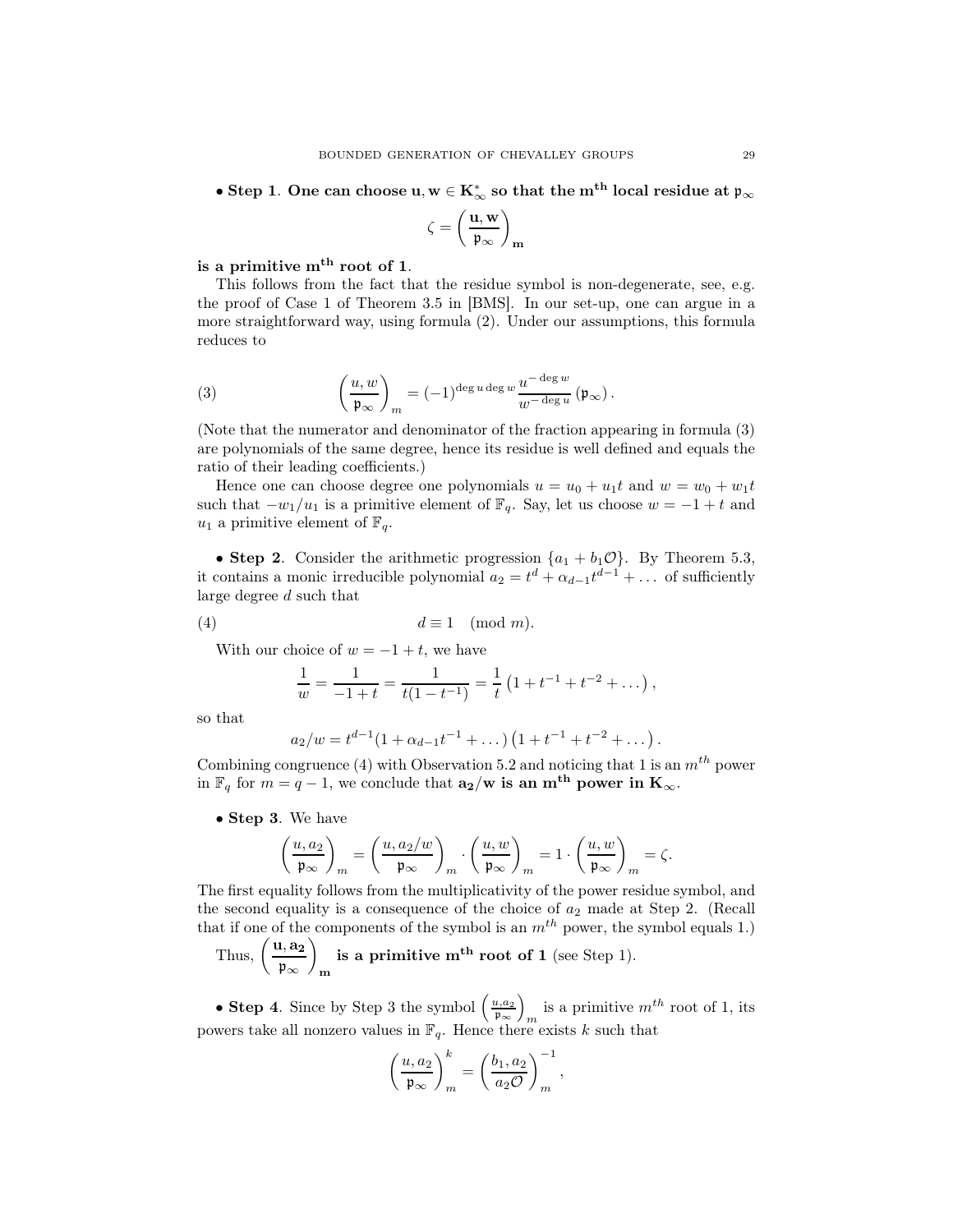$\bullet$  Step 1. One can choose u,  $\mathrm{w}\in \mathrm{K}_{\infty}^*$  so that the  $\mathrm{m}^\mathrm{th}$  local residue at  $\mathfrak{p}_{\infty}$ 

$$
\zeta=\left(\frac{\mathbf{u},\mathbf{w}}{\mathfrak{p}_{\infty}}\right)_{\mathbf{m}}
$$

# is a primitive  $m<sup>th</sup>$  root of 1.

This follows from the fact that the residue symbol is non-degenerate, see, e.g. the proof of Case 1 of Theorem 3.5 in [BMS]. In our set-up, one can argue in a more straightforward way, using formula (2). Under our assumptions, this formula reduces to

(3) 
$$
\left(\frac{u,w}{\mathfrak{p}_{\infty}}\right)_m = (-1)^{\deg u \deg w} \frac{u^{-\deg w}}{w^{-\deg u}} \left(\mathfrak{p}_{\infty}\right).
$$

(Note that the numerator and denominator of the fraction appearing in formula (3) are polynomials of the same degree, hence its residue is well defined and equals the ratio of their leading coefficients.)

Hence one can choose degree one polynomials  $u = u_0 + u_1t$  and  $w = w_0 + w_1t$ such that  $-w_1/u_1$  is a primitive element of  $\mathbb{F}_q$ . Say, let us choose  $w = -1 + t$  and  $u_1$  a primitive element of  $\mathbb{F}_q$ .

• Step 2. Consider the arithmetic progression  $\{a_1 + b_1 \mathcal{O}\}\$ . By Theorem 5.3, it contains a monic irreducible polynomial  $a_2 = t^d + \alpha_{d-1} t^{d-1} + \dots$  of sufficiently large degree d such that

$$
(4) \t d \equiv 1 \pmod{m}.
$$

With our choice of  $w = -1 + t$ , we have

$$
\frac{1}{w} = \frac{1}{-1+t} = \frac{1}{t(1-t^{-1})} = \frac{1}{t}(1+t^{-1}+t^{-2}+\dots),
$$

so that

$$
a_2/w = t^{d-1}(1 + \alpha_{d-1}t^{-1} + \dots) (1 + t^{-1} + t^{-2} + \dots).
$$

Combining congruence (4) with Observation 5.2 and noticing that 1 is an  $m^{th}$  power in  $\mathbb{F}_q$  for  $m = q - 1$ , we conclude that  $\mathbf{a_2} / \mathbf{w}$  is an  $\mathbf{m^{th}}$  power in  $\mathbf{K}_{\infty}$ .

• Step 3. We have

$$
\left(\frac{u,a_2}{\mathfrak{p}_\infty}\right)_m=\left(\frac{u,a_2/w}{\mathfrak{p}_\infty}\right)_m\cdot\left(\frac{u,w}{\mathfrak{p}_\infty}\right)_m=1\cdot\left(\frac{u,w}{\mathfrak{p}_\infty}\right)_m=\zeta.
$$

The first equality follows from the multiplicativity of the power residue symbol, and the second equality is a consequence of the choice of  $a_2$  made at Step 2. (Recall that if one of the components of the symbol is an  $m^{th}$  power, the symbol equals 1.)

Thus,  $\left(\frac{\mathbf{u}, \mathbf{a_2}}{\mu}\right)$ p<sup>∞</sup>  $\overline{ }$ is a primitive  $m<sup>th</sup>$  root of 1 (see Step 1).

• Step 4. Since by Step 3 the symbol  $\left(\frac{u,a_2}{n}\right)$ p∞  $\overline{ }$ is a primitive  $m^{th}$  root of 1, its powers take all nonzero values in  $\mathbb{F}_q$ . Hence there exists k such that

$$
\left(\frac{u, a_2}{\mathfrak{p}_{\infty}}\right)^k_m = \left(\frac{b_1, a_2}{a_2 \mathcal{O}}\right)^{-1}_m,
$$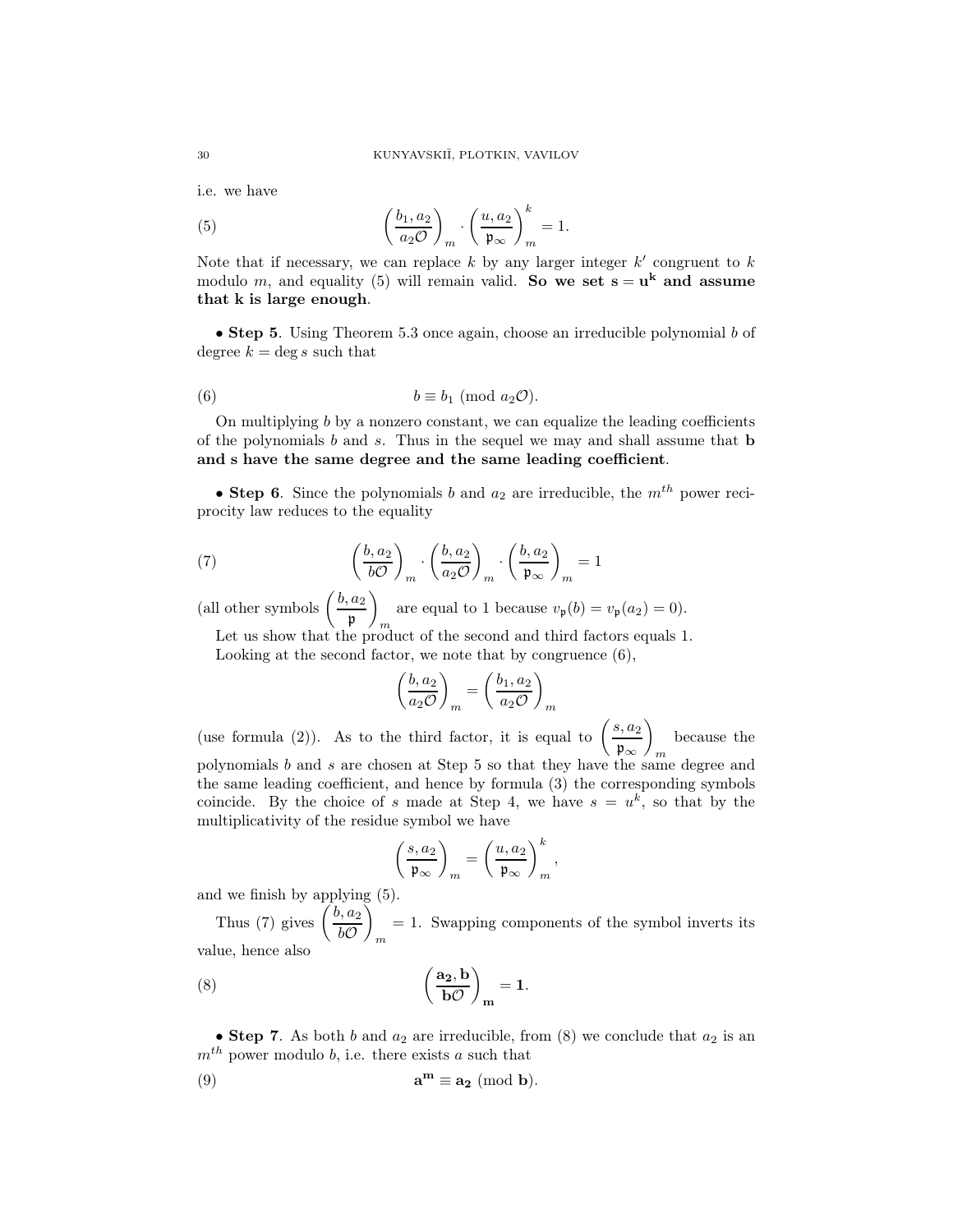i.e. we have

(5) 
$$
\left(\frac{b_1, a_2}{a_2 O}\right)_m \cdot \left(\frac{u, a_2}{\mathfrak{p}_{\infty}}\right)_m^k = 1.
$$

Note that if necessary, we can replace  $k$  by any larger integer  $k'$  congruent to  $k$ modulo m, and equality (5) will remain valid. So we set  $s = u^k$  and assume that k is large enough.

• Step 5. Using Theorem 5.3 once again, choose an irreducible polynomial b of degree  $k = \deg s$  such that

(6) 
$$
b \equiv b_1 \pmod{a_2 \mathcal{O}}.
$$

On multiplying b by a nonzero constant, we can equalize the leading coefficients of the polynomials  $b$  and  $s$ . Thus in the sequel we may and shall assume that  $b$ and s have the same degree and the same leading coefficient.

• Step 6. Since the polynomials b and  $a_2$  are irreducible, the  $m<sup>th</sup>$  power reciprocity law reduces to the equality

(7) 
$$
\left(\frac{b, a_2}{bO}\right)_m \cdot \left(\frac{b, a_2}{a_2O}\right)_m \cdot \left(\frac{b, a_2}{\mathfrak{p}_{\infty}}\right)_m = 1
$$

(all other symbols  $\left(\frac{b, a_2}{a}\right)$ p  $\overline{ }$ m are equal to 1 because  $v_{\mathfrak{p}}(b) = v_{\mathfrak{p}}(a_2) = 0$ .

Let us show that the product of the second and third factors equals 1. Looking at the second factor, we note that by congruence (6),

$$
\left(\frac{b, a_2}{a_2 \mathcal{O}}\right)_m = \left(\frac{b_1, a_2}{a_2 \mathcal{O}}\right)_m
$$

(use formula (2)). As to the third factor, it is equal to  $\left(\frac{s, a_2}{a}\right)$ p∞  $\overline{ }$ m because the polynomials  $b$  and  $s$  are chosen at Step 5 so that they have the same degree and the same leading coefficient, and hence by formula (3) the corresponding symbols coincide. By the choice of s made at Step 4, we have  $s = u^k$ , so that by the multiplicativity of the residue symbol we have

$$
\left(\frac{s,a_2}{\mathfrak{p}_{\infty}}\right)_m = \left(\frac{u,a_2}{\mathfrak{p}_{\infty}}\right)_m^k,
$$

and we finish by applying (5).

Thus (7) gives  $\left(\frac{b, a_2}{l}\right)$  $b\mathcal{O}$ Ň m = 1. Swapping components of the symbol inverts its value, hence also

(8) 
$$
\left(\frac{a_2, b}{bO}\right)_m = 1.
$$

• Step 7. As both b and  $a_2$  are irreducible, from (8) we conclude that  $a_2$  is an  $m<sup>th</sup>$  power modulo b, i.e. there exists a such that

(9) 
$$
\mathbf{a}^{\mathbf{m}} \equiv \mathbf{a_2} \; (\text{mod } \mathbf{b}).
$$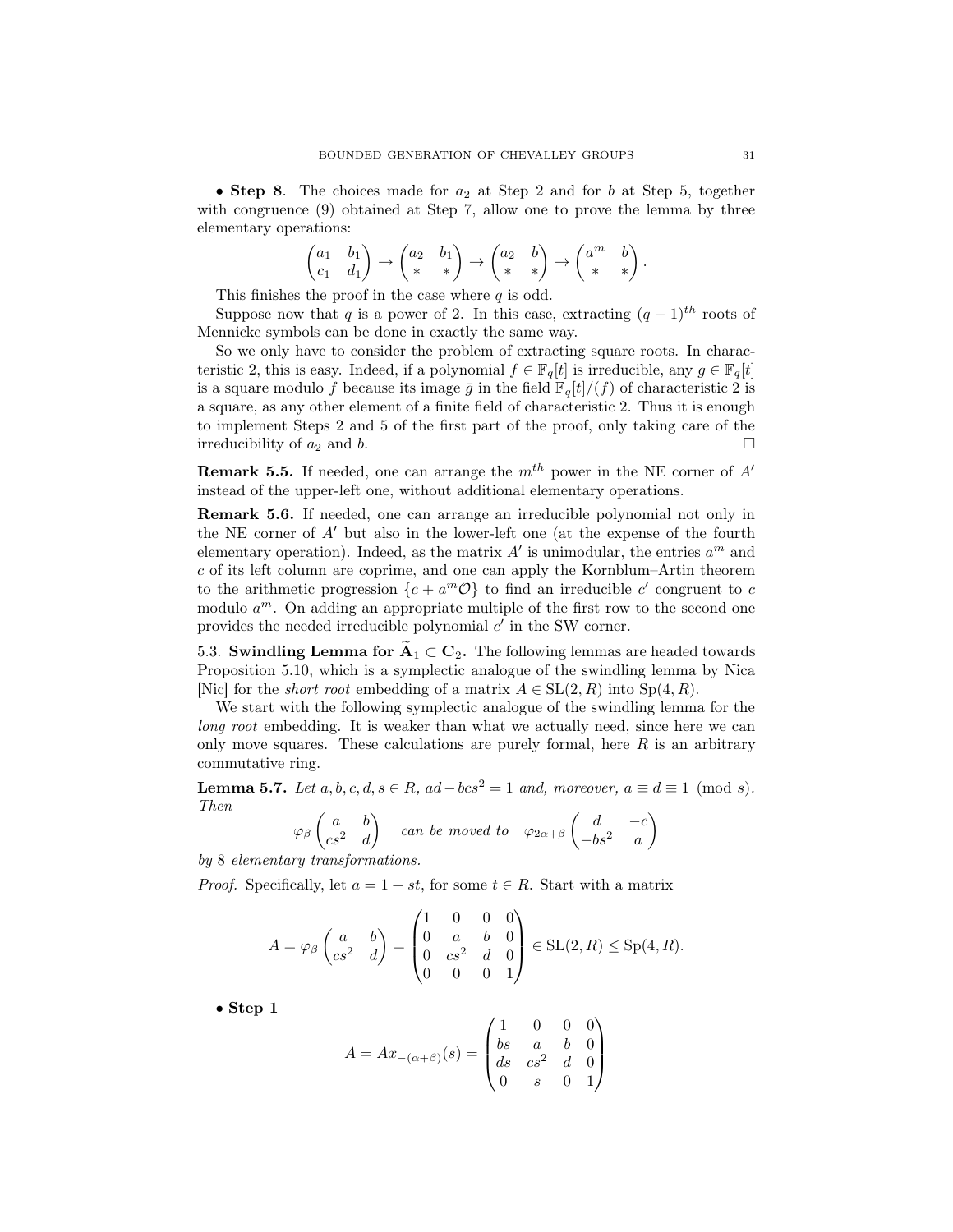• Step 8. The choices made for  $a_2$  at Step 2 and for b at Step 5, together with congruence (9) obtained at Step 7, allow one to prove the lemma by three elementary operations:

$$
\begin{pmatrix} a_1 & b_1 \ c_1 & d_1 \end{pmatrix} \rightarrow \begin{pmatrix} a_2 & b_1 \ * & * \end{pmatrix} \rightarrow \begin{pmatrix} a_2 & b \ * & * \end{pmatrix} \rightarrow \begin{pmatrix} a^m & b \ * & * \end{pmatrix}
$$

This finishes the proof in the case where  $q$  is odd.

Suppose now that q is a power of 2. In this case, extracting  $(q-1)^{th}$  roots of Mennicke symbols can be done in exactly the same way.

So we only have to consider the problem of extracting square roots. In characteristic 2, this is easy. Indeed, if a polynomial  $f \in \mathbb{F}_q[t]$  is irreducible, any  $g \in \mathbb{F}_q[t]$ is a square modulo f because its image  $\bar{g}$  in the field  $\mathbb{F}_q[t]/(f)$  of characteristic 2 is a square, as any other element of a finite field of characteristic 2. Thus it is enough to implement Steps 2 and 5 of the first part of the proof, only taking care of the irreducibility of  $a_2$  and b.

**Remark 5.5.** If needed, one can arrange the  $m<sup>th</sup>$  power in the NE corner of A' instead of the upper-left one, without additional elementary operations.

Remark 5.6. If needed, one can arrange an irreducible polynomial not only in the NE corner of A′ but also in the lower-left one (at the expense of the fourth elementary operation). Indeed, as the matrix  $A'$  is unimodular, the entries  $a^m$  and c of its left column are coprime, and one can apply the Kornblum–Artin theorem to the arithmetic progression  $\{c + a^m \mathcal{O}\}\)$  to find an irreducible c' congruent to c modulo  $a^m$ . On adding an appropriate multiple of the first row to the second one provides the needed irreducible polynomial  $c'$  in the SW corner.

5.3. Swindling Lemma for  $A_1 \subset C_2$ . The following lemmas are headed towards Proposition 5.10, which is a symplectic analogue of the swindling lemma by Nica [Nic] for the *short root* embedding of a matrix  $A \in SL(2, R)$  into  $Sp(4, R)$ .

We start with the following symplectic analogue of the swindling lemma for the long root embedding. It is weaker than what we actually need, since here we can only move squares. These calculations are purely formal, here  $R$  is an arbitrary commutative ring.

**Lemma 5.7.** Let  $a, b, c, d, s \in R$ ,  $ad-bcs^2 = 1$  and, moreover,  $a \equiv d \equiv 1 \pmod{s}$ . Then

$$
\varphi_{\beta}\begin{pmatrix} a & b \\ cs^2 & d \end{pmatrix} \quad \text{can be moved to} \quad \varphi_{2\alpha+\beta}\begin{pmatrix} d & -c \\ -bs^2 & a \end{pmatrix}
$$

by 8 elementary transformations.

*Proof.* Specifically, let  $a = 1 + st$ , for some  $t \in R$ . Start with a matrix

$$
A = \varphi_{\beta} \begin{pmatrix} a & b \\ cs^2 & d \end{pmatrix} = \begin{pmatrix} 1 & 0 & 0 & 0 \\ 0 & a & b & 0 \\ 0 & cs^2 & d & 0 \\ 0 & 0 & 0 & 1 \end{pmatrix} \in SL(2, R) \le Sp(4, R).
$$

• Step 1

$$
A = Ax_{-(\alpha+\beta)}(s) = \begin{pmatrix} 1 & 0 & 0 & 0 \\ bs & a & b & 0 \\ ds & cs^2 & d & 0 \\ 0 & s & 0 & 1 \end{pmatrix}
$$

.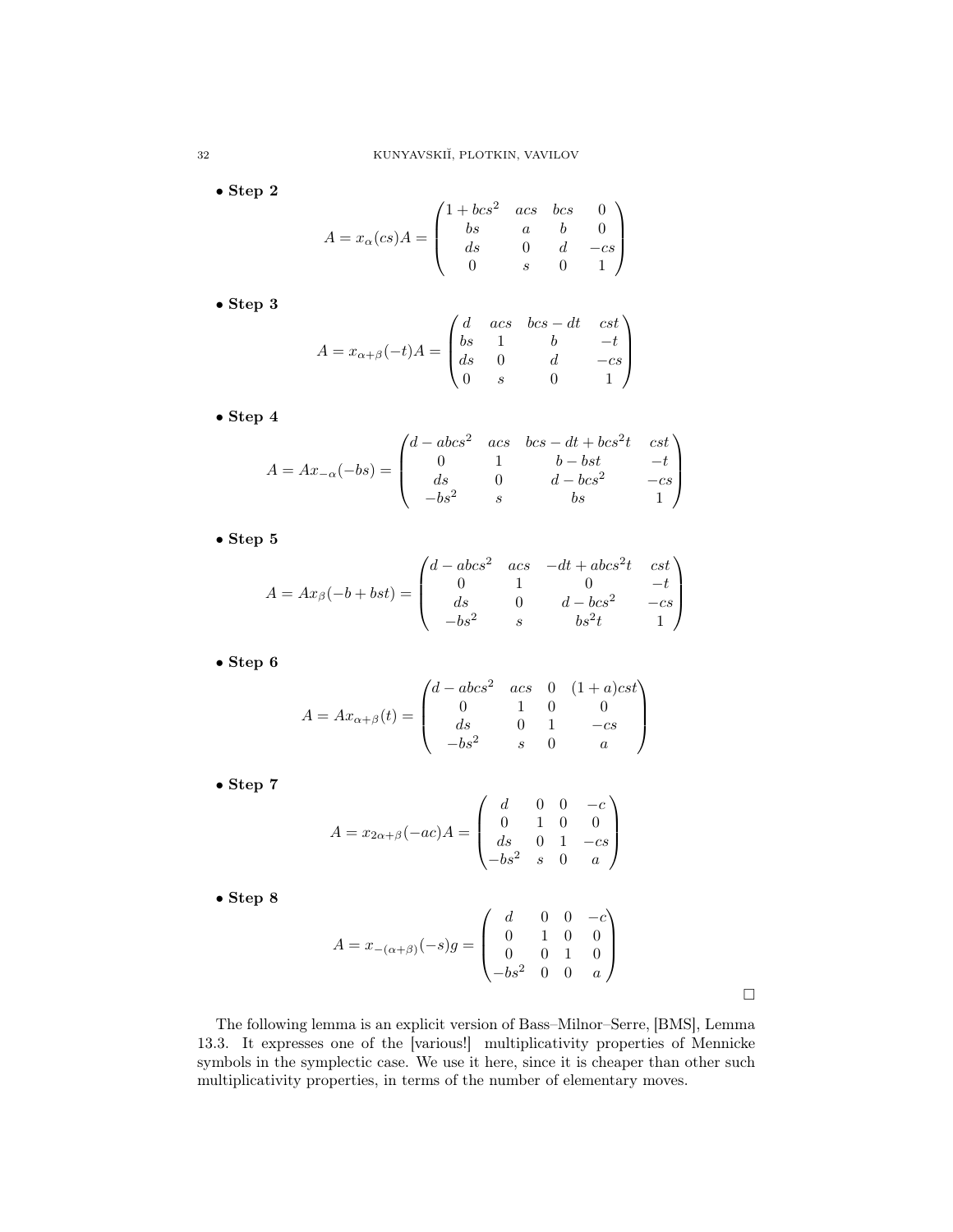• Step 2

$$
A = x_{\alpha}(cs)A = \begin{pmatrix} 1 + bcs^2 & acs & bcs & 0 \\ bs & a & b & 0 \\ ds & 0 & d & -cs \\ 0 & s & 0 & 1 \end{pmatrix}
$$

• Step 3

$$
A = x_{\alpha+\beta}(-t)A = \begin{pmatrix} d & acs & bcs - dt & cst \\ bs & 1 & b & -t \\ ds & 0 & d & -cs \\ 0 & s & 0 & 1 \end{pmatrix}
$$

• Step 4

$$
A = Ax_{-\alpha}(-bs) = \begin{pmatrix} d - abc s^2 & acs & bcs - dt + bcs^2 t & cst \\ 0 & 1 & b - bst & -t \\ ds & 0 & d - bcs^2 & -cs \\ -bs^2 & s & bs & 1 \end{pmatrix}
$$

 $\bullet$  Step 5

$$
A = Ax_{\beta}(-b + bst) = \begin{pmatrix} d - abcs^2 & acs & -dt + abcs^2t & cst \\ 0 & 1 & 0 & -t \\ ds & 0 & d - bs^2 & -cs \\ -bs^2 & s & bs^2t & 1 \end{pmatrix}
$$

• Step 6

$$
A = Ax_{\alpha+\beta}(t) = \begin{pmatrix} d - abc s^2 & ac s & 0 & (1+a)c s t \\ 0 & 1 & 0 & 0 \\ ds & 0 & 1 & -cs \\ -bs^2 & s & 0 & a \end{pmatrix}
$$

• Step 7

$$
A = x_{2\alpha + \beta}(-ac)A = \begin{pmatrix} d & 0 & 0 & -c \\ 0 & 1 & 0 & 0 \\ ds & 0 & 1 & -cs \\ -bs^2 & s & 0 & a \end{pmatrix}
$$

• Step 8

$$
A = x_{-(\alpha+\beta)}(-s)g = \begin{pmatrix} d & 0 & 0 & -c \\ 0 & 1 & 0 & 0 \\ 0 & 0 & 1 & 0 \\ -bs^2 & 0 & 0 & a \end{pmatrix}
$$

 $\Box$ 

The following lemma is an explicit version of Bass–Milnor–Serre, [BMS], Lemma 13.3. It expresses one of the [various!] multiplicativity properties of Mennicke symbols in the symplectic case. We use it here, since it is cheaper than other such multiplicativity properties, in terms of the number of elementary moves.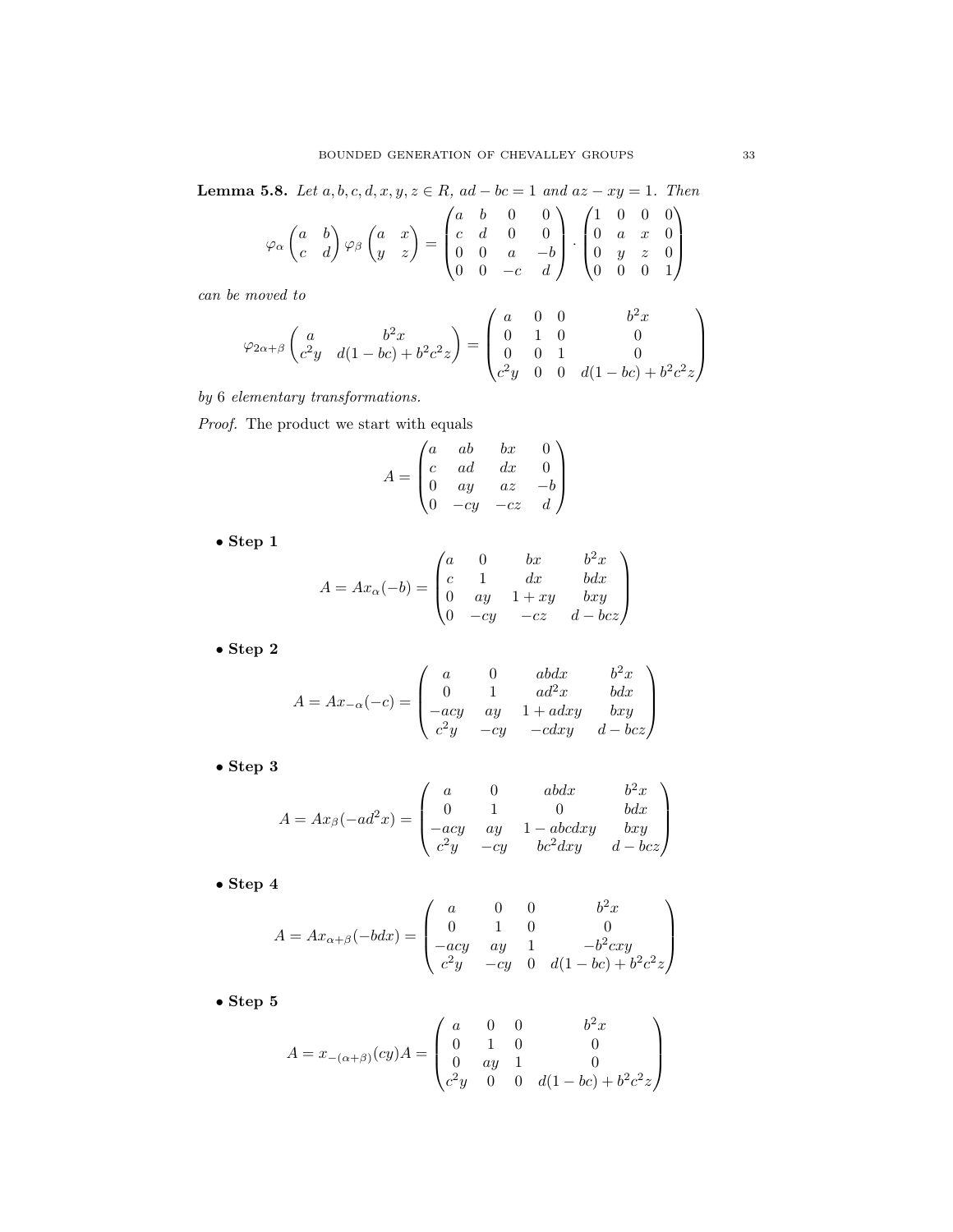Lemma 5.8. Let  $a, b, c, d, x, y, z \in R$ ,  $ad - bc = 1$  and  $az - xy = 1$ . Then

$$
\varphi_{\alpha}\begin{pmatrix} a & b \\ c & d \end{pmatrix} \varphi_{\beta}\begin{pmatrix} a & x \\ y & z \end{pmatrix} = \begin{pmatrix} a & b & 0 & 0 \\ c & d & 0 & 0 \\ 0 & 0 & a & -b \\ 0 & 0 & -c & d \end{pmatrix} \cdot \begin{pmatrix} 1 & 0 & 0 & 0 \\ 0 & a & x & 0 \\ 0 & y & z & 0 \\ 0 & 0 & 0 & 1 \end{pmatrix}
$$

can be moved to

$$
\varphi_{2\alpha+\beta}\begin{pmatrix} a & b^2x \\ c^2y & d(1-bc)+b^2c^2z \end{pmatrix} = \begin{pmatrix} a & 0 & 0 & b^2x \\ 0 & 1 & 0 & 0 \\ 0 & 0 & 1 & 0 \\ c^2y & 0 & 0 & d(1-bc)+b^2c^2z \end{pmatrix}
$$

by 6 elementary transformations.

Proof. The product we start with equals

$$
A = \begin{pmatrix} a & ab & bx & 0 \\ c & ad & dx & 0 \\ 0 & ay & az & -b \\ 0 & -cy & -cz & d \end{pmatrix}
$$

• Step 1

$$
A = Ax_{\alpha}(-b) = \begin{pmatrix} a & 0 & bx & b^2x \\ c & 1 & dx & bdx \\ 0 & ay & 1+xy & bxy \\ 0 & -cy & -cz & d-bcz \end{pmatrix}
$$

• Step 2

$$
A = Ax_{-\alpha}(-c) = \begin{pmatrix} a & 0 & abdx & b^2x \\ 0 & 1 & ad^2x & bdx \\ -acy & ay & 1+adxy & bxy \\ c^2y & -cy & -cdxy & d-bcz \end{pmatrix}
$$

• Step 3

$$
A = Ax_{\beta}(-ad^2x) = \begin{pmatrix} a & 0 & abdx & b^2x \\ 0 & 1 & 0 & bdx \\ -acy & ay & 1 - abcdxy & bxy \\ c^2y & -cy & bc^2dxy & d-bcz \end{pmatrix}
$$

 $\bullet$  Step  $4$ 

$$
A = Ax_{\alpha+\beta}(-bdx) = \begin{pmatrix} a & 0 & 0 & b^2x \\ 0 & 1 & 0 & 0 \\ -acy & ay & 1 & -b^2cxy \\ c^2y & -cy & 0 & d(1-bc) + b^2c^2z \end{pmatrix}
$$

 $\bullet$  Step 5

$$
A = x_{-(\alpha+\beta)}(cy)A = \begin{pmatrix} a & 0 & 0 & b^2x \\ 0 & 1 & 0 & 0 \\ 0 & ay & 1 & 0 \\ c^2y & 0 & 0 & d(1-bc) + b^2c^2z \end{pmatrix}
$$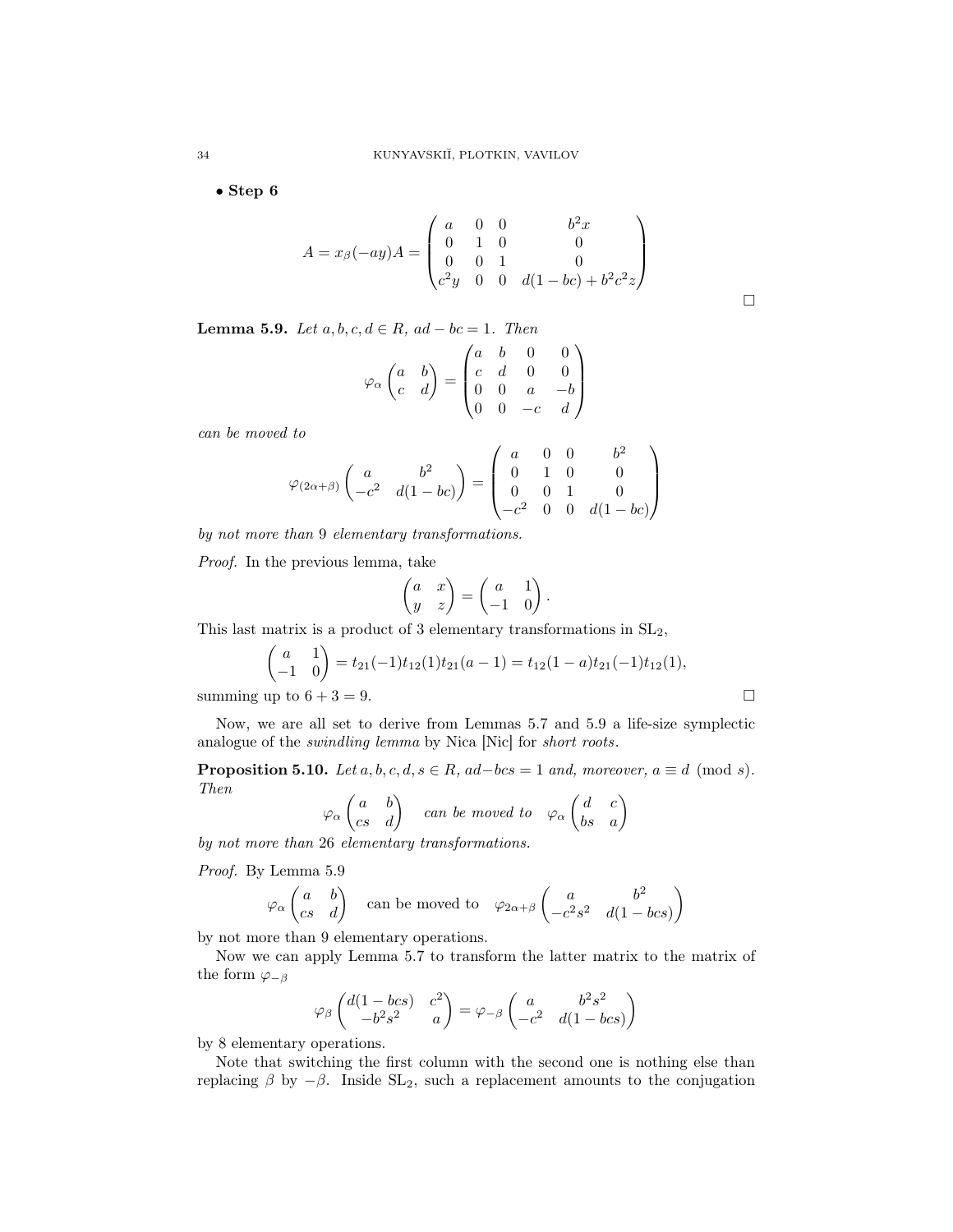• Step 6

$$
A = x_{\beta}(-ay)A = \begin{pmatrix} a & 0 & 0 & b^{2}x \\ 0 & 1 & 0 & 0 \\ 0 & 0 & 1 & 0 \\ c^{2}y & 0 & 0 & d(1 - bc) + b^{2}c^{2}z \end{pmatrix}
$$

Lemma 5.9. Let  $a, b, c, d \in R$ ,  $ad - bc = 1$ . Then

$$
\varphi_{\alpha} \begin{pmatrix} a & b \\ c & d \end{pmatrix} = \begin{pmatrix} a & b & 0 & 0 \\ c & d & 0 & 0 \\ 0 & 0 & a & -b \\ 0 & 0 & -c & d \end{pmatrix}
$$

can be moved to

$$
\varphi_{(2\alpha+\beta)}\begin{pmatrix} a & b^2 \\ -c^2 & d(1-bc) \end{pmatrix} = \begin{pmatrix} a & 0 & 0 & b^2 \\ 0 & 1 & 0 & 0 \\ 0 & 0 & 1 & 0 \\ -c^2 & 0 & 0 & d(1-bc) \end{pmatrix}
$$

by not more than 9 elementary transformations.

Proof. In the previous lemma, take

$$
\begin{pmatrix} a & x \\ y & z \end{pmatrix} = \begin{pmatrix} a & 1 \\ -1 & 0 \end{pmatrix}.
$$

This last matrix is a product of 3 elementary transformations in SL2,

$$
\begin{pmatrix} a & 1 \ -1 & 0 \end{pmatrix} = t_{21}(-1)t_{12}(1)t_{21}(a-1) = t_{12}(1-a)t_{21}(-1)t_{12}(1),
$$
  
summing up to 6 + 3 = 9.

Now, we are all set to derive from Lemmas 5.7 and 5.9 a life-size symplectic analogue of the swindling lemma by Nica [Nic] for short roots.

**Proposition 5.10.** Let  $a, b, c, d, s \in R$ ,  $ad-bcs = 1$  and, moreover,  $a \equiv d \pmod{s}$ . Then  $\overline{a}$ 

$$
\varphi_{\alpha} \begin{pmatrix} a & b \\ cs & d \end{pmatrix}
$$
 can be moved to  $\varphi_{\alpha} \begin{pmatrix} d & c \\ bs & a \end{pmatrix}$ 

by not more than 26 elementary transformations.

Proof. By Lemma 5.9

$$
\varphi_{\alpha} \begin{pmatrix} a & b \\ cs & d \end{pmatrix}
$$
 can be moved to  $\varphi_{2\alpha+\beta} \begin{pmatrix} a & b^2 \\ -c^2s^2 & d(1-bcs) \end{pmatrix}$ 

by not more than 9 elementary operations.

Now we can apply Lemma 5.7 to transform the latter matrix to the matrix of the form  $\varphi_{-\beta}$ 

$$
\varphi_{\beta}\begin{pmatrix}d(1-bcs)&c^2\\-b^2s^2&a\end{pmatrix}=\varphi_{-\beta}\begin{pmatrix}a&b^2s^2\\-c^2&d(1-bcs)\end{pmatrix}
$$

by 8 elementary operations.

Note that switching the first column with the second one is nothing else than replacing  $\beta$  by  $-\beta$ . Inside SL<sub>2</sub>, such a replacement amounts to the conjugation

 $\Box$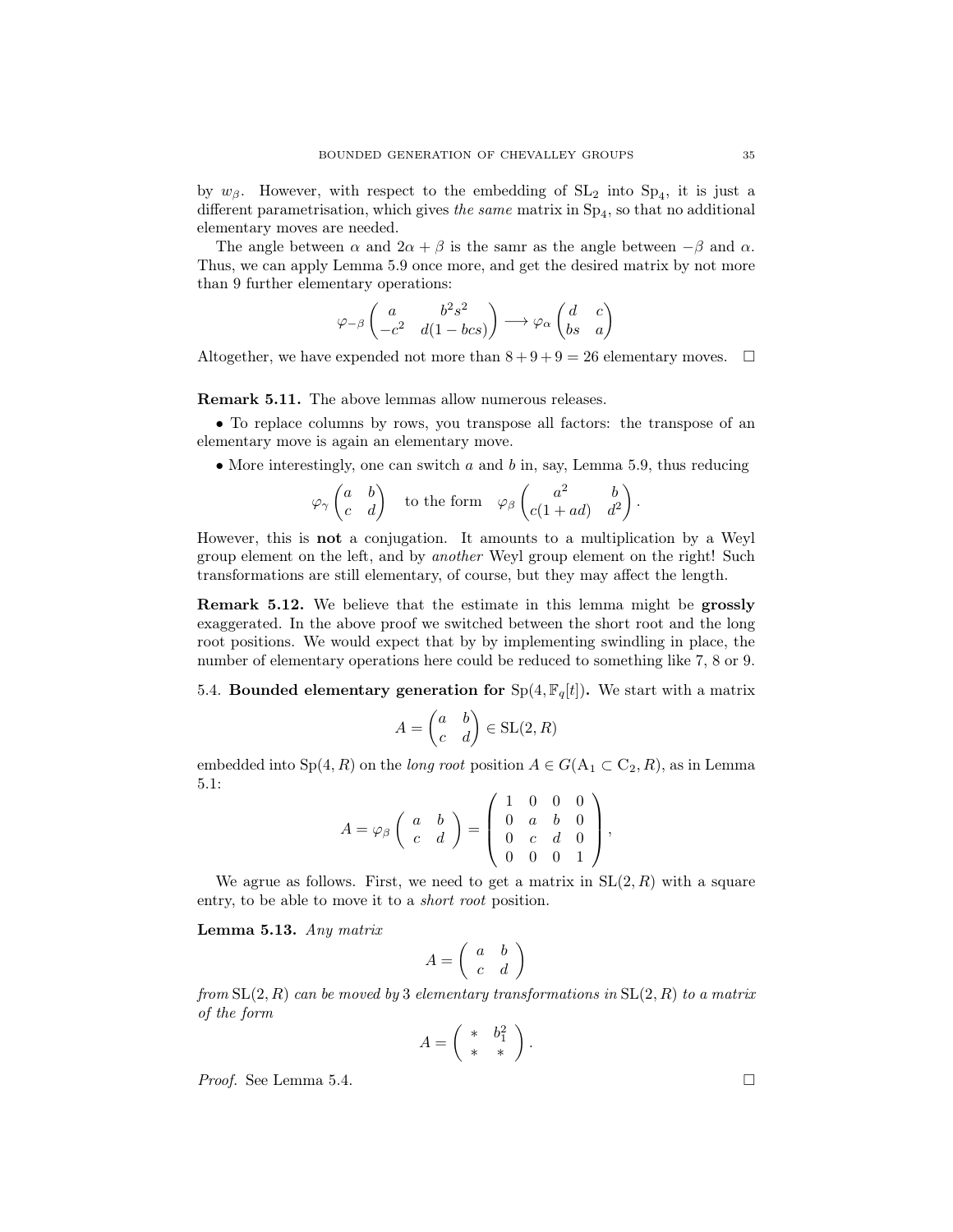by  $w_{\beta}$ . However, with respect to the embedding of  $SL_2$  into  $Sp_4$ , it is just a different parametrisation, which gives *the same* matrix in  $Sp_4$ , so that no additional elementary moves are needed.

The angle between  $\alpha$  and  $2\alpha + \beta$  is the samr as the angle between  $-\beta$  and  $\alpha$ . Thus, we can apply Lemma 5.9 once more, and get the desired matrix by not more than 9 further elementary operations:

$$
\varphi_{-\beta}\begin{pmatrix} a & b^2s^2 \\ -c^2 & d(1-bcs) \end{pmatrix} \longrightarrow \varphi_{\alpha}\begin{pmatrix} d & c \\ bs & a \end{pmatrix}
$$

Altogether, we have expended not more than  $8 + 9 + 9 = 26$  elementary moves.  $\Box$ 

Remark 5.11. The above lemmas allow numerous releases.

• To replace columns by rows, you transpose all factors: the transpose of an elementary move is again an elementary move.

• More interestingly, one can switch  $a$  and  $b$  in, say, Lemma 5.9, thus reducing

$$
\varphi_{\gamma}\begin{pmatrix} a & b \\ c & d \end{pmatrix} \quad \text{to the form} \quad \varphi_{\beta}\begin{pmatrix} a^2 & b \\ c(1+ad) & d^2 \end{pmatrix}.
$$

However, this is not a conjugation. It amounts to a multiplication by a Weyl group element on the left, and by another Weyl group element on the right! Such transformations are still elementary, of course, but they may affect the length.

Remark 5.12. We believe that the estimate in this lemma might be grossly exaggerated. In the above proof we switched between the short root and the long root positions. We would expect that by by implementing swindling in place, the number of elementary operations here could be reduced to something like 7, 8 or 9.

5.4. Bounded elementary generation for  $Sp(4, \mathbb{F}_q[t])$ . We start with a matrix

$$
A=\begin{pmatrix} a&b\\c&d\end{pmatrix}\in \text{SL}(2,R)
$$

embedded into  $Sp(4, R)$  on the *long root* position  $A \in G(A_1 \subset C_2, R)$ , as in Lemma 5.1:

$$
A = \varphi_{\beta} \left( \begin{array}{cc} a & b \\ c & d \end{array} \right) = \left( \begin{array}{cccc} 1 & 0 & 0 & 0 \\ 0 & a & b & 0 \\ 0 & c & d & 0 \\ 0 & 0 & 0 & 1 \end{array} \right),
$$

We agrue as follows. First, we need to get a matrix in  $SL(2, R)$  with a square entry, to be able to move it to a short root position.

Lemma 5.13. Any matrix

$$
A = \left(\begin{array}{cc} a & b \\ c & d \end{array}\right)
$$

from  $SL(2, R)$  can be moved by 3 elementary transformations in  $SL(2, R)$  to a matrix of the form

$$
A = \left(\begin{array}{cc} * & b_1^2 \\ * & * \end{array}\right).
$$

*Proof.* See Lemma 5.4.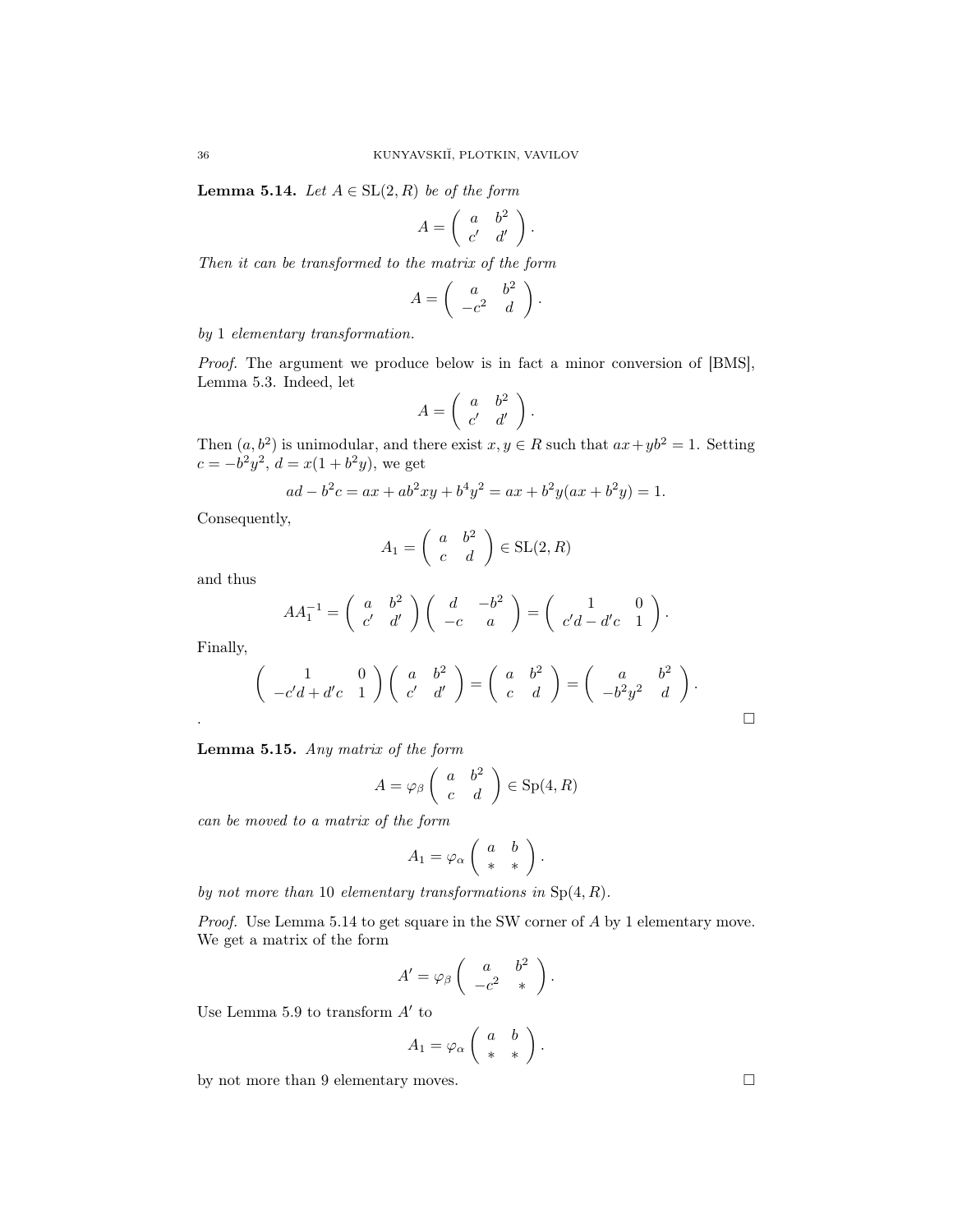**Lemma 5.14.** Let  $A \in SL(2, R)$  be of the form

$$
A = \left( \begin{array}{cc} a & b^2 \\ c' & d' \end{array} \right).
$$

Then it can be transformed to the matrix of the form

$$
A = \left( \begin{array}{cc} a & b^2 \\ -c^2 & d \end{array} \right).
$$

by 1 elementary transformation.

Proof. The argument we produce below is in fact a minor conversion of [BMS], Lemma 5.3. Indeed, let

$$
A = \left( \begin{array}{cc} a & b^2 \\ c' & d' \end{array} \right).
$$

Then  $(a, b^2)$  is unimodular, and there exist  $x, y \in R$  such that  $ax + yb^2 = 1$ . Setting  $c = -b^2y^2$ ,  $d = x(1 + b^2y)$ , we get

$$
ad - b2c = ax + ab2xy + b4y2 = ax + b2y(ax + b2y) = 1.
$$

Consequently,

$$
A_1 = \left(\begin{array}{cc} a & b^2 \\ c & d \end{array}\right) \in \text{SL}(2, R)
$$

and thus

$$
AA_1^{-1} = \begin{pmatrix} a & b^2 \\ c' & d' \end{pmatrix} \begin{pmatrix} d & -b^2 \\ -c & a \end{pmatrix} = \begin{pmatrix} 1 & 0 \\ c'd - d'c & 1 \end{pmatrix}.
$$

Finally,

$$
\begin{pmatrix} 1 & 0 \ -c'd + d'c & 1 \end{pmatrix} \begin{pmatrix} a & b^2 \ c' & d' \end{pmatrix} = \begin{pmatrix} a & b^2 \ c & d \end{pmatrix} = \begin{pmatrix} a & b^2 \ -b^2y^2 & d \end{pmatrix}.
$$

| <b>Lemma 5.15.</b> Any matrix of the form |  |  |  |  |  |  |
|-------------------------------------------|--|--|--|--|--|--|
|-------------------------------------------|--|--|--|--|--|--|

$$
A = \varphi_{\beta} \left( \begin{array}{cc} a & b^2 \\ c & d \end{array} \right) \in \text{Sp}(4, R)
$$

can be moved to a matrix of the form

$$
A_1 = \varphi_\alpha \left( \begin{array}{cc} a & b \\ * & * \end{array} \right).
$$

by not more than 10 elementary transformations in  $Sp(4, R)$ .

Proof. Use Lemma 5.14 to get square in the SW corner of A by 1 elementary move. We get a matrix of the form

$$
A' = \varphi_{\beta} \left( \begin{array}{cc} a & b^2 \\ -c^2 & * \end{array} \right).
$$

Use Lemma 5.9 to transform  $A'$  to

$$
A_1 = \varphi_\alpha \left( \begin{array}{cc} a & b \\ * & * \end{array} \right).
$$

by not more than 9 elementary moves.  $\Box$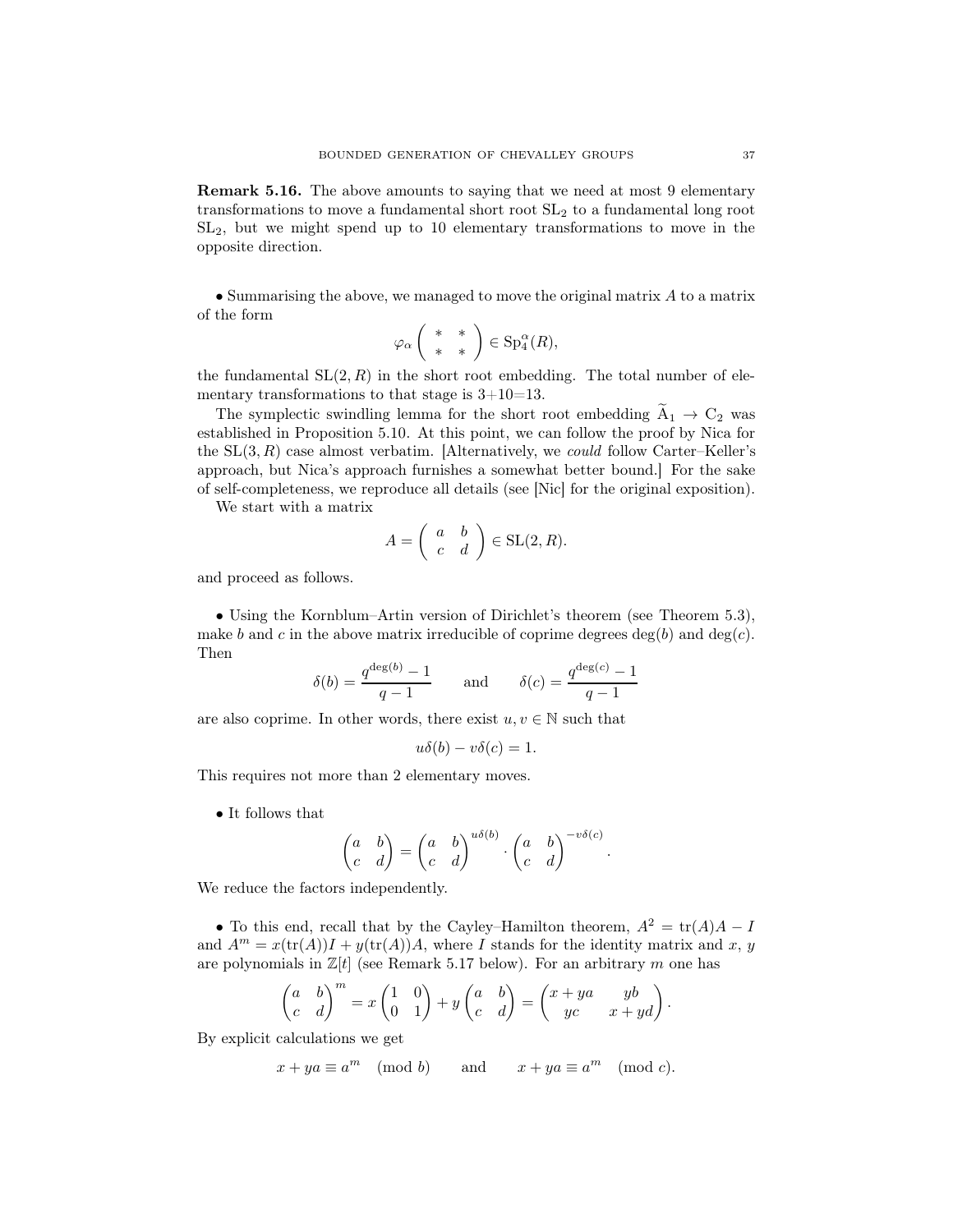Remark 5.16. The above amounts to saying that we need at most 9 elementary transformations to move a fundamental short root SL<sup>2</sup> to a fundamental long root SL2, but we might spend up to 10 elementary transformations to move in the opposite direction.

• Summarising the above, we managed to move the original matrix A to a matrix of the form

$$
\varphi_{\alpha}\left(\begin{array}{cc} * & * \\ * & * \end{array}\right)\in Sp^{\alpha}_{4}(R),
$$

the fundamental  $SL(2, R)$  in the short root embedding. The total number of elementary transformations to that stage is  $3+10=13$ .

The symplectic swindling lemma for the short root embedding  $\tilde{A}_1 \rightarrow C_2$  was established in Proposition 5.10. At this point, we can follow the proof by Nica for the  $SL(3, R)$  case almost verbatim. [Alternatively, we *could* follow Carter–Keller's approach, but Nica's approach furnishes a somewhat better bound.] For the sake of self-completeness, we reproduce all details (see [Nic] for the original exposition).

We start with a matrix

$$
A = \left( \begin{array}{cc} a & b \\ c & d \end{array} \right) \in \text{SL}(2, R).
$$

and proceed as follows.

• Using the Kornblum–Artin version of Dirichlet's theorem (see Theorem 5.3), make b and c in the above matrix irreducible of coprime degrees  $deg(b)$  and  $deg(c)$ . Then

$$
\delta(b) = \frac{q^{\deg(b)} - 1}{q - 1} \quad \text{and} \quad \delta(c) = \frac{q^{\deg(c)} - 1}{q - 1}
$$

are also coprime. In other words, there exist  $u, v \in \mathbb{N}$  such that

$$
u\delta(b) - v\delta(c) = 1.
$$

This requires not more than 2 elementary moves.

• It follows that

$$
\begin{pmatrix} a & b \\ c & d \end{pmatrix} = \begin{pmatrix} a & b \\ c & d \end{pmatrix}^{u\delta(b)} \cdot \begin{pmatrix} a & b \\ c & d \end{pmatrix}^{-v\delta(c)}.
$$

We reduce the factors independently.

• To this end, recall that by the Cayley–Hamilton theorem,  $A^2 = \text{tr}(A)A - I$ and  $A^m = x(\text{tr}(A))I + y(\text{tr}(A))A$ , where I stands for the identity matrix and x, y are polynomials in  $\mathbb{Z}[t]$  (see Remark 5.17 below). For an arbitrary m one has

$$
\begin{pmatrix} a & b \\ c & d \end{pmatrix}^m = x \begin{pmatrix} 1 & 0 \\ 0 & 1 \end{pmatrix} + y \begin{pmatrix} a & b \\ c & d \end{pmatrix} = \begin{pmatrix} x + ya & yb \\ yc & x + yd \end{pmatrix}.
$$

By explicit calculations we get

$$
x + ya \equiv a^m \pmod{b}
$$
 and  $x + ya \equiv a^m \pmod{c}$ .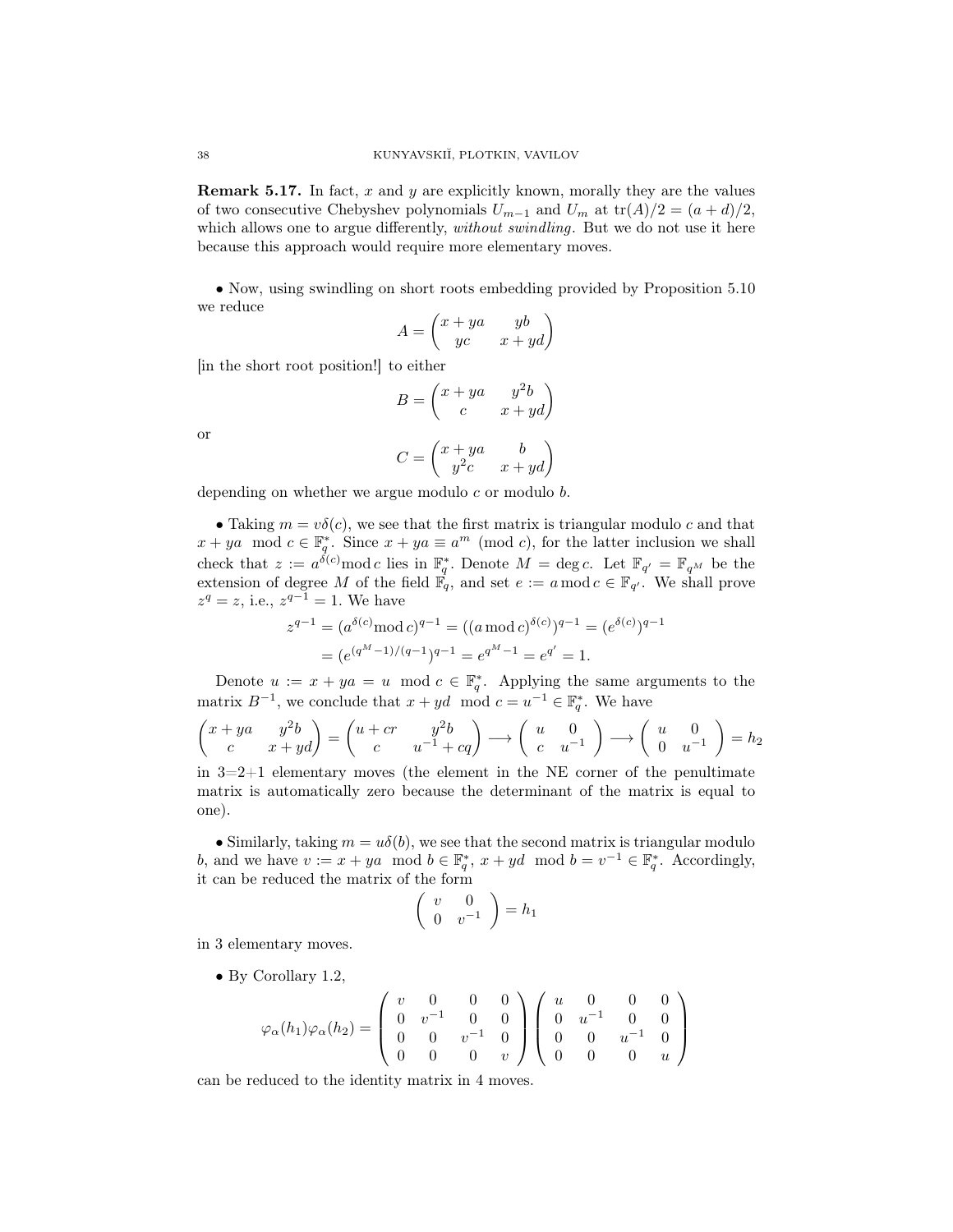**Remark 5.17.** In fact, x and y are explicitly known, morally they are the values of two consecutive Chebyshev polynomials  $U_{m-1}$  and  $U_m$  at  $\text{tr}(A)/2 = (a+d)/2$ , which allows one to argue differently, *without swindling*. But we do not use it here because this approach would require more elementary moves.

• Now, using swindling on short roots embedding provided by Proposition 5.10 we reduce

$$
A = \begin{pmatrix} x + ya & yb \\ yc & x + yd \end{pmatrix}
$$

[in the short root position!] to either

$$
B = \begin{pmatrix} x + ya & y^2b \\ c & x + yd \end{pmatrix}
$$

$$
C = \begin{pmatrix} x + ya & b \\ y^2c & x + yd \end{pmatrix}
$$

or

depending on whether we argue modulo  $c$  or modulo  $b$ .

• Taking  $m = v\delta(c)$ , we see that the first matrix is triangular modulo c and that  $x + ya \mod c \in \mathbb{F}_q^*$ . Since  $x + ya \equiv a^m \pmod{c}$ , for the latter inclusion we shall check that  $z := a^{\delta(c)} \mod c$  lies in  $\mathbb{F}_q^*$ . Denote  $M = \deg c$ . Let  $\mathbb{F}_{q'} = \mathbb{F}_{q^M}$  be the extension of degree M of the field  $\mathbb{F}_q$ , and set  $e := a \mod c \in \mathbb{F}_{q'}$ . We shall prove  $z^q = z$ , i.e.,  $z^{q-1} = 1$ . We have

$$
z^{q-1} = (a^{\delta(c)} \mod c)^{q-1} = ((a \mod c)^{\delta(c)})^{q-1} = (e^{\delta(c)})^{q-1}
$$

$$
= (e^{(q^M - 1)/(q-1)})^{q-1} = e^{q^M - 1} = e^{q'} = 1.
$$

Denote  $u := x + ya = u \mod c \in \mathbb{F}_q^*$ . Applying the same arguments to the matrix  $B^{-1}$ , we conclude that  $x + yd \mod c = u^{-1} \in \mathbb{F}_q^*$ . We have

$$
\begin{pmatrix} x+ya & y^2b \\ c & x+yd \end{pmatrix} = \begin{pmatrix} u+cr & y^2b \\ c & u^{-1}+cq \end{pmatrix} \longrightarrow \begin{pmatrix} u & 0 \\ c & u^{-1} \end{pmatrix} \longrightarrow \begin{pmatrix} u & 0 \\ 0 & u^{-1} \end{pmatrix} = h_2
$$

in  $3=2+1$  elementary moves (the element in the NE corner of the penultimate matrix is automatically zero because the determinant of the matrix is equal to one).

• Similarly, taking  $m = u\delta(b)$ , we see that the second matrix is triangular modulo b, and we have  $v := x + ya \mod b \in \mathbb{F}_q^*, x + yd \mod b = v^{-1} \in \mathbb{F}_q^*.$  Accordingly, it can be reduced the matrix of the form

$$
\left(\begin{array}{cc} v & 0 \\ 0 & v^{-1} \end{array}\right) = h_1
$$

in 3 elementary moves.

• By Corollary 1.2,

$$
\varphi_{\alpha}(h_1)\varphi_{\alpha}(h_2) = \begin{pmatrix} v & 0 & 0 & 0 \\ 0 & v^{-1} & 0 & 0 \\ 0 & 0 & v^{-1} & 0 \\ 0 & 0 & 0 & v \end{pmatrix} \begin{pmatrix} u & 0 & 0 & 0 \\ 0 & u^{-1} & 0 & 0 \\ 0 & 0 & u^{-1} & 0 \\ 0 & 0 & 0 & u \end{pmatrix}
$$

can be reduced to the identity matrix in 4 moves.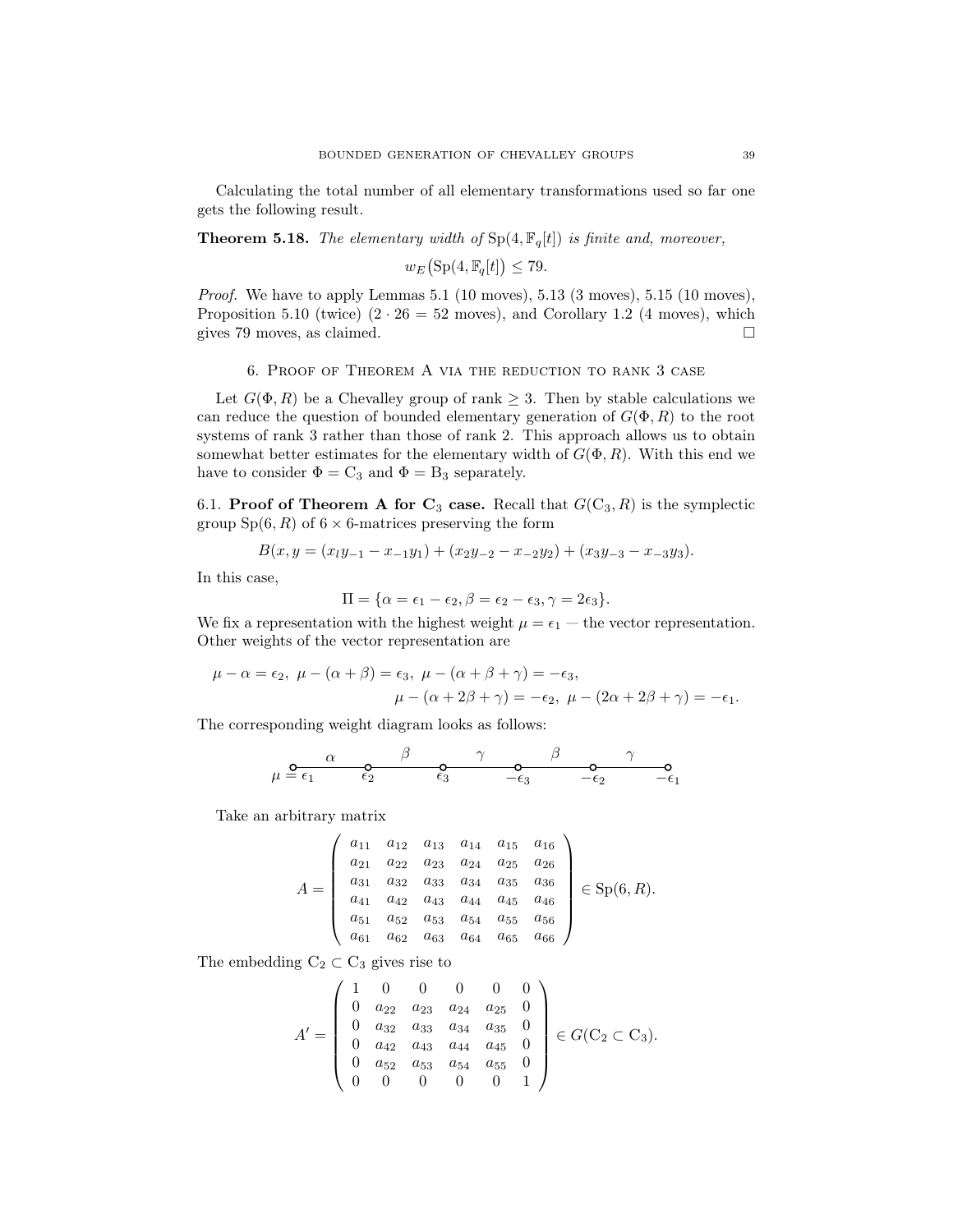Calculating the total number of all elementary transformations used so far one gets the following result.

**Theorem 5.18.** The elementary width of  $Sp(4, \mathbb{F}_q[t])$  is finite and, moreover,

$$
w_E\big(\text{Sp}(4,\mathbb{F}_q[t])\leq 79.
$$

Proof. We have to apply Lemmas 5.1 (10 moves), 5.13 (3 moves), 5.15 (10 moves), Proposition 5.10 (twice)  $(2 \cdot 26 = 52$  moves), and Corollary 1.2 (4 moves), which gives 79 moves, as claimed.  $\square$ 

## 6. Proof of Theorem А via the reduction to rank 3 case

Let  $G(\Phi, R)$  be a Chevalley group of rank  $\geq 3$ . Then by stable calculations we can reduce the question of bounded elementary generation of  $G(\Phi, R)$  to the root systems of rank 3 rather than those of rank 2. This approach allows us to obtain somewhat better estimates for the elementary width of  $G(\Phi, R)$ . With this end we have to consider  $\Phi = C_3$  and  $\Phi = B_3$  separately.

6.1. Proof of Theorem A for  $C_3$  case. Recall that  $G(C_3, R)$  is the symplectic group  $Sp(6, R)$  of  $6 \times 6$ -matrices preserving the form

$$
B(x,y = (x_1y_{-1} - x_{-1}y_1) + (x_2y_{-2} - x_{-2}y_2) + (x_3y_{-3} - x_{-3}y_3).
$$

In this case,

$$
\Pi = \{\alpha = \epsilon_1 - \epsilon_2, \beta = \epsilon_2 - \epsilon_3, \gamma = 2\epsilon_3\}.
$$

We fix a representation with the highest weight  $\mu = \epsilon_1$  – the vector representation. Other weights of the vector representation are

$$
\mu - \alpha = \epsilon_2, \ \mu - (\alpha + \beta) = \epsilon_3, \ \mu - (\alpha + \beta + \gamma) = -\epsilon_3,
$$
  

$$
\mu - (\alpha + 2\beta + \gamma) = -\epsilon_2, \ \mu - (2\alpha + 2\beta + \gamma) = -\epsilon_1.
$$

The corresponding weight diagram looks as follows:

$$
\mu \stackrel{\mathbf{O}}{=} \frac{\alpha}{\epsilon_1} \qquad \begin{matrix} \beta & \gamma & \beta & \gamma \\ \epsilon_2 & \epsilon_3 & -\epsilon_3 & -\epsilon_2 & -\epsilon_1 \end{matrix}
$$

Take an arbitrary matrix

 $\overline{ }$ 

$$
A = \begin{pmatrix} a_{11} & a_{12} & a_{13} & a_{14} & a_{15} & a_{16} \\ a_{21} & a_{22} & a_{23} & a_{24} & a_{25} & a_{26} \\ a_{31} & a_{32} & a_{33} & a_{34} & a_{35} & a_{36} \\ a_{41} & a_{42} & a_{43} & a_{44} & a_{45} & a_{46} \\ a_{51} & a_{52} & a_{53} & a_{54} & a_{55} & a_{56} \\ a_{61} & a_{62} & a_{63} & a_{64} & a_{65} & a_{66} \end{pmatrix} \in Sp(6, R).
$$

 $\lambda$ 

The embedding  $C_2 \subset C_3$  gives rise to

$$
A' = \begin{pmatrix} 1 & 0 & 0 & 0 & 0 & 0 \\ 0 & a_{22} & a_{23} & a_{24} & a_{25} & 0 \\ 0 & a_{32} & a_{33} & a_{34} & a_{35} & 0 \\ 0 & a_{42} & a_{43} & a_{44} & a_{45} & 0 \\ 0 & a_{52} & a_{53} & a_{54} & a_{55} & 0 \\ 0 & 0 & 0 & 0 & 0 & 1 \end{pmatrix} \in G(C_2 \subset C_3).
$$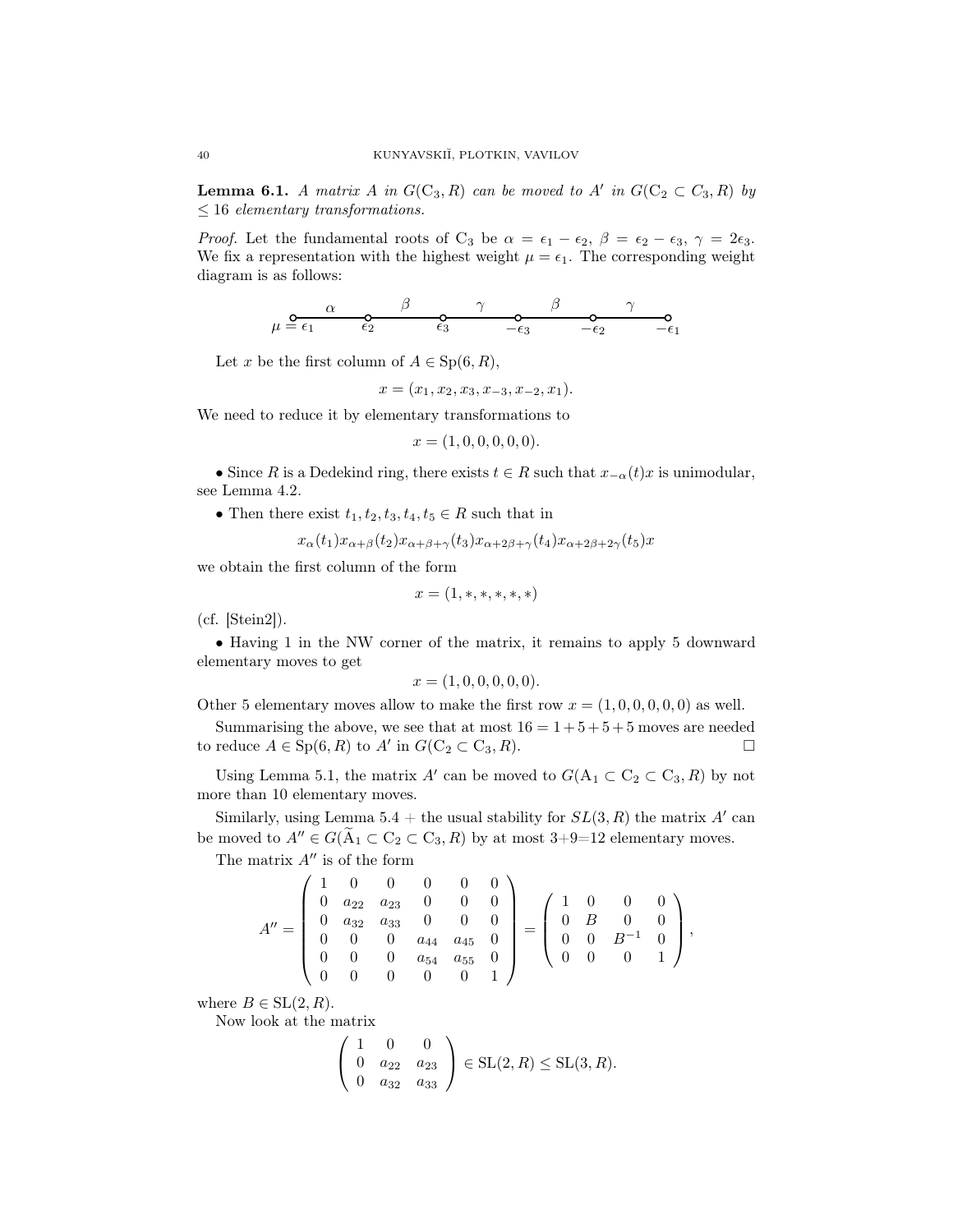**Lemma 6.1.** A matrix A in  $G(C_3, R)$  can be moved to A' in  $G(C_2 \subset C_3, R)$  by  $\leq 16$  elementary transformations.

*Proof.* Let the fundamental roots of C<sub>3</sub> be  $\alpha = \epsilon_1 - \epsilon_2$ ,  $\beta = \epsilon_2 - \epsilon_3$ ,  $\gamma = 2\epsilon_3$ . We fix a representation with the highest weight  $\mu = \epsilon_1$ . The corresponding weight diagram is as follows:

$$
\mu \stackrel{\mathbf{O}}{=} \frac{\alpha}{\epsilon_1} \qquad \begin{matrix} \beta & \gamma & \beta & \gamma \\ \epsilon_2 & \epsilon_3 & -\epsilon_3 & -\epsilon_2 & -\epsilon_1 \end{matrix}
$$

Let x be the first column of  $A \in Sp(6, R)$ ,

$$
x = (x_1, x_2, x_3, x_{-3}, x_{-2}, x_1).
$$

We need to reduce it by elementary transformations to

$$
x = (1, 0, 0, 0, 0, 0).
$$

• Since R is a Dedekind ring, there exists  $t \in R$  such that  $x_{-\alpha}(t)x$  is unimodular, see Lemma 4.2.

• Then there exist  $t_1, t_2, t_3, t_4, t_5 \in R$  such that in

$$
x_{\alpha}(t_1)x_{\alpha+\beta}(t_2)x_{\alpha+\beta+\gamma}(t_3)x_{\alpha+2\beta+\gamma}(t_4)x_{\alpha+2\beta+2\gamma}(t_5)x
$$

we obtain the first column of the form

$$
x = (1, \ast, \ast, \ast, \ast, \ast)
$$

(cf. [Stein2]).

• Having 1 in the NW corner of the matrix, it remains to apply 5 downward elementary moves to get

$$
x = (1, 0, 0, 0, 0, 0).
$$

Other 5 elementary moves allow to make the first row  $x = (1, 0, 0, 0, 0, 0)$  as well.

Summarising the above, we see that at most  $16 = 1 + 5 + 5 + 5$  moves are needed to reduce  $A \in Sp(6, R)$  to  $A'$  in  $G(C_2 \subset C_3, R)$ .

Using Lemma 5.1, the matrix A' can be moved to  $G(A_1 \subset C_2 \subset C_3, R)$  by not more than 10 elementary moves.

Similarly, using Lemma 5.4 + the usual stability for  $SL(3, R)$  the matrix A' can be moved to  $A'' \in G(\tilde{A}_1 \subset C_2 \subset C_3, R)$  by at most 3+9=12 elementary moves.

The matrix  $A''$  is of the form

$$
A'' = \begin{pmatrix} 1 & 0 & 0 & 0 & 0 & 0 \\ 0 & a_{22} & a_{23} & 0 & 0 & 0 \\ 0 & a_{32} & a_{33} & 0 & 0 & 0 \\ 0 & 0 & 0 & a_{44} & a_{45} & 0 \\ 0 & 0 & 0 & a_{54} & a_{55} & 0 \\ 0 & 0 & 0 & 0 & 0 & 1 \end{pmatrix} = \begin{pmatrix} 1 & 0 & 0 & 0 \\ 0 & B & 0 & 0 \\ 0 & 0 & B^{-1} & 0 \\ 0 & 0 & 0 & 1 \end{pmatrix},
$$

where  $B \in SL(2, R)$ .

Now look at the matrix

$$
\left(\begin{array}{ccc} 1 & 0 & 0 \\ 0 & a_{22} & a_{23} \\ 0 & a_{32} & a_{33} \end{array}\right) \in SL(2, R) \le SL(3, R).
$$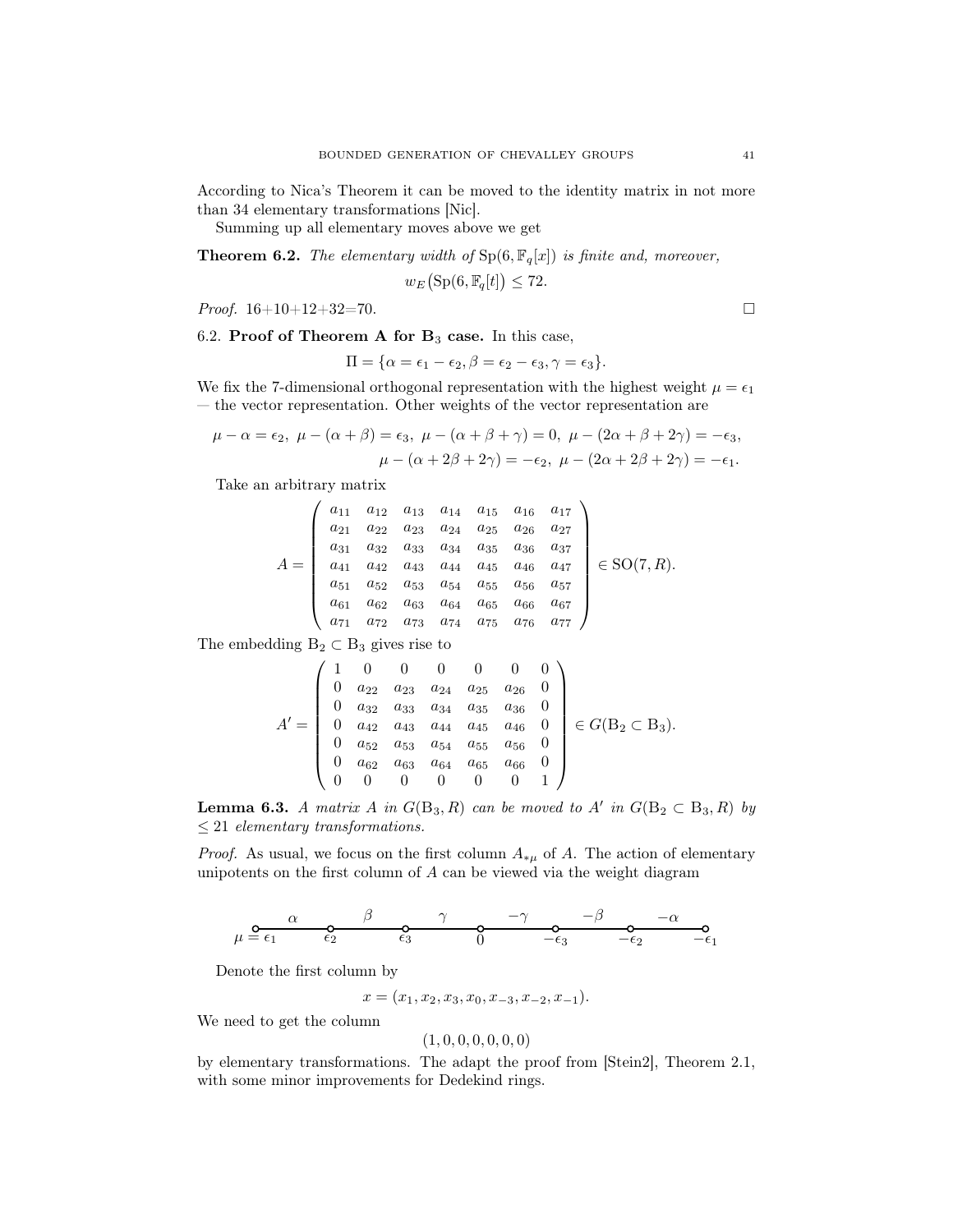According to Nica's Theorem it can be moved to the identity matrix in not more than 34 elementary transformations [Nic].

Summing up all elementary moves above we get

**Theorem 6.2.** The elementary width of  $Sp(6, \mathbb{F}_q[x])$  is finite and, moreover,

$$
w_E\big(\text{Sp}(6, \mathbb{F}_q[t]) \le 72.
$$

*Proof.*  $16+10+12+32=70$ .

6.2. Proof of Theorem A for  $B_3$  case. In this case,

$$
\Pi = \{\alpha = \epsilon_1 - \epsilon_2, \beta = \epsilon_2 - \epsilon_3, \gamma = \epsilon_3\}.
$$

We fix the 7-dimensional orthogonal representation with the highest weight  $\mu = \epsilon_1$ — the vector representation. Other weights of the vector representation are

$$
\mu - \alpha = \epsilon_2, \ \mu - (\alpha + \beta) = \epsilon_3, \ \mu - (\alpha + \beta + \gamma) = 0, \ \mu - (2\alpha + \beta + 2\gamma) = -\epsilon_3,
$$

$$
\mu - (\alpha + 2\beta + 2\gamma) = -\epsilon_2, \ \mu - (2\alpha + 2\beta + 2\gamma) = -\epsilon_1.
$$

Take an arbitrary matrix

$$
A = \begin{pmatrix} a_{11} & a_{12} & a_{13} & a_{14} & a_{15} & a_{16} & a_{17} \\ a_{21} & a_{22} & a_{23} & a_{24} & a_{25} & a_{26} & a_{27} \\ a_{31} & a_{32} & a_{33} & a_{34} & a_{35} & a_{36} & a_{37} \\ a_{41} & a_{42} & a_{43} & a_{44} & a_{45} & a_{46} & a_{47} \\ a_{51} & a_{52} & a_{53} & a_{54} & a_{55} & a_{56} & a_{57} \\ a_{61} & a_{62} & a_{63} & a_{64} & a_{65} & a_{66} & a_{67} \\ a_{71} & a_{72} & a_{73} & a_{74} & a_{75} & a_{76} & a_{77} \end{pmatrix} \in SO(7, R).
$$

The embedding  $B_2 \subset B_3$  gives rise to

$$
A' = \begin{pmatrix} 1 & 0 & 0 & 0 & 0 & 0 & 0 \\ 0 & a_{22} & a_{23} & a_{24} & a_{25} & a_{26} & 0 \\ 0 & a_{32} & a_{33} & a_{34} & a_{35} & a_{36} & 0 \\ 0 & a_{42} & a_{43} & a_{44} & a_{45} & a_{46} & 0 \\ 0 & a_{52} & a_{53} & a_{54} & a_{55} & a_{56} & 0 \\ 0 & a_{62} & a_{63} & a_{64} & a_{65} & a_{66} & 0 \\ 0 & 0 & 0 & 0 & 0 & 0 & 1 \end{pmatrix} \in G(\mathbf{B}_2 \subset \mathbf{B}_3).
$$

**Lemma 6.3.** A matrix A in  $G(B_3, R)$  can be moved to A' in  $G(B_2 \subset B_3, R)$  by  $\leq 21$  elementary transformations.

*Proof.* As usual, we focus on the first column  $A_{\mu}$  of A. The action of elementary unipotents on the first column of A can be viewed via the weight diagram

$$
\mu = \frac{\alpha}{\epsilon_1} \qquad \frac{\beta}{\epsilon_2} \qquad \frac{\gamma}{\epsilon_3} \qquad \frac{-\gamma}{0} \qquad \frac{-\beta}{\epsilon_3} \qquad \frac{-\alpha}{-\epsilon_2} \qquad \frac{-\alpha}{-\epsilon_1}
$$

Denote the first column by

$$
x = (x_1, x_2, x_3, x_0, x_{-3}, x_{-2}, x_{-1}).
$$

We need to get the column

$$
(1,0,0,0,0,0,0)
$$

by elementary transformations. The adapt the proof from [Stein2], Theorem 2.1, with some minor improvements for Dedekind rings.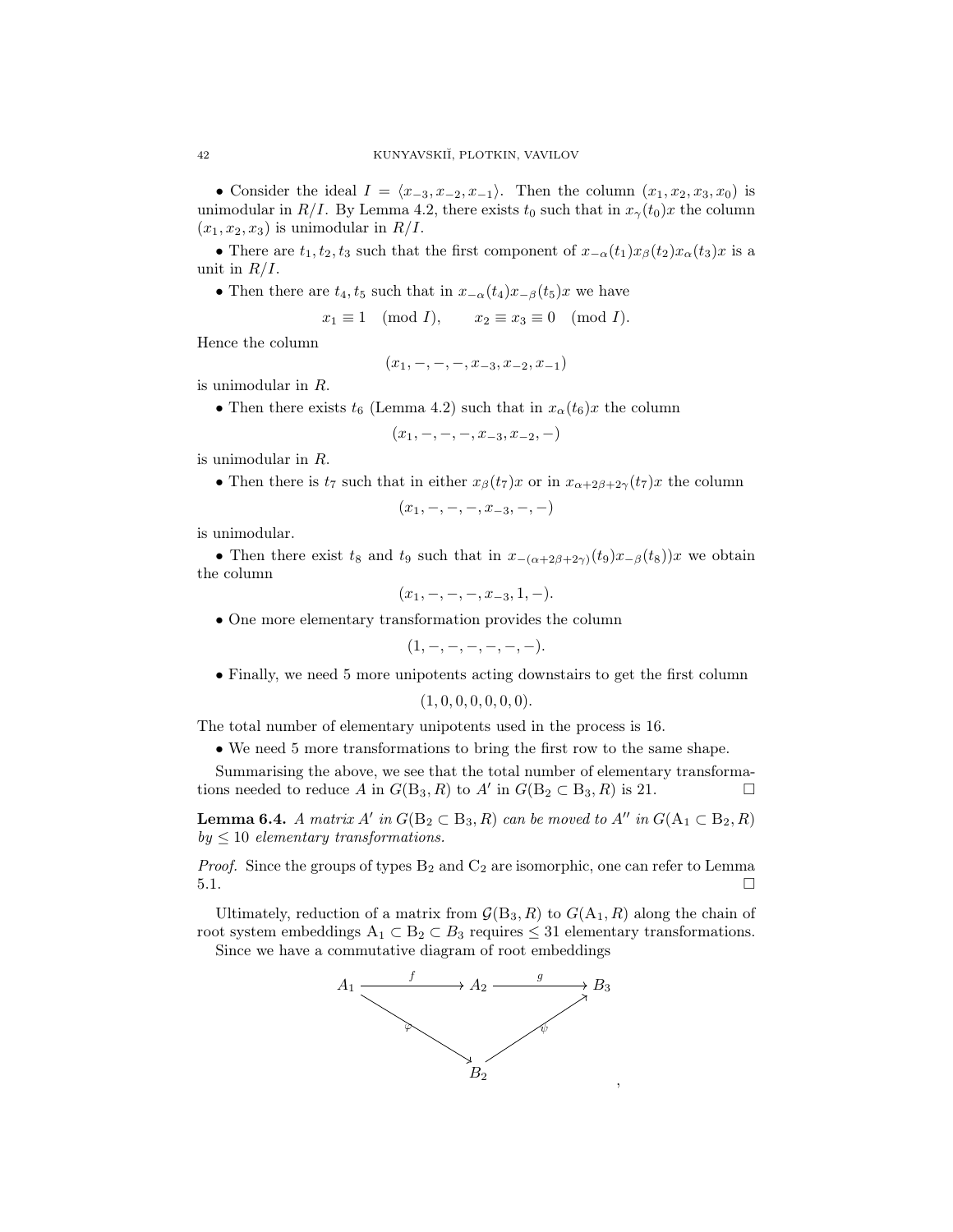• Consider the ideal  $I = \langle x_{-3}, x_{-2}, x_{-1} \rangle$ . Then the column  $(x_1, x_2, x_3, x_0)$  is unimodular in R/I. By Lemma 4.2, there exists  $t_0$  such that in  $x_\gamma(t_0)x$  the column  $(x_1, x_2, x_3)$  is unimodular in  $R/I$ .

• There are  $t_1, t_2, t_3$  such that the first component of  $x_{-\alpha}(t_1)x_{\beta}(t_2)x_{\alpha}(t_3)x$  is a unit in  $R/I$ .

• Then there are  $t_4$ ,  $t_5$  such that in  $x_{-\alpha}(t_4)x_{-\beta}(t_5)x$  we have

$$
x_1 \equiv 1 \pmod{I}, \qquad x_2 \equiv x_3 \equiv 0 \pmod{I}.
$$

Hence the column

$$
(x_1, -, -, -, x_{-3}, x_{-2}, x_{-1})
$$

is unimodular in R.

• Then there exists  $t_6$  (Lemma 4.2) such that in  $x_\alpha(t_6)x$  the column

$$
(x_1, -, -, -, x_{-3}, x_{-2}, -)
$$

is unimodular in R.

• Then there is  $t_7$  such that in either  $x_\beta(t_7)x$  or in  $x_{\alpha+2\beta+2\gamma}(t_7)x$  the column

$$
(x_1, -, -, -, x_{-3}, -, -)
$$

is unimodular.

• Then there exist t<sub>8</sub> and t<sub>9</sub> such that in  $x_{-(\alpha+2\beta+2\gamma)}(t_9)x_{-\beta}(t_8)$ ; we obtain the column

$$
(x_1, -, -, -, x_{-3}, 1, -).
$$

• One more elementary transformation provides the column

$$
(1,-,-,-,-,-,-).
$$

• Finally, we need 5 more unipotents acting downstairs to get the first column

$$
(1,0,0,0,0,0,0).
$$

The total number of elementary unipotents used in the process is 16.

• We need 5 more transformations to bring the first row to the same shape.

Summarising the above, we see that the total number of elementary transformations needed to reduce A in  $G(\text{B}_3, R)$  to A' in  $G(\text{B}_2 \subset \text{B}_3, R)$  is 21.

**Lemma 6.4.** A matrix A' in  $G(B_2 \subset B_3, R)$  can be moved to A'' in  $G(A_1 \subset B_2, R)$  $by \leq 10$  elementary transformations.

*Proof.* Since the groups of types  $B_2$  and  $C_2$  are isomorphic, one can refer to Lemma  $5.1.$ 

Ultimately, reduction of a matrix from  $\mathcal{G}(B_3, R)$  to  $G(A_1, R)$  along the chain of root system embeddings  $A_1 \subset B_2 \subset B_3$  requires  $\leq 31$  elementary transformations.

Since we have a commutative diagram of root embeddings

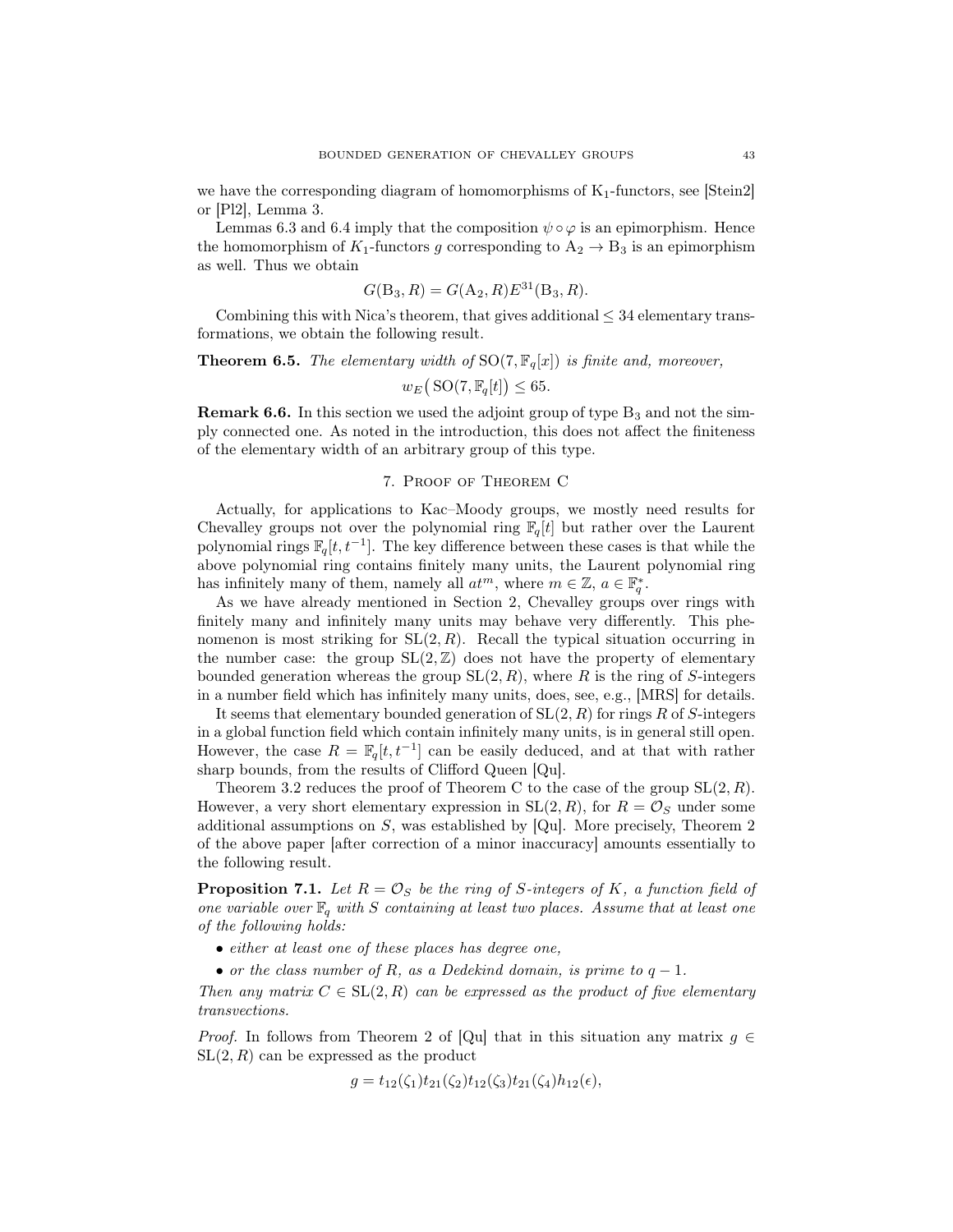we have the corresponding diagram of homomorphisms of  $K_1$ -functors, see [Stein2] or [Pl2], Lemma 3.

Lemmas 6.3 and 6.4 imply that the composition  $\psi \circ \varphi$  is an epimorphism. Hence the homomorphism of  $K_1$ -functors g corresponding to  $A_2 \rightarrow B_3$  is an epimorphism as well. Thus we obtain

$$
G(B_3, R) = G(A_2, R)E^{31}(B_3, R).
$$

Combining this with Nica's theorem, that gives additional  $\leq$  34 elementary transformations, we obtain the following result.

## **Theorem 6.5.** The elementary width of  $SO(7, \mathbb{F}_q[x])$  is finite and, moreover,

$$
w_E\big(\operatorname{SO}(7,\mathbb{F}_q[t])\leq 65.
$$

**Remark 6.6.** In this section we used the adjoint group of type  $B_3$  and not the simply connected one. As noted in the introduction, this does not affect the finiteness of the elementary width of an arbitrary group of this type.

#### 7. Proof of Theorem C

Actually, for applications to Kac–Moody groups, we mostly need results for Chevalley groups not over the polynomial ring  $\mathbb{F}_q[t]$  but rather over the Laurent polynomial rings  $\mathbb{F}_q[t, t^{-1}]$ . The key difference between these cases is that while the above polynomial ring contains finitely many units, the Laurent polynomial ring has infinitely many of them, namely all  $at^m$ , where  $m \in \mathbb{Z}$ ,  $a \in \mathbb{F}_q^*$ .

As we have already mentioned in Section 2, Chevalley groups over rings with finitely many and infinitely many units may behave very differently. This phenomenon is most striking for  $SL(2, R)$ . Recall the typical situation occurring in the number case: the group  $SL(2, \mathbb{Z})$  does not have the property of elementary bounded generation whereas the group  $SL(2, R)$ , where R is the ring of S-integers in a number field which has infinitely many units, does, see, e.g., [MRS] for details.

It seems that elementary bounded generation of  $SL(2, R)$  for rings R of S-integers in a global function field which contain infinitely many units, is in general still open. However, the case  $R = \mathbb{F}_q[t, t^{-1}]$  can be easily deduced, and at that with rather sharp bounds, from the results of Clifford Queen [Qu].

Theorem 3.2 reduces the proof of Theorem C to the case of the group  $SL(2, R)$ . However, a very short elementary expression in  $SL(2, R)$ , for  $R = \mathcal{O}_S$  under some additional assumptions on  $S$ , was established by [Qu]. More precisely, Theorem 2 of the above paper [after correction of a minor inaccuracy] amounts essentially to the following result.

**Proposition 7.1.** Let  $R = \mathcal{O}_S$  be the ring of S-integers of K, a function field of one variable over  $\mathbb{F}_q$  with S containing at least two places. Assume that at least one of the following holds:

- either at least one of these places has degree one,
- or the class number of R, as a Dedekind domain, is prime to  $q-1$ .

Then any matrix  $C \in SL(2, R)$  can be expressed as the product of five elementary transvections.

*Proof.* In follows from Theorem 2 of [Qu] that in this situation any matrix  $g \in$  $SL(2, R)$  can be expressed as the product

$$
g = t_{12}(\zeta_1)t_{21}(\zeta_2)t_{12}(\zeta_3)t_{21}(\zeta_4)h_{12}(\epsilon),
$$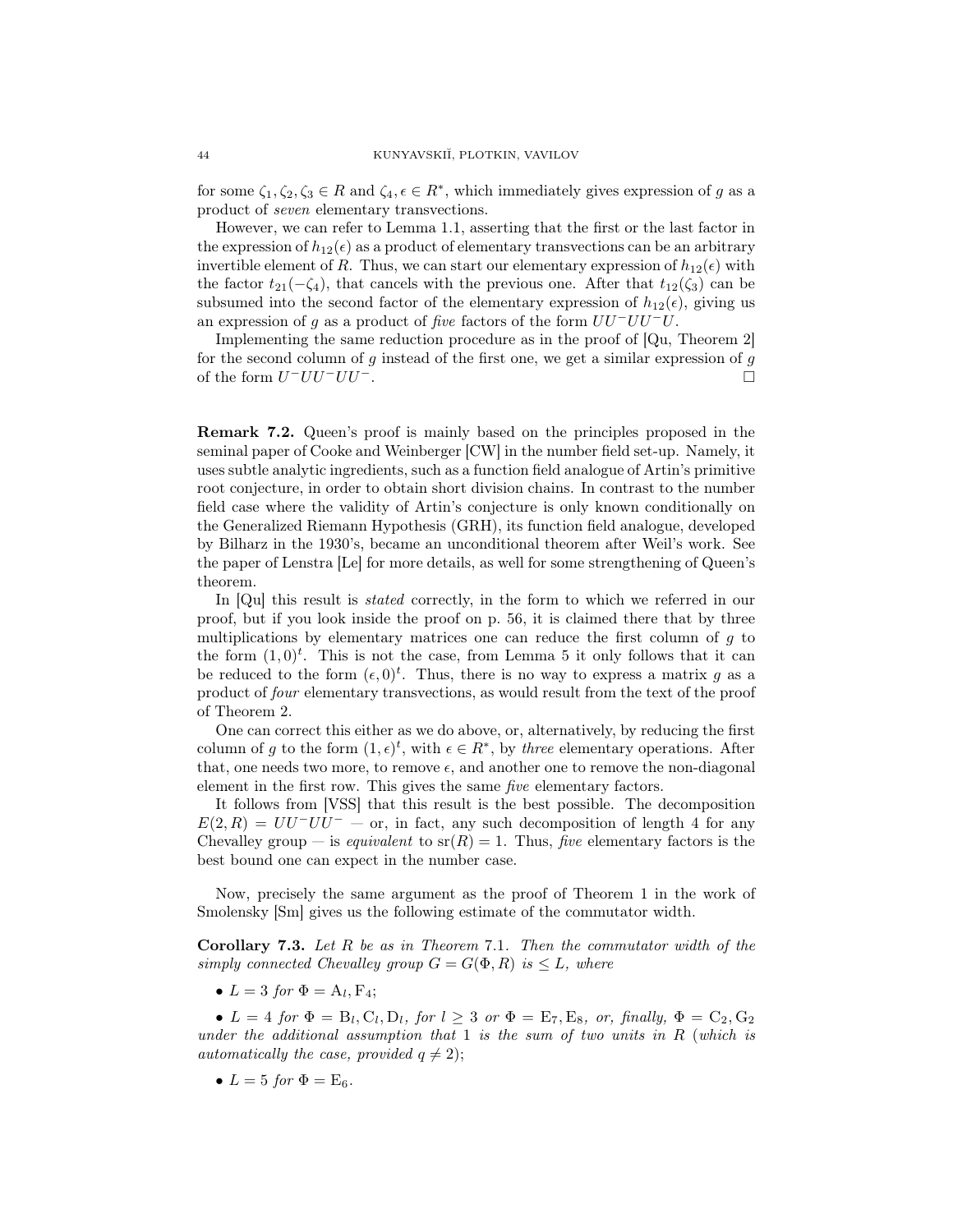for some  $\zeta_1, \zeta_2, \zeta_3 \in R$  and  $\zeta_4, \epsilon \in R^*$ , which immediately gives expression of g as a product of seven elementary transvections.

However, we can refer to Lemma 1.1, asserting that the first or the last factor in the expression of  $h_{12}(\epsilon)$  as a product of elementary transvections can be an arbitrary invertible element of R. Thus, we can start our elementary expression of  $h_{12}(\epsilon)$  with the factor  $t_{21}(-\zeta_4)$ , that cancels with the previous one. After that  $t_{12}(\zeta_3)$  can be subsumed into the second factor of the elementary expression of  $h_{12}(\epsilon)$ , giving us an expression of g as a product of five factors of the form  $UU^-UU^-U$ .

Implementing the same reduction procedure as in the proof of [Qu, Theorem 2] for the second column of  $g$  instead of the first one, we get a similar expression of  $g$ of the form  $U^-UU^-UU^-$ .

Remark 7.2. Queen's proof is mainly based on the principles proposed in the seminal paper of Cooke and Weinberger [CW] in the number field set-up. Namely, it uses subtle analytic ingredients, such as a function field analogue of Artin's primitive root conjecture, in order to obtain short division chains. In contrast to the number field case where the validity of Artin's conjecture is only known conditionally on the Generalized Riemann Hypothesis (GRH), its function field analogue, developed by Bilharz in the 1930's, became an unconditional theorem after Weil's work. See the paper of Lenstra [Le] for more details, as well for some strengthening of Queen's theorem.

In [Qu] this result is *stated* correctly, in the form to which we referred in our proof, but if you look inside the proof on p. 56, it is claimed there that by three multiplications by elementary matrices one can reduce the first column of  $q$  to the form  $(1,0)^t$ . This is not the case, from Lemma 5 it only follows that it can be reduced to the form  $(\epsilon, 0)^t$ . Thus, there is no way to express a matrix g as a product of four elementary transvections, as would result from the text of the proof of Theorem 2.

One can correct this either as we do above, or, alternatively, by reducing the first column of g to the form  $(1, \epsilon)^t$ , with  $\epsilon \in \mathbb{R}^*$ , by three elementary operations. After that, one needs two more, to remove  $\epsilon$ , and another one to remove the non-diagonal element in the first row. This gives the same five elementary factors.

It follows from [VSS] that this result is the best possible. The decomposition  $E(2, R) = UU^-UU^- - \text{or, in fact, any such decomposition of length 4 for any }$ Chevalley group — is equivalent to  $sr(R) = 1$ . Thus, five elementary factors is the best bound one can expect in the number case.

Now, precisely the same argument as the proof of Theorem 1 in the work of Smolensky [Sm] gives us the following estimate of the commutator width.

**Corollary 7.3.** Let  $R$  be as in Theorem 7.1. Then the commutator width of the simply connected Chevalley group  $G = G(\Phi, R)$  is  $\leq L$ , where

•  $L = 3$  for  $\Phi = A_l, F_4;$ 

•  $L = 4$  for  $\Phi = B_l, C_l, D_l$ , for  $l \geq 3$  or  $\Phi = E_7, E_8$ , or, finally,  $\Phi = C_2, G_2$ under the additional assumption that 1 is the sum of two units in  $R$  (which is automatically the case, provided  $q \neq 2$ );

•  $L = 5$  for  $\Phi =$   $E_6$ .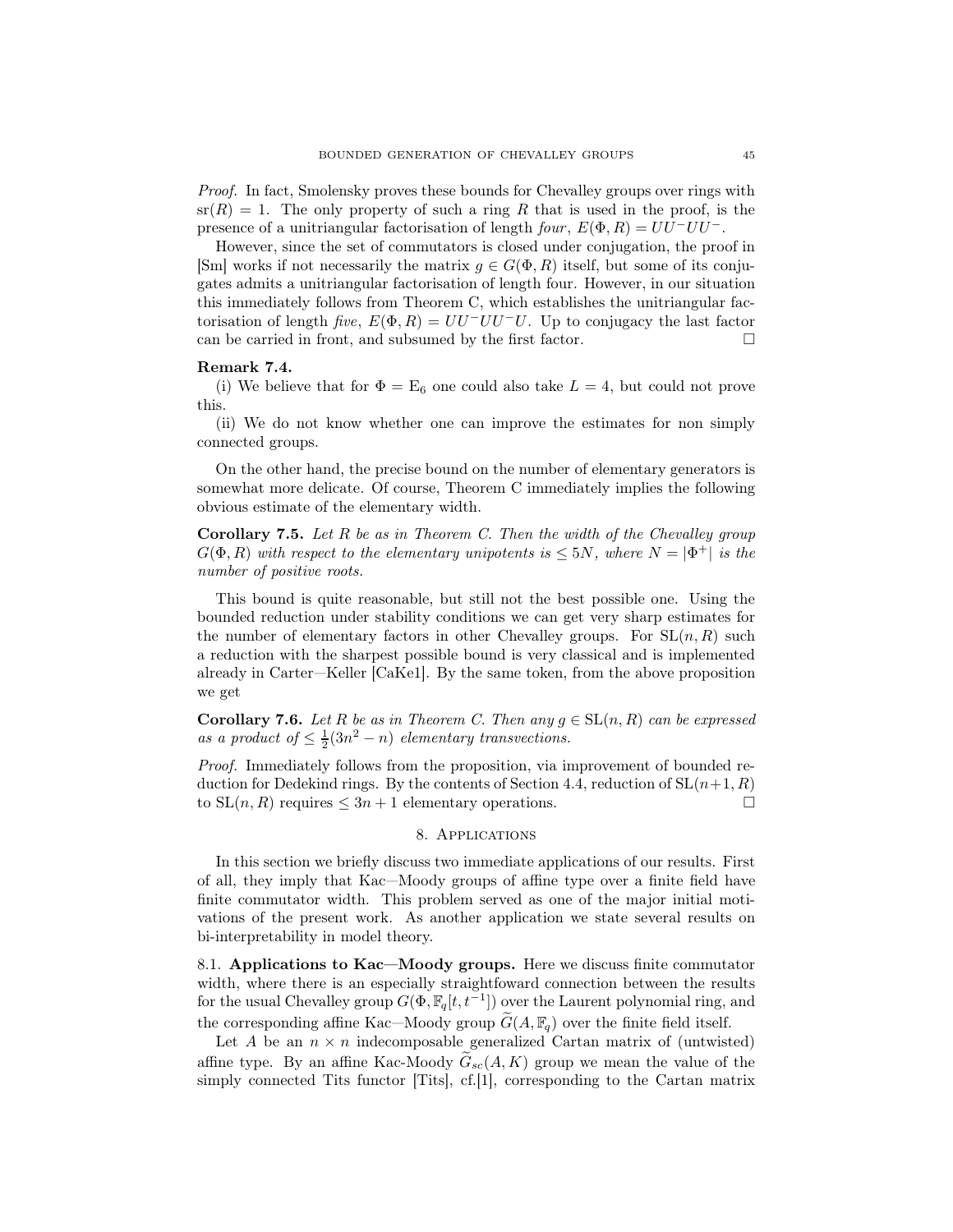Proof. In fact, Smolensky proves these bounds for Chevalley groups over rings with  $sr(R) = 1$ . The only property of such a ring R that is used in the proof, is the presence of a unitriangular factorisation of length four,  $E(\Phi, R) = UU^-UU^-$ .

However, since the set of commutators is closed under conjugation, the proof in [Sm] works if not necessarily the matrix  $g \in G(\Phi, R)$  itself, but some of its conjugates admits a unitriangular factorisation of length four. However, in our situation this immediately follows from Theorem C, which establishes the unitriangular factorisation of length five,  $E(\Phi, R) = UU^-UU^-U$ . Up to conjugacy the last factor can be carried in front, and subsumed by the first factor.

#### Remark 7.4.

(i) We believe that for  $\Phi = \mathbb{E}_6$  one could also take  $L = 4$ , but could not prove this.

(ii) We do not know whether one can improve the estimates for non simply connected groups.

On the other hand, the precise bound on the number of elementary generators is somewhat more delicate. Of course, Theorem C immediately implies the following obvious estimate of the elementary width.

**Corollary 7.5.** Let  $R$  be as in Theorem C. Then the width of the Chevalley group  $G(\Phi, R)$  with respect to the elementary unipotents is  $\leq 5N$ , where  $N = |\Phi^+|$  is the number of positive roots.

This bound is quite reasonable, but still not the best possible one. Using the bounded reduction under stability conditions we can get very sharp estimates for the number of elementary factors in other Chevalley groups. For  $SL(n, R)$  such a reduction with the sharpest possible bound is very classical and is implemented already in Carter—Keller [CaKe1]. By the same token, from the above proposition we get

**Corollary 7.6.** Let R be as in Theorem C. Then any  $g \in SL(n, R)$  can be expressed as a product of  $\leq \frac{1}{2}(3n^2 - n)$  elementary transvections.

Proof. Immediately follows from the proposition, via improvement of bounded reduction for Dedekind rings. By the contents of Section 4.4, reduction of  $SL(n+1, R)$ to  $SL(n, R)$  requires  $\leq 3n + 1$  elementary operations.

## 8. Applications

In this section we briefly discuss two immediate applications of our results. First of all, they imply that Kac—Moody groups of affine type over a finite field have finite commutator width. This problem served as one of the major initial motivations of the present work. As another application we state several results on bi-interpretability in model theory.

8.1. Applications to Kac—Moody groups. Here we discuss finite commutator width, where there is an especially straightfoward connection between the results for the usual Chevalley group  $G(\Phi, \mathbb{F}_q[t, t^{-1}])$  over the Laurent polynomial ring, and the corresponding affine Kac—Moody group  $\tilde{G}(A, \mathbb{F}_q)$  over the finite field itself.

Let A be an  $n \times n$  indecomposable generalized Cartan matrix of (untwisted) affine type. By an affine Kac-Moody  $\tilde{G}_{sc}(A, K)$  group we mean the value of the simply connected Tits functor [Tits], cf.[1], corresponding to the Cartan matrix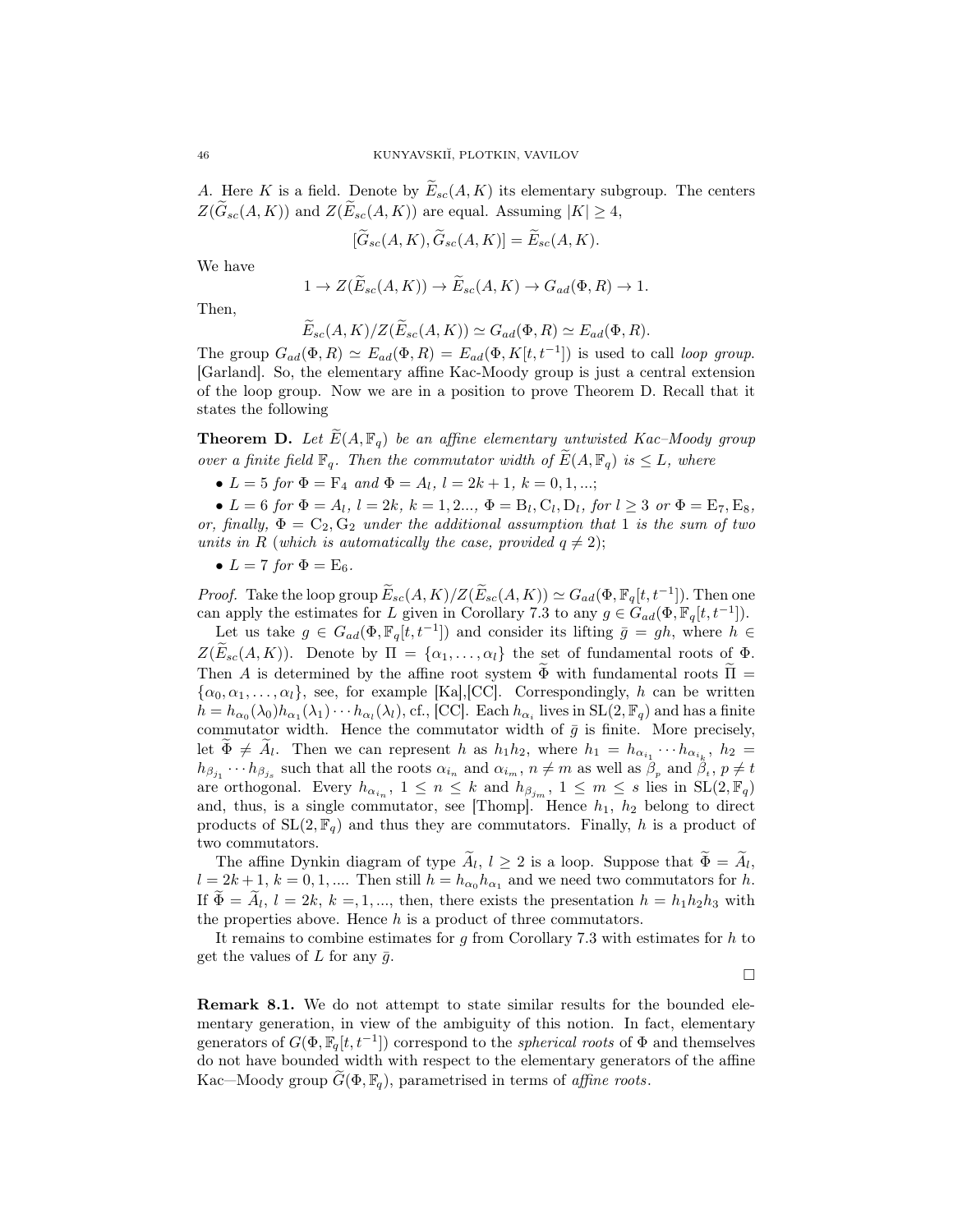A. Here K is a field. Denote by  $E_{sc}(A, K)$  its elementary subgroup. The centers  $Z(\widetilde{G}_{sc}(A, K))$  and  $Z(\widetilde{E}_{sc}(A, K))$  are equal. Assuming  $|K| \geq 4$ ,

$$
[\widetilde{G}_{sc}(A,K), \widetilde{G}_{sc}(A,K)] = \widetilde{E}_{sc}(A,K).
$$

We have

$$
1 \to Z(\widetilde{E}_{sc}(A,K)) \to \widetilde{E}_{sc}(A,K) \to G_{ad}(\Phi, R) \to 1.
$$

Then,

$$
E_{sc}(A, K)/Z(E_{sc}(A, K)) \simeq G_{ad}(\Phi, R) \simeq E_{ad}(\Phi, R).
$$

The group  $G_{ad}(\Phi, R) \simeq E_{ad}(\Phi, R) = E_{ad}(\Phi, K[t, t^{-1}])$  is used to call loop group. [Garland]. So, the elementary affine Kac-Moody group is just a central extension of the loop group. Now we are in a position to prove Theorem D. Recall that it states the following

**Theorem D.** Let  $\widetilde{E}(A, \mathbb{F}_q)$  be an affine elementary untwisted Kac–Moody group over a finite field  $\mathbb{F}_q$ . Then the commutator width of  $E(A, \mathbb{F}_q)$  is  $\leq L$ , where

•  $L = 5$  for  $\Phi = F_4$  and  $\Phi = A_l$ ,  $l = 2k + 1$ ,  $k = 0, 1, ...;$ 

•  $L = 6$  for  $\Phi = A_l$ ,  $l = 2k$ ,  $k = 1, 2..., \Phi = B_l, C_l, D_l$ , for  $l \geq 3$  or  $\Phi = E_7, E_8$ , or, finally,  $\Phi = C_2, G_2$  under the additional assumption that 1 is the sum of two units in R (which is automatically the case, provided  $q \neq 2$ );

•  $L = 7$  for  $\Phi = \mathrm{E}_6$ .

*Proof.* Take the loop group  $\widetilde{E}_{sc}(A, K)/Z(\widetilde{E}_{sc}(A, K)) \simeq G_{ad}(\Phi, \mathbb{F}_q[t, t^{-1}])$ . Then one can apply the estimates for L given in Corollary 7.3 to any  $g \in \widehat{G}_{ad}(\Phi, \mathbb{F}_q[t, t^{-1}])$ .

Let us take  $g \in G_{ad}(\Phi, \mathbb{F}_q[t, t^{-1}])$  and consider its lifting  $\bar{g} = gh$ , where  $h \in$  $Z(\widetilde{E}_{sc}(A, K))$ . Denote by  $\Pi = {\alpha_1, \ldots, \alpha_l}$  the set of fundamental roots of  $\Phi$ . Then A is determined by the affine root system  $\overline{\Phi}$  with fundamental roots  $\Pi$  =  $\{\alpha_0, \alpha_1, \ldots, \alpha_l\}$ , see, for example [Ka], [CC]. Correspondingly, h can be written  $h = h_{\alpha_0}(\lambda_0)h_{\alpha_1}(\lambda_1)\cdots h_{\alpha_l}(\lambda_l)$ , cf., [CC]. Each  $h_{\alpha_i}$  lives in  $SL(2, \mathbb{F}_q)$  and has a finite commutator width. Hence the commutator width of  $\bar{g}$  is finite. More precisely, let  $\Phi \neq A_l$ . Then we can represent h as  $h_1 h_2$ , where  $h_1 = h_{\alpha_{i_1}} \cdots h_{\alpha_{i_k}}$ ,  $h_2 =$  $h_{\beta_{j_1}}\cdots h_{\beta_{j_s}}$  such that all the roots  $\alpha_{i_n}$  and  $\alpha_{i_m}$ ,  $n \neq m$  as well as  $\beta_p$  and  $\beta_i$ ,  $p \neq t$ are orthogonal. Every  $h_{\alpha_{i_n}}, 1 \leq n \leq k$  and  $h_{\beta_{j_m}}, 1 \leq m \leq s$  lies in  $SL(2, \mathbb{F}_q)$ and, thus, is a single commutator, see [Thomp]. Hence  $h_1$ ,  $h_2$  belong to direct products of  $SL(2, \mathbb{F}_q)$  and thus they are commutators. Finally, h is a product of two commutators.

The affine Dynkin diagram of type  $A_l$ ,  $l \geq 2$  is a loop. Suppose that  $\Phi = A_l$ ,  $l = 2k + 1$ ,  $k = 0, 1, ...$  Then still  $h = h_{\alpha_0} h_{\alpha_1}$  and we need two commutators for h. If  $\Phi = A_l, l = 2k, k = 1, ...,$  then, there exists the presentation  $h = h_1 h_2 h_3$  with the properties above. Hence  $h$  is a product of three commutators.

It remains to combine estimates for  $g$  from Corollary 7.3 with estimates for  $h$  to get the values of L for any  $\bar{g}$ .

 $\Box$ 

Remark 8.1. We do not attempt to state similar results for the bounded elementary generation, in view of the ambiguity of this notion. In fact, elementary generators of  $G(\Phi, \mathbb{F}_q[t, t^{-1}])$  correspond to the *spherical roots* of  $\Phi$  and themselves do not have bounded width with respect to the elementary generators of the affine Kac—Moody group  $G(\Phi, \mathbb{F}_q)$ , parametrised in terms of *affine roots*.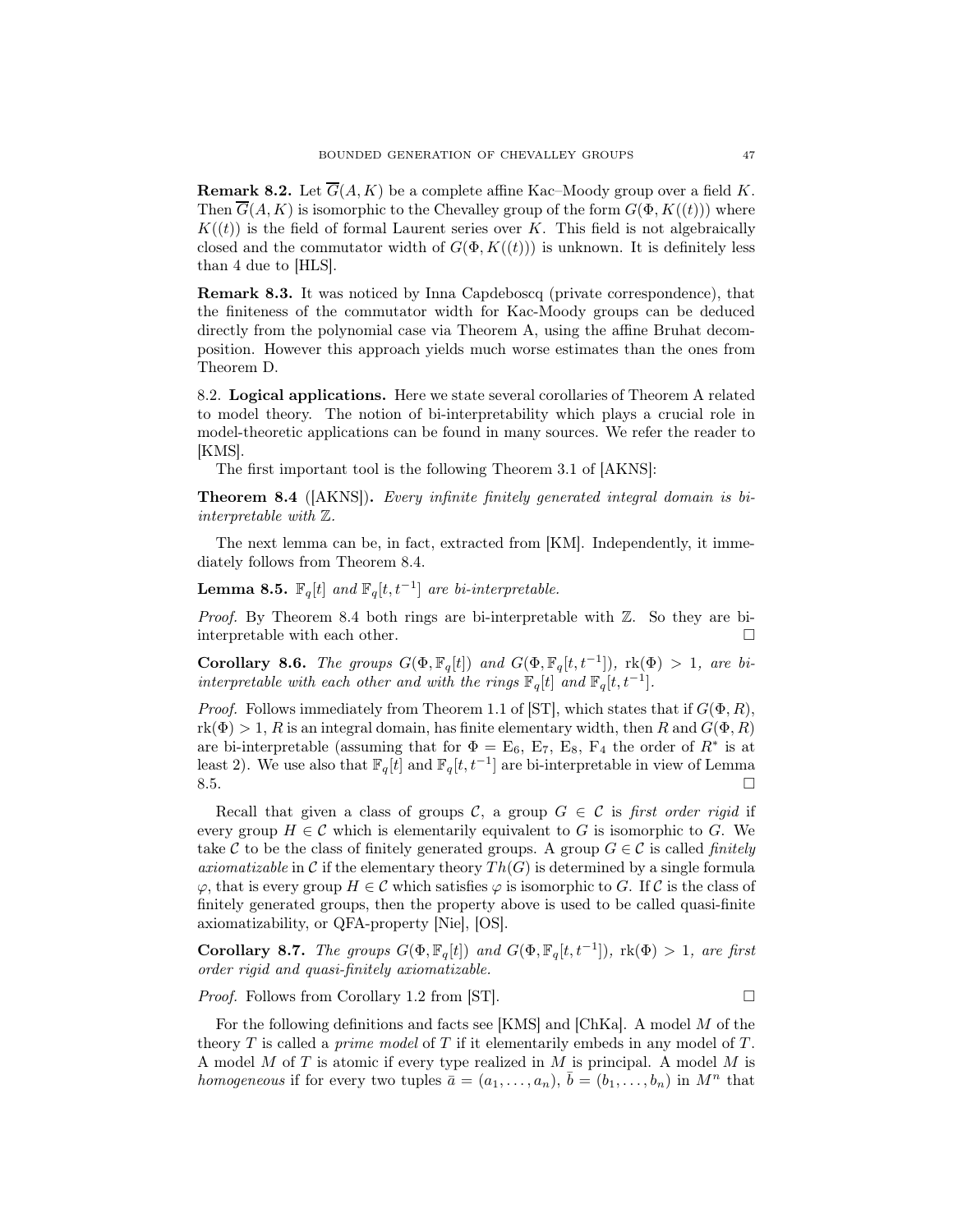**Remark 8.2.** Let  $\overline{G}(A, K)$  be a complete affine Kac–Moody group over a field K. Then  $\overline{G}(A, K)$  is isomorphic to the Chevalley group of the form  $G(\Phi, K((t)))$  where  $K((t))$  is the field of formal Laurent series over K. This field is not algebraically closed and the commutator width of  $G(\Phi, K((t)))$  is unknown. It is definitely less than 4 due to [HLS].

Remark 8.3. It was noticed by Inna Capdeboscq (private correspondence), that the finiteness of the commutator width for Kac-Moody groups can be deduced directly from the polynomial case via Theorem A, using the affine Bruhat decomposition. However this approach yields much worse estimates than the ones from Theorem D.

8.2. Logical applications. Here we state several corollaries of Theorem A related to model theory. The notion of bi-interpretability which plays a crucial role in model-theoretic applications can be found in many sources. We refer the reader to [KMS].

The first important tool is the following Theorem 3.1 of [AKNS]:

Theorem 8.4 ([AKNS]). Every infinite finitely generated integral domain is biinterpretable with Z.

The next lemma can be, in fact, extracted from [KM]. Independently, it immediately follows from Theorem 8.4.

**Lemma 8.5.**  $\mathbb{F}_q[t]$  and  $\mathbb{F}_q[t, t^{-1}]$  are bi-interpretable.

Proof. By Theorem 8.4 both rings are bi-interpretable with Z. So they are biinterpretable with each other.

Corollary 8.6. The groups  $G(\Phi, \mathbb{F}_q[t])$  and  $G(\Phi, \mathbb{F}_q[t, t^{-1}])$ ,  $\text{rk}(\Phi) > 1$ , are biinterpretable with each other and with the rings  $\mathbb{F}_q[t]$  and  $\mathbb{F}_q[t, t^{-1}]$ .

*Proof.* Follows immediately from Theorem 1.1 of [ST], which states that if  $G(\Phi, R)$ ,  $rk(\Phi) > 1$ , R is an integral domain, has finite elementary width, then R and  $G(\Phi, R)$ are bi-interpretable (assuming that for  $\Phi = \mathbb{E}_6$ ,  $\mathbb{E}_7$ ,  $\mathbb{E}_8$ ,  $\mathbb{F}_4$  the order of  $R^*$  is at least 2). We use also that  $\mathbb{F}_q[t]$  and  $\mathbb{F}_q[t, t^{-1}]$  are bi-interpretable in view of Lemma  $8.5.$ 

Recall that given a class of groups C, a group  $G \in \mathcal{C}$  is first order rigid if every group  $H \in \mathcal{C}$  which is elementarily equivalent to G is isomorphic to G. We take C to be the class of finitely generated groups. A group  $G \in \mathcal{C}$  is called *finitely axiomatizable* in C if the elementary theory  $Th(G)$  is determined by a single formula  $\varphi$ , that is every group  $H \in \mathcal{C}$  which satisfies  $\varphi$  is isomorphic to G. If  $\mathcal{C}$  is the class of finitely generated groups, then the property above is used to be called quasi-finite axiomatizability, or QFA-property [Nie], [OS].

Corollary 8.7. The groups  $G(\Phi, \mathbb{F}_q[t])$  and  $G(\Phi, \mathbb{F}_q[t, t^{-1}])$ ,  $\text{rk}(\Phi) > 1$ , are first order rigid and quasi-finitely axiomatizable.

*Proof.* Follows from Corollary 1.2 from [ST].  $\Box$ 

For the following definitions and facts see [KMS] and [ChKa]. A model M of the theory  $T$  is called a *prime model* of  $T$  if it elementarily embeds in any model of  $T$ . A model M of T is atomic if every type realized in M is principal. A model M is homogeneous if for every two tuples  $\bar{a} = (a_1, \ldots, a_n)$ ,  $\bar{b} = (b_1, \ldots, b_n)$  in  $M^n$  that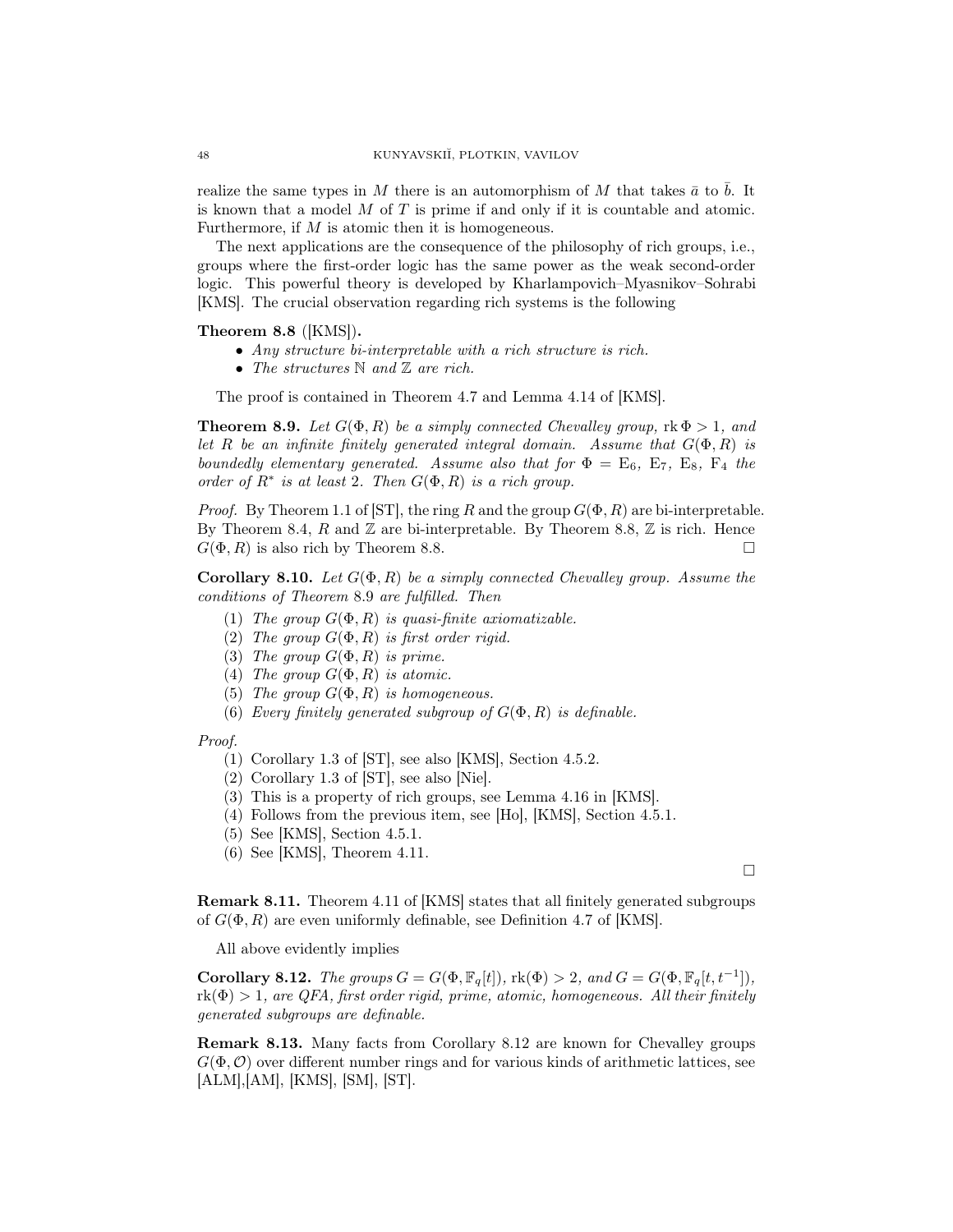realize the same types in M there is an automorphism of M that takes  $\bar{a}$  to  $\bar{b}$ . It is known that a model  $M$  of  $T$  is prime if and only if it is countable and atomic. Furthermore, if M is atomic then it is homogeneous.

The next applications are the consequence of the philosophy of rich groups, i.e., groups where the first-order logic has the same power as the weak second-order logic. This powerful theory is developed by Kharlampovich–Myasnikov–Sohrabi [KMS]. The crucial observation regarding rich systems is the following

## Theorem 8.8 ([KMS]).

- Any structure bi-interpretable with a rich structure is rich.
- The structures  $\mathbb N$  and  $\mathbb Z$  are rich.

The proof is contained in Theorem 4.7 and Lemma 4.14 of [KMS].

**Theorem 8.9.** Let  $G(\Phi, R)$  be a simply connected Chevalley group,  $\text{rk } \Phi > 1$ , and let R be an infinite finitely generated integral domain. Assume that  $G(\Phi, R)$  is boundedly elementary generated. Assume also that for  $\Phi = \mathrm{E}_6$ ,  $\mathrm{E}_7$ ,  $\mathrm{E}_8$ ,  $\mathrm{F}_4$  the order of  $R^*$  is at least 2. Then  $G(\Phi, R)$  is a rich group.

*Proof.* By Theorem 1.1 of [ST], the ring R and the group  $G(\Phi, R)$  are bi-interpretable. By Theorem 8.4, R and  $\mathbb Z$  are bi-interpretable. By Theorem 8.8,  $\mathbb Z$  is rich. Hence  $G(\Phi, R)$  is also rich by Theorem 8.8.

**Corollary 8.10.** Let  $G(\Phi, R)$  be a simply connected Chevalley group. Assume the conditions of Theorem 8.9 are fulfilled. Then

- (1) The group  $G(\Phi, R)$  is quasi-finite axiomatizable.
- (2) The group  $G(\Phi, R)$  is first order rigid.
- (3) The group  $G(\Phi, R)$  is prime.
- (4) The group  $G(\Phi, R)$  is atomic.
- (5) The group  $G(\Phi, R)$  is homogeneous.
- (6) Every finitely generated subgroup of  $G(\Phi, R)$  is definable.

#### Proof.

- (1) Corollary 1.3 of [ST], see also [KMS], Section 4.5.2.
- (2) Corollary 1.3 of [ST], see also [Nie].
- (3) This is a property of rich groups, see Lemma 4.16 in [KMS].
- (4) Follows from the previous item, see [Ho], [KMS], Section 4.5.1.
- (5) See [KMS], Section 4.5.1.
- (6) See [KMS], Theorem 4.11.

 $\Box$ 

Remark 8.11. Theorem 4.11 of [KMS] states that all finitely generated subgroups of  $G(\Phi, R)$  are even uniformly definable, see Definition 4.7 of [KMS].

All above evidently implies

Corollary 8.12. The groups  $G = G(\Phi, \mathbb{F}_q[t])$ ,  $\text{rk}(\Phi) > 2$ , and  $G = G(\Phi, \mathbb{F}_q[t, t^{-1}])$ ,  $r(k(\Phi) > 1$ , are QFA, first order rigid, prime, atomic, homogeneous. All their finitely generated subgroups are definable.

Remark 8.13. Many facts from Corollary 8.12 are known for Chevalley groups  $G(\Phi, \mathcal{O})$  over different number rings and for various kinds of arithmetic lattices, see [ALM],[AM], [KMS], [SM], [ST].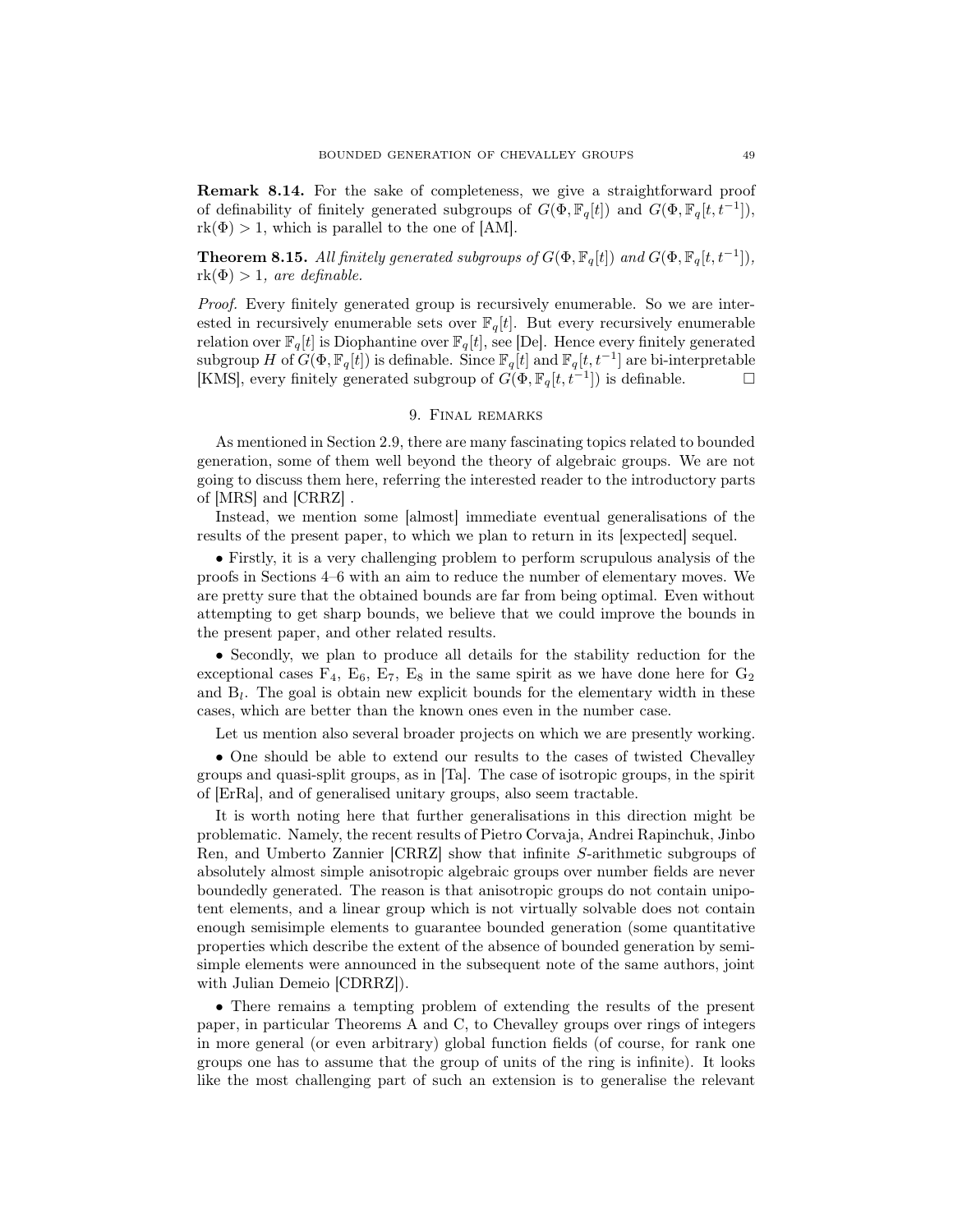Remark 8.14. For the sake of completeness, we give a straightforward proof of definability of finitely generated subgroups of  $G(\Phi, \mathbb{F}_q[t])$  and  $G(\Phi, \mathbb{F}_q[t, t^{-1}])$ ,  $rk(\Phi) > 1$ , which is parallel to the one of [AM].

**Theorem 8.15.** All finitely generated subgroups of  $G(\Phi, \mathbb{F}_q[t])$  and  $G(\Phi, \mathbb{F}_q[t, t^{-1}])$ ,  $rk(\Phi) > 1$ , are definable.

Proof. Every finitely generated group is recursively enumerable. So we are interested in recursively enumerable sets over  $\mathbb{F}_q[t]$ . But every recursively enumerable relation over  $\mathbb{F}_q[t]$  is Diophantine over  $\mathbb{F}_q[t]$ , see [De]. Hence every finitely generated subgroup H of  $G(\Phi, \mathbb{F}_q[t])$  is definable. Since  $\mathbb{F}_q[t]$  and  $\mathbb{F}_q[t, t^{-1}]$  are bi-interpretable [KMS], every finitely generated subgroup of  $G(\Phi, \mathbb{F}_q[t, t^{-1}])$  is definable.

## 9. Final remarks

As mentioned in Section 2.9, there are many fascinating topics related to bounded generation, some of them well beyond the theory of algebraic groups. We are not going to discuss them here, referring the interested reader to the introductory parts of [MRS] and [CRRZ] .

Instead, we mention some [almost] immediate eventual generalisations of the results of the present paper, to which we plan to return in its [expected] sequel.

• Firstly, it is a very challenging problem to perform scrupulous analysis of the proofs in Sections 4–6 with an aim to reduce the number of elementary moves. We are pretty sure that the obtained bounds are far from being optimal. Even without attempting to get sharp bounds, we believe that we could improve the bounds in the present paper, and other related results.

• Secondly, we plan to produce all details for the stability reduction for the exceptional cases  $F_4$ ,  $E_6$ ,  $E_7$ ,  $E_8$  in the same spirit as we have done here for  $G_2$ and  $B_l$ . The goal is obtain new explicit bounds for the elementary width in these cases, which are better than the known ones even in the number case.

Let us mention also several broader projects on which we are presently working.

• One should be able to extend our results to the cases of twisted Chevalley groups and quasi-split groups, as in [Ta]. The case of isotropic groups, in the spirit of [ErRa], and of generalised unitary groups, also seem tractable.

It is worth noting here that further generalisations in this direction might be problematic. Namely, the recent results of Pietro Corvaja, Andrei Rapinchuk, Jinbo Ren, and Umberto Zannier [CRRZ] show that infinite S-arithmetic subgroups of absolutely almost simple anisotropic algebraic groups over number fields are never boundedly generated. The reason is that anisotropic groups do not contain unipotent elements, and a linear group which is not virtually solvable does not contain enough semisimple elements to guarantee bounded generation (some quantitative properties which describe the extent of the absence of bounded generation by semisimple elements were announced in the subsequent note of the same authors, joint with Julian Demeio [CDRRZ]).

• There remains a tempting problem of extending the results of the present paper, in particular Theorems A and C, to Chevalley groups over rings of integers in more general (or even arbitrary) global function fields (of course, for rank one groups one has to assume that the group of units of the ring is infinite). It looks like the most challenging part of such an extension is to generalise the relevant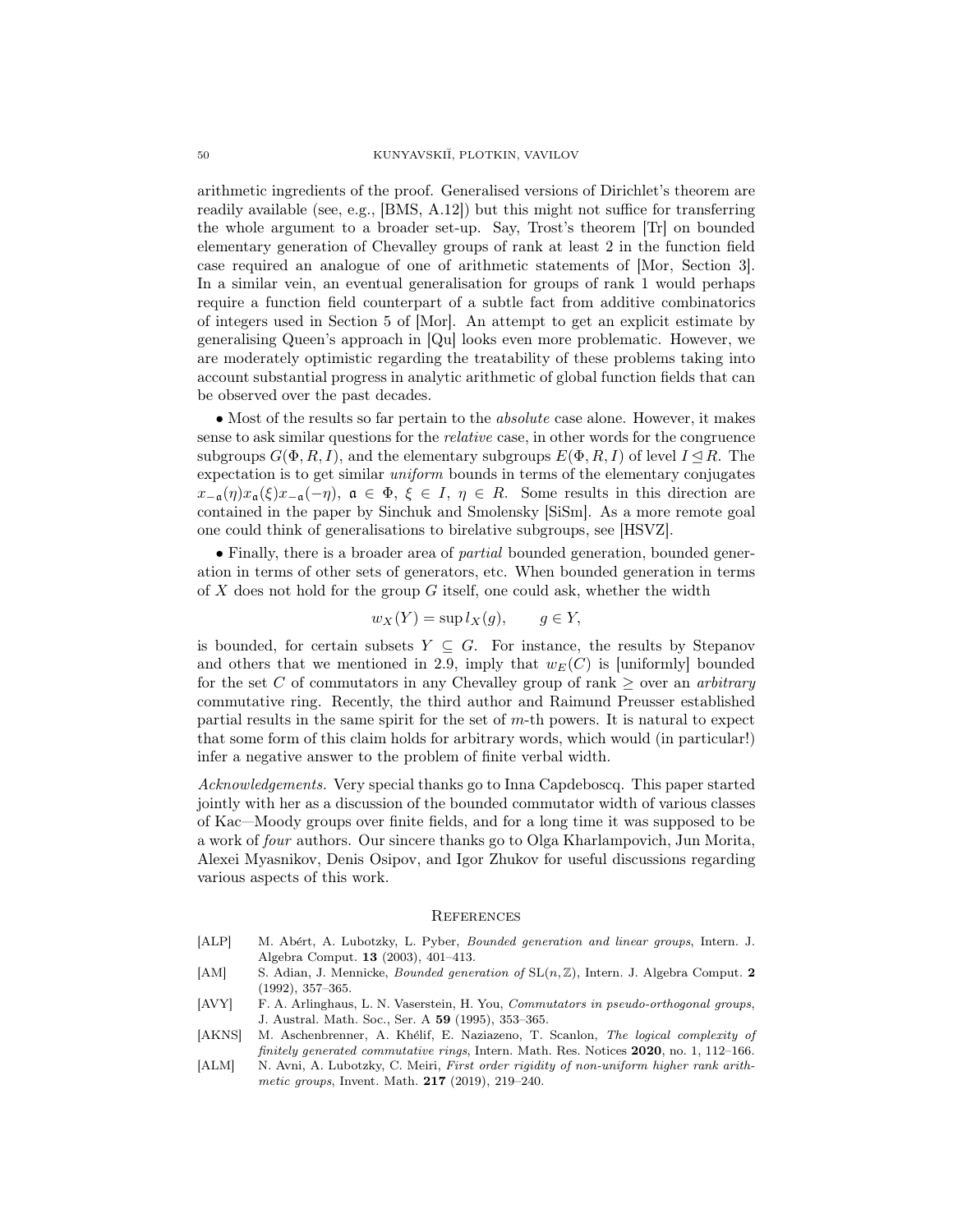arithmetic ingredients of the proof. Generalised versions of Dirichlet's theorem are readily available (see, e.g., [BMS, A.12]) but this might not suffice for transferring the whole argument to a broader set-up. Say, Trost's theorem [Tr] on bounded elementary generation of Chevalley groups of rank at least 2 in the function field case required an analogue of one of arithmetic statements of [Mor, Section 3]. In a similar vein, an eventual generalisation for groups of rank 1 would perhaps require a function field counterpart of a subtle fact from additive combinatorics of integers used in Section 5 of [Mor]. An attempt to get an explicit estimate by generalising Queen's approach in [Qu] looks even more problematic. However, we are moderately optimistic regarding the treatability of these problems taking into account substantial progress in analytic arithmetic of global function fields that can be observed over the past decades.

• Most of the results so far pertain to the *absolute* case alone. However, it makes sense to ask similar questions for the relative case, in other words for the congruence subgroups  $G(\Phi, R, I)$ , and the elementary subgroups  $E(\Phi, R, I)$  of level  $I \triangleleft R$ . The expectation is to get similar uniform bounds in terms of the elementary conjugates  $x_{-\mathfrak{a}}(\eta)x_{\mathfrak{a}}(\xi)x_{-\mathfrak{a}}(-\eta), \mathfrak{a} \in \Phi, \xi \in I, \eta \in R$ . Some results in this direction are contained in the paper by Sinchuk and Smolensky [SiSm]. As a more remote goal one could think of generalisations to birelative subgroups, see [HSVZ].

• Finally, there is a broader area of *partial* bounded generation, bounded generation in terms of other sets of generators, etc. When bounded generation in terms of  $X$  does not hold for the group  $G$  itself, one could ask, whether the width

$$
w_X(Y) = \sup l_X(g), \qquad g \in Y,
$$

is bounded, for certain subsets  $Y \subseteq G$ . For instance, the results by Stepanov and others that we mentioned in 2.9, imply that  $w_E(C)$  is [uniformly] bounded for the set C of commutators in any Chevalley group of rank  $\geq$  over an arbitrary commutative ring. Recently, the third author and Raimund Preusser established partial results in the same spirit for the set of  $m$ -th powers. It is natural to expect that some form of this claim holds for arbitrary words, which would (in particular!) infer a negative answer to the problem of finite verbal width.

Acknowledgements. Very special thanks go to Inna Capdeboscq. This paper started jointly with her as a discussion of the bounded commutator width of various classes of Kac—Moody groups over finite fields, and for a long time it was supposed to be a work of four authors. Our sincere thanks go to Olga Kharlampovich, Jun Morita, Alexei Myasnikov, Denis Osipov, and Igor Zhukov for useful discussions regarding various aspects of this work.

#### **REFERENCES**

- [ALP] M. Ab´ert, A. Lubotzky, L. Pyber, *Bounded generation and linear groups*, Intern. J. Algebra Comput. 13 (2003), 401–413.
- [AM] S. Adian, J. Mennicke, *Bounded generation of* SL(n, Z), Intern. J. Algebra Comput. 2 (1992), 357–365.
- [AVY] F. A. Arlinghaus, L. N. Vaserstein, H. You, *Commutators in pseudo-orthogonal groups*, J. Austral. Math. Soc., Ser. A 59 (1995), 353–365.
- [AKNS] M. Aschenbrenner, A. Khélif, E. Naziazeno, T. Scanlon, *The logical complexity of finitely generated commutative rings*, Intern. Math. Res. Notices 2020, no. 1, 112–166.
- [ALM] N. Avni, A. Lubotzky, C. Meiri, *First order rigidity of non-uniform higher rank arithmetic groups*, Invent. Math. 217 (2019), 219–240.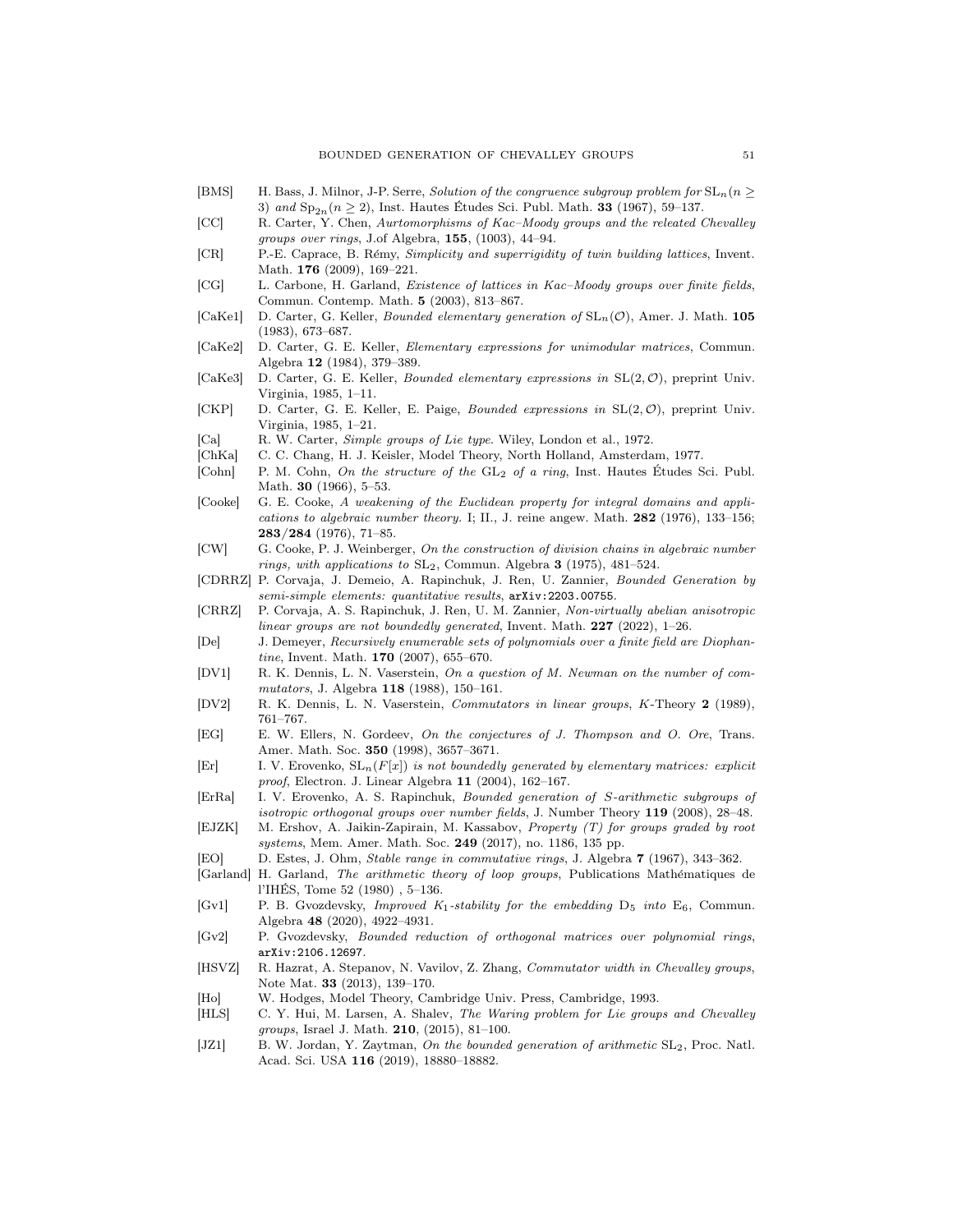- [BMS] H. Bass, J. Milnor, J-P. Serre, *Solution of the congruence subgroup problem for*  $SL_n(n \geq 1)$ 3) *and*  $Sp_{2n}(n \geq 2)$ , Inst. Hautes Études Sci. Publ. Math. **33** (1967), 59–137.
- [CC] R. Carter, Y. Chen, *Aurtomorphisms of Kac–Moody groups and the releated Chevalley groups over rings*, J.of Algebra, 155, (1003), 44–94.
- [CR] P.-E. Caprace, B. R´emy, *Simplicity and superrigidity of twin building lattices*, Invent. Math. **176** (2009), 169-221.
- [CG] L. Carbone, H. Garland, *Existence of lattices in Kac–Moody groups over finite fields*, Commun. Contemp. Math. 5 (2003), 813–867.
- [CaKe1] D. Carter, G. Keller, *Bounded elementary generation of* SLn(O), Amer. J. Math. 105 (1983), 673–687.
- [CaKe2] D. Carter, G. E. Keller, *Elementary expressions for unimodular matrices*, Commun. Algebra 12 (1984), 379–389.
- [CaKe3] D. Carter, G. E. Keller, *Bounded elementary expressions in* SL(2, O), preprint Univ. Virginia, 1985, 1–11.
- [CKP] D. Carter, G. E. Keller, E. Paige, *Bounded expressions in* SL(2, O), preprint Univ. Virginia, 1985, 1–21.
- [Ca] R. W. Carter, *Simple groups of Lie type*. Wiley, London et al., 1972.
- [ChKa] C. C. Chang, H. J. Keisler, Model Theory, North Holland, Amsterdam, 1977.
- [Cohn] P. M. Cohn, *On the structure of the* GL<sub>2</sub> *of a ring*, Inst. Hautes Études Sci. Publ. Math. 30 (1966), 5–53.
- [Cooke] G. E. Cooke, *A weakening of the Euclidean property for integral domains and applications to algebraic number theory.* I; II., J. reine angew. Math. 282 (1976), 133–156; 283/284 (1976), 71–85.
- [CW] G. Cooke, P. J. Weinberger, *On the construction of division chains in algebraic number rings, with applications to* SL2, Commun. Algebra 3 (1975), 481–524.
- [CDRRZ] P. Corvaja, J. Demeio, A. Rapinchuk, J. Ren, U. Zannier, *Bounded Generation by semi-simple elements: quantitative results*, arXiv:2203.00755.
- [CRRZ] P. Corvaja, A. S. Rapinchuk, J. Ren, U. M. Zannier, *Non-virtually abelian anisotropic linear groups are not boundedly generated*, Invent. Math. 227 (2022), 1–26.
- [De] J. Demeyer, *Recursively enumerable sets of polynomials over a finite field are Diophantine*, Invent. Math. 170 (2007), 655–670.
- [DV1] R. K. Dennis, L. N. Vaserstein, *On a question of M. Newman on the number of commutators*, J. Algebra 118 (1988), 150–161.
- [DV2] R. K. Dennis, L. N. Vaserstein, *Commutators in linear groups*, K-Theory 2 (1989), 761–767.
- [EG] E. W. Ellers, N. Gordeev, *On the conjectures of J. Thompson and O. Ore*, Trans. Amer. Math. Soc. 350 (1998), 3657–3671.
- $[Er]$  I. V. Erovenko,  $SL_n(F[x])$  *is not boundedly generated by elementary matrices: explicit proof*, Electron. J. Linear Algebra 11 (2004), 162–167.
- [ErRa] I. V. Erovenko, A. S. Rapinchuk, *Bounded generation of* S*-arithmetic subgroups of isotropic orthogonal groups over number fields*, J. Number Theory 119 (2008), 28–48.
- [EJZK] M. Ershov, A. Jaikin-Zapirain, M. Kassabov, *Property (T) for groups graded by root systems*, Mem. Amer. Math. Soc. 249 (2017), no. 1186, 135 pp.
- [EO] D. Estes, J. Ohm, *Stable range in commutative rings*, J. Algebra 7 (1967), 343–362.
- [Garland] H. Garland, *The arithmetic theory of loop groups*, Publications Math´ematiques de l'IHES, Tome 52 (1980) , 5–136. ´
- [Gv1] P. B. Gvozdevsky, *Improved K*1*-stability for the embedding* D5 *into* E6, Commun. Algebra 48 (2020), 4922–4931.
- [Gv2] P. Gvozdevsky, *Bounded reduction of orthogonal matrices over polynomial rings*, arXiv:2106.12697.
- [HSVZ] R. Hazrat, A. Stepanov, N. Vavilov, Z. Zhang, *Commutator width in Chevalley groups*, Note Mat. 33 (2013), 139–170.
- [Ho] W. Hodges, Model Theory, Cambridge Univ. Press, Cambridge, 1993.
- [HLS] C. Y. Hui, M. Larsen, A. Shalev, *The Waring problem for Lie groups and Chevalley groups*, Israel J. Math. 210, (2015), 81–100.
- [JZ1] B. W. Jordan, Y. Zaytman, *On the bounded generation of arithmetic* SL2, Proc. Natl. Acad. Sci. USA 116 (2019), 18880–18882.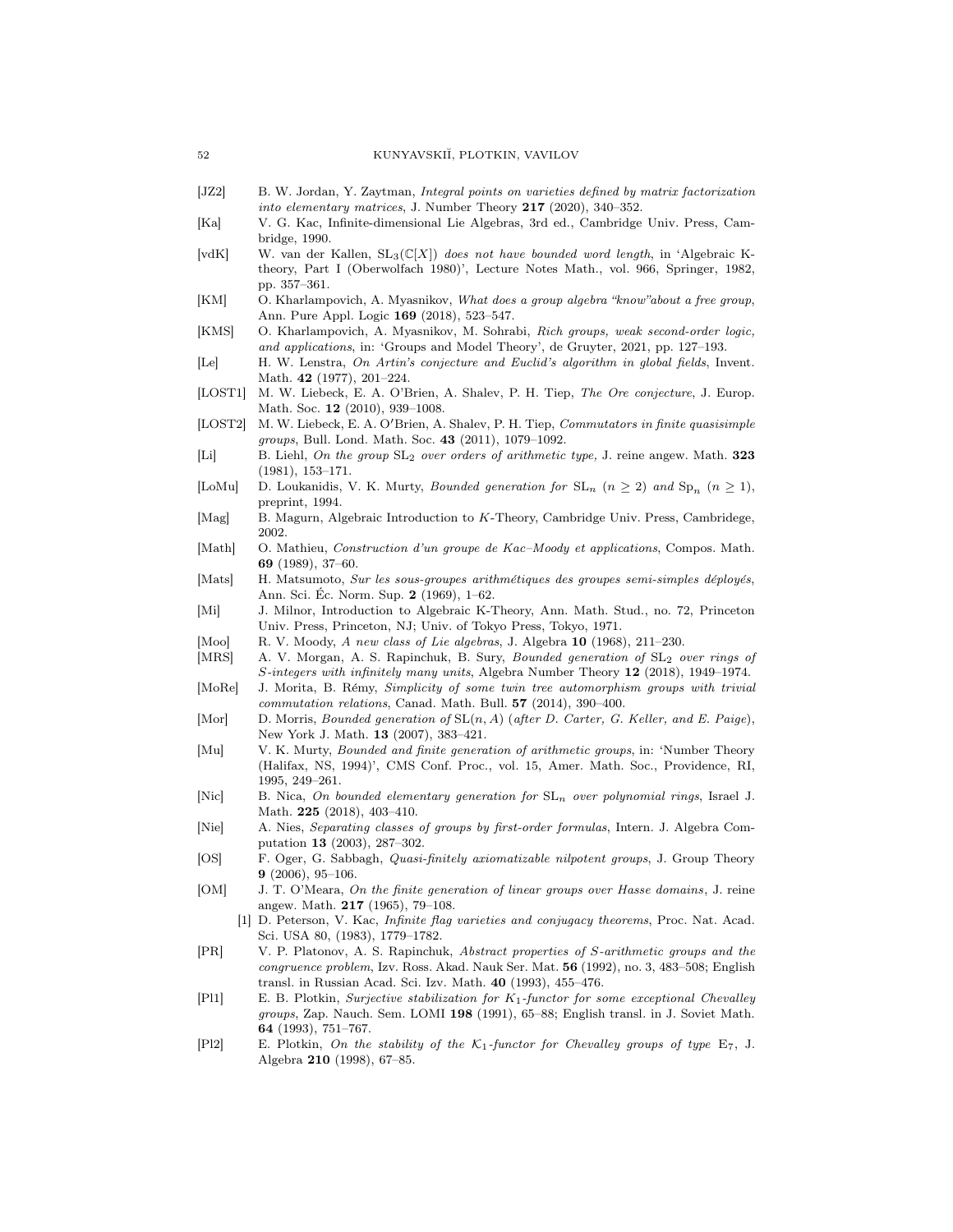- [JZ2] B. W. Jordan, Y. Zaytman, *Integral points on varieties defined by matrix factorization into elementary matrices*, J. Number Theory 217 (2020), 340–352.
- [Ka] V. G. Kac, Infinite-dimensional Lie Algebras, 3rd ed., Cambridge Univ. Press, Cambridge, 1990.
- [vdK] W. van der Kallen, SL3(C[X]) *does not have bounded word length*, in 'Algebraic Ktheory, Part I (Oberwolfach 1980)', Lecture Notes Math., vol. 966, Springer, 1982, pp. 357–361.
- [KM] O. Kharlampovich, A. Myasnikov, *What does a group algebra "know"about a free group*, Ann. Pure Appl. Logic 169 (2018), 523–547.
- [KMS] O. Kharlampovich, A. Myasnikov, M. Sohrabi, *Rich groups, weak second-order logic, and applications*, in: 'Groups and Model Theory', de Gruyter, 2021, pp. 127–193.
- [Le] H. W. Lenstra, *On Artin's conjecture and Euclid's algorithm in global fields*, Invent. Math. 42 (1977), 201–224.
- [LOST1] M. W. Liebeck, E. A. O'Brien, A. Shalev, P. H. Tiep, *The Ore conjecture*, J. Europ. Math. Soc. 12 (2010), 939–1008.
- [LOST2] M. W. Liebeck, E. A. O′Brien, A. Shalev, P. H. Tiep, *Commutators in finite quasisimple groups*, Bull. Lond. Math. Soc. 43 (2011), 1079–1092.
- [Li] B. Liehl, *On the group* SL2 *over orders of arithmetic type,* J. reine angew. Math. 323 (1981), 153–171.
- [LoMu] D. Loukanidis, V. K. Murty, *Bounded generation for*  $SL_n$  ( $n \geq 2$ ) *and*  $Sp_n$  ( $n \geq 1$ ), preprint, 1994.
- [Mag] B. Magurn, Algebraic Introduction to K-Theory, Cambridge Univ. Press, Cambridege, 2002.
- [Math] O. Mathieu, *Construction d'un groupe de Kac–Moody et applications*, Compos. Math. 69 (1989), 37–60.
- [Mats] H. Matsumoto, *Sur les sous-groupes arithmétiques des groupes semi-simples déployés*, Ann. Sci. Ec. Norm. Sup. 2 (1969), 1–62.
- [Mi] J. Milnor, Introduction to Algebraic K-Theory, Ann. Math. Stud., no. 72, Princeton Univ. Press, Princeton, NJ; Univ. of Tokyo Press, Tokyo, 1971.
- [Moo] R. V. Moody, *A new class of Lie algebras*, J. Algebra 10 (1968), 211–230.
- [MRS] A. V. Morgan, A. S. Rapinchuk, B. Sury, *Bounded generation of* SL2 *over rings of* S*-integers with infinitely many units*, Algebra Number Theory 12 (2018), 1949–1974.
- [MoRe] J. Morita, B. Rémy, *Simplicity of some twin tree automorphism groups with trivial commutation relations*, Canad. Math. Bull. 57 (2014), 390–400.
- [Mor] D. Morris, *Bounded generation of* SL(n, A) (*after D. Carter, G. Keller, and E. Paige*), New York J. Math. 13 (2007), 383–421.
- [Mu] V. K. Murty, *Bounded and finite generation of arithmetic groups*, in: 'Number Theory (Halifax, NS, 1994)', CMS Conf. Proc., vol. 15, Amer. Math. Soc., Providence, RI, 1995, 249–261.
- [Nic] B. Nica, *On bounded elementary generation for* SLn *over polynomial rings*, Israel J. Math. 225 (2018), 403–410.
- [Nie] A. Nies, *Separating classes of groups by first-order formulas*, Intern. J. Algebra Computation 13 (2003), 287–302.
- [OS] F. Oger, G. Sabbagh, *Quasi-finitely axiomatizable nilpotent groups*, J. Group Theory 9 (2006), 95–106.
- [OM] J. T. O'Meara, *On the finite generation of linear groups over Hasse domains*, J. reine angew. Math. 217 (1965), 79–108.
- [1] D. Peterson, V. Kac, *Infinite flag varieties and conjugacy theorems*, Proc. Nat. Acad. Sci. USA 80, (1983), 1779–1782.
- [PR] V. P. Platonov, A. S. Rapinchuk, *Abstract properties of* S*-arithmetic groups and the congruence problem*, Izv. Ross. Akad. Nauk Ser. Mat. 56 (1992), no. 3, 483–508; English transl. in Russian Acad. Sci. Izv. Math. 40 (1993), 455–476.
- [Pl1] E. B. Plotkin, *Surjective stabilization for* K1*-functor for some exceptional Chevalley groups*, Zap. Nauch. Sem. LOMI 198 (1991), 65–88; English transl. in J. Soviet Math. 64 (1993), 751–767.
- [Pl2] E. Plotkin, *On the stability of the* K1*-functor for Chevalley groups of type* E7, J. Algebra 210 (1998), 67–85.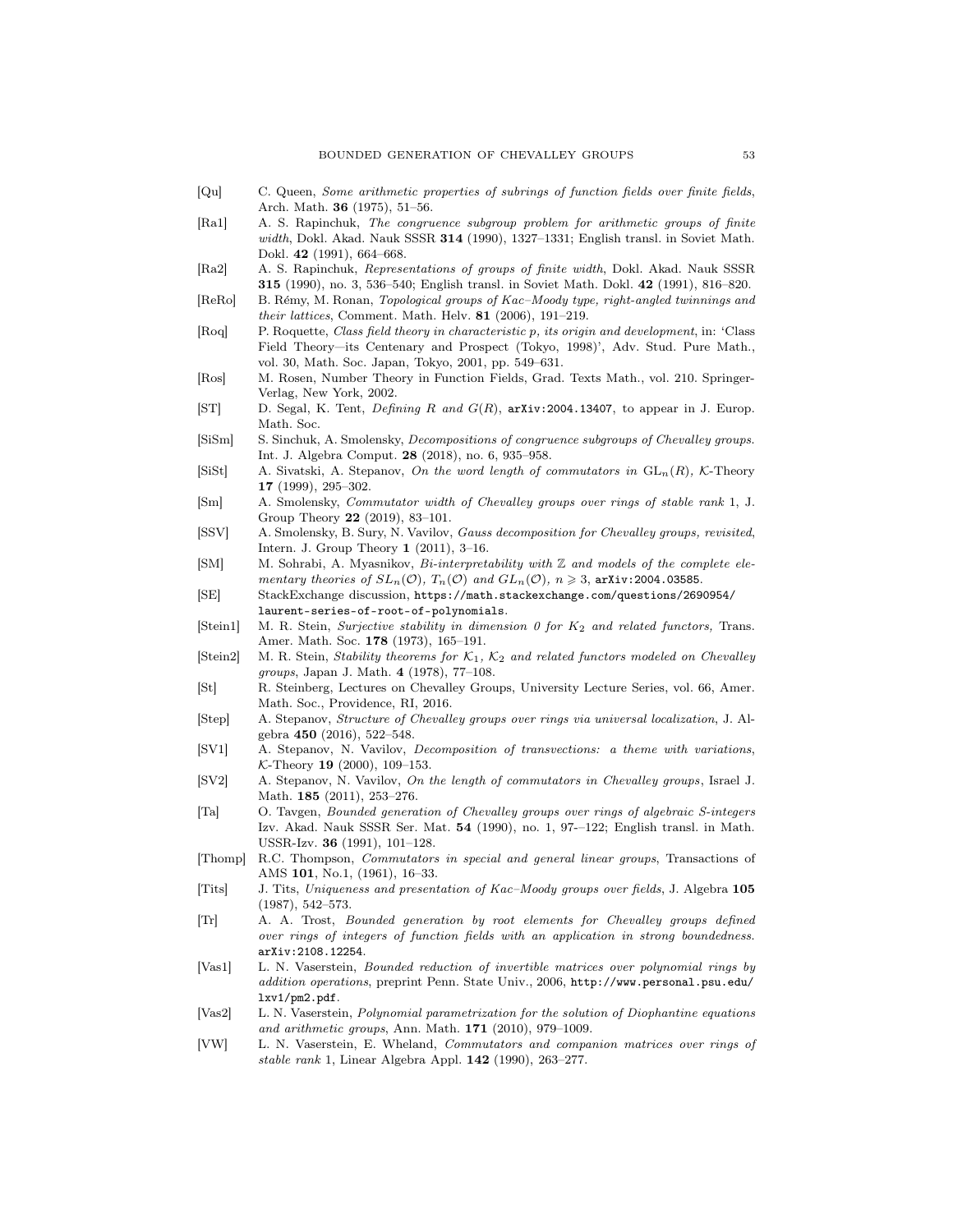- [Qu] C. Queen, *Some arithmetic properties of subrings of function fields over finite fields*, Arch. Math. 36 (1975), 51–56.
- [Ra1] A. S. Rapinchuk, *The congruence subgroup problem for arithmetic groups of finite width*, Dokl. Akad. Nauk SSSR 314 (1990), 1327–1331; English transl. in Soviet Math. Dokl. 42 (1991), 664–668.
- [Ra2] A. S. Rapinchuk, *Representations of groups of finite width*, Dokl. Akad. Nauk SSSR 315 (1990), no. 3, 536–540; English transl. in Soviet Math. Dokl. 42 (1991), 816–820.
- [ReRo] B. Rémy, M. Ronan, *Topological groups of Kac–Moody type, right-angled twinnings and their lattices*, Comment. Math. Helv. 81 (2006), 191–219.
- [Roq] P. Roquette, *Class field theory in characteristic* p*, its origin and development*, in: 'Class Field Theory—its Centenary and Prospect (Tokyo, 1998)', Adv. Stud. Pure Math., vol. 30, Math. Soc. Japan, Tokyo, 2001, pp. 549–631.
- [Ros] M. Rosen, Number Theory in Function Fields, Grad. Texts Math., vol. 210. Springer-Verlag, New York, 2002.
- [ST] D. Segal, K. Tent, *Defining* R *and* G(R), arXiv:2004.13407, to appear in J. Europ. Math. Soc.
- [SiSm] S. Sinchuk, A. Smolensky, *Decompositions of congruence subgroups of Chevalley groups*. Int. J. Algebra Comput. 28 (2018), no. 6, 935–958.
- [SiSt] A. Sivatski, A. Stepanov, *On the word length of commutators in*  $GL_n(R)$ , K-Theory 17 (1999), 295–302.
- [Sm] A. Smolensky, *Commutator width of Chevalley groups over rings of stable rank* 1, J. Group Theory 22 (2019), 83–101.
- [SSV] A. Smolensky, B. Sury, N. Vavilov, *Gauss decomposition for Chevalley groups, revisited*, Intern. J. Group Theory 1 (2011), 3–16.
- [SM] M. Sohrabi, A. Myasnikov, *Bi-interpretability with* Z *and models of the complete elementary theories of*  $SL_n(\mathcal{O})$ *,*  $T_n(\mathcal{O})$  *and*  $GL_n(\mathcal{O})$ *,*  $n \geq 3$ *,* arXiv:2004.03585.
- [SE] StackExchange discussion, https://math.stackexchange.com/questions/2690954/ laurent-series-of-root-of-polynomials.
- [Stein1] M. R. Stein, *Surjective stability in dimension 0 for*  $K_2$  *and related functors*, Trans. Amer. Math. Soc. 178 (1973), 165–191.
- [Stein2] M. R. Stein, *Stability theorems for* K1*,* K2 *and related functors modeled on Chevalley groups*, Japan J. Math. 4 (1978), 77–108.
- [St] R. Steinberg, Lectures on Chevalley Groups, University Lecture Series, vol. 66, Amer. Math. Soc., Providence, RI, 2016.
- [Step] A. Stepanov, *Structure of Chevalley groups over rings via universal localization*, J. Algebra 450 (2016), 522–548.
- [SV1] A. Stepanov, N. Vavilov, *Decomposition of transvections: a theme with variations*, K-Theory 19 (2000), 109–153.
- [SV2] A. Stepanov, N. Vavilov, *On the length of commutators in Chevalley groups*, Israel J. Math. 185 (2011), 253–276.
- [Ta] O. Tavgen, *Bounded generation of Chevalley groups over rings of algebraic S-integers* Izv. Akad. Nauk SSSR Ser. Mat. 54 (1990), no. 1, 97-–122; English transl. in Math. USSR-Izv. 36 (1991), 101–128.
- [Thomp] R.C. Thompson, *Commutators in special and general linear groups*, Transactions of AMS 101, No.1, (1961), 16–33.
- [Tits] J. Tits, *Uniqueness and presentation of Kac–Moody groups over fields*, J. Algebra 105 (1987), 542–573.
- [Tr] A. A. Trost, *Bounded generation by root elements for Chevalley groups defined over rings of integers of function fields with an application in strong boundedness*. arXiv:2108.12254.
- [Vas1] L. N. Vaserstein, *Bounded reduction of invertible matrices over polynomial rings by addition operations*, preprint Penn. State Univ., 2006, http://www.personal.psu.edu/ lxv1/pm2.pdf.
- [Vas2] L. N. Vaserstein, *Polynomial parametrization for the solution of Diophantine equations and arithmetic groups*, Ann. Math. 171 (2010), 979–1009.
- [VW] L. N. Vaserstein, E. Wheland, *Commutators and companion matrices over rings of stable rank* 1, Linear Algebra Appl. 142 (1990), 263–277.